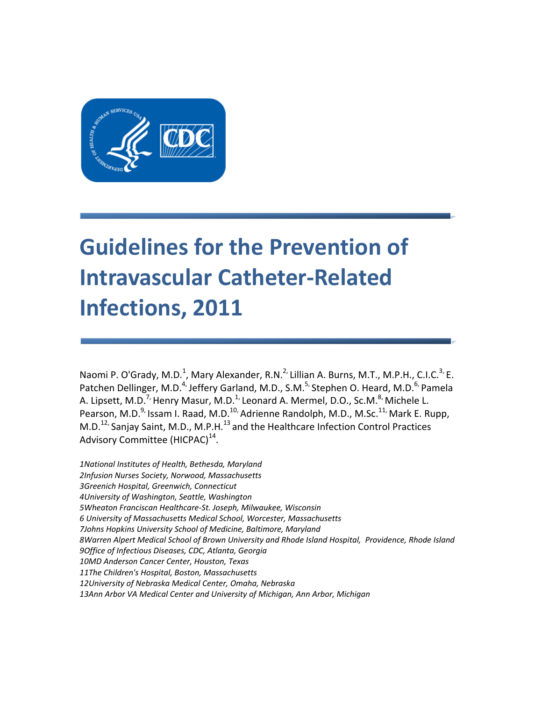

# **Guidelines for the Prevention of Intravascular Catheter-Related Infections, 2011**

Naomi P. O'Grady, M.D.<sup>1</sup>, Mary Alexander, R.N.<sup>2,</sup> Lillian A. Burns, M.T., M.P.H., C.I.C.<sup>3,</sup> E. Patchen Dellinger, M.D.<sup>4,</sup> Jeffery Garland, M.D., S.M.<sup>5,</sup> Stephen O. Heard, M.D.<sup>6,</sup> Pamela A. Lipsett, M.D.<sup>7,</sup> Henry Masur, M.D.<sup>1,</sup> Leonard A. Mermel, D.O., Sc.M.<sup>8,</sup> Michele L. Pearson, M.D.<sup>9,</sup> Issam I. Raad, M.D.<sup>10,</sup> Adrienne Randolph, M.D., M.Sc.<sup>11</sup><sup>,</sup> Mark E. Rupp, M.D.<sup>12,</sup> Sanjay Saint, M.D., M.P.H.<sup>13</sup> and the Healthcare Infection Control Practices Advisory Committee (HICPAC) $^{14}$ .

*1National Institutes of Health, Bethesda, Maryland 2Infusion Nurses Society, Norwood, Massachusetts 3Greenich Hospital, Greenwich, Connecticut 4University of Washington, Seattle, Washington 5Wheaton Franciscan Healthcare-St. Joseph, Milwaukee, Wisconsin 6 University of Massachusetts Medical School, Worcester, Massachusetts 7Johns Hopkins University School of Medicine, Baltimore, Maryland 8Warren Alpert Medical School of Brown University and Rhode Island Hospital, Providence, Rhode Island 9Office of Infectious Diseases, CDC, Atlanta, Georgia 10MD Anderson Cancer Center, Houston, Texas 11The Children's Hospital, Boston, Massachusetts 12University of Nebraska Medical Center, Omaha, Nebraska 13Ann Arbor VA Medical Center and University of Michigan, Ann Arbor, Michigan*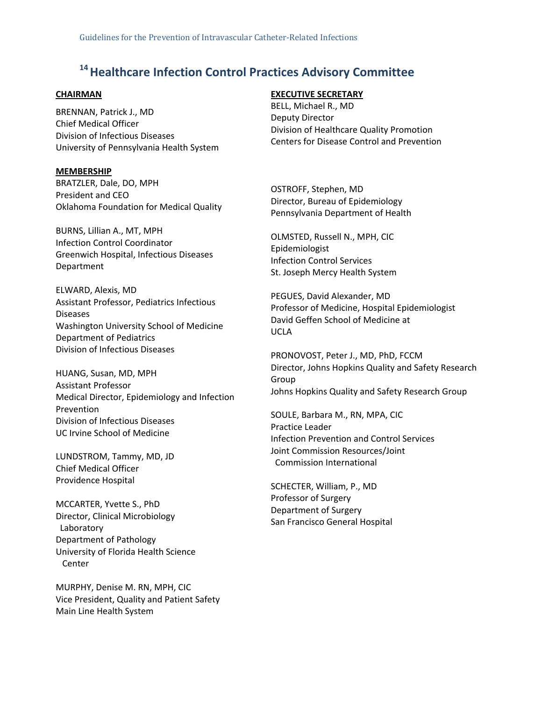# **<sup>14</sup>Healthcare Infection Control Practices Advisory Committee**

### **CHAIRMAN**

BRENNAN, Patrick J., MD Chief Medical Officer Division of Infectious Diseases University of Pennsylvania Health System

#### **MEMBERSHIP**

BRATZLER, Dale, DO, MPH President and CEO Oklahoma Foundation for Medical Quality

BURNS, Lillian A., MT, MPH Infection Control Coordinator Greenwich Hospital, Infectious Diseases Department

ELWARD, Alexis, MD Assistant Professor, Pediatrics Infectious Diseases Washington University School of Medicine Department of Pediatrics Division of Infectious Diseases

HUANG, Susan, MD, MPH Assistant Professor Medical Director, Epidemiology and Infection Prevention Division of Infectious Diseases UC Irvine School of Medicine

LUNDSTROM, Tammy, MD, JD Chief Medical Officer Providence Hospital

MCCARTER, Yvette S., PhD Director, Clinical Microbiology Laboratory Department of Pathology University of Florida Health Science Center

MURPHY, Denise M. RN, MPH, CIC Vice President, Quality and Patient Safety Main Line Health System

### **EXECUTIVE SECRETARY**

BELL, Michael R., MD Deputy Director Division of Healthcare Quality Promotion Centers for Disease Control and Prevention

OSTROFF, Stephen, MD Director, Bureau of Epidemiology Pennsylvania Department of Health

OLMSTED, Russell N., MPH, CIC Epidemiologist Infection Control Services St. Joseph Mercy Health System

PEGUES, David Alexander, MD Professor of Medicine, Hospital Epidemiologist David Geffen School of Medicine at UCLA

PRONOVOST, Peter J., MD, PhD, FCCM Director, Johns Hopkins Quality and Safety Research Group Johns Hopkins Quality and Safety Research Group

SOULE, Barbara M., RN, MPA, CIC Practice Leader Infection Prevention and Control Services Joint Commission Resources/Joint Commission International

SCHECTER, William, P., MD Professor of Surgery Department of Surgery San Francisco General Hospital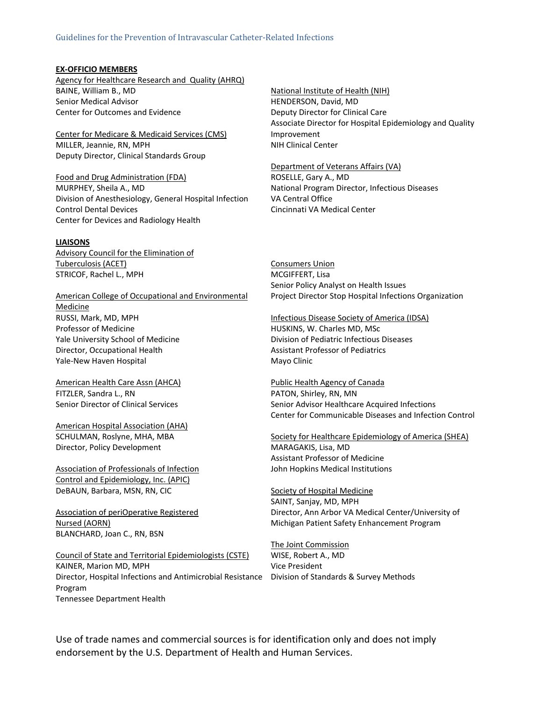#### Guidelines for the Prevention of Intravascular Catheter-Related Infections

#### **EX-OFFICIO MEMBERS**

Agency for Healthcare Research and Quality (AHRQ) BAINE, William B., MD Senior Medical Advisor Center for Outcomes and Evidence

Center for Medicare & Medicaid Services (CMS) MILLER, Jeannie, RN, MPH Deputy Director, Clinical Standards Group

Food and Drug Administration (FDA) MURPHEY, Sheila A., MD Division of Anesthesiology, General Hospital Infection Control Dental Devices Center for Devices and Radiology Health

#### **LIAISONS**

Advisory Council for the Elimination of Tuberculosis (ACET) STRICOF, Rachel L., MPH

American College of Occupational and Environmental Medicine RUSSI, Mark, MD, MPH Professor of Medicine Yale University School of Medicine Director, Occupational Health Yale-New Haven Hospital

American Health Care Assn (AHCA) FITZLER, Sandra L., RN Senior Director of Clinical Services

American Hospital Association (AHA) SCHULMAN, Roslyne, MHA, MBA Director, Policy Development

Association of Professionals of Infection Control and Epidemiology, Inc. (APIC) DeBAUN, Barbara, MSN, RN, CIC

Association of periOperative Registered Nursed (AORN) BLANCHARD, Joan C., RN, BSN

Council of State and Territorial Epidemiologists (CSTE) KAINER, Marion MD, MPH Director, Hospital Infections and Antimicrobial Resistance Division of Standards & Survey MethodsProgram Tennessee Department Health

National Institute of Health (NIH) HENDERSON, David, MD Deputy Director for Clinical Care Associate Director for Hospital Epidemiology and Quality Improvement NIH Clinical Center

Department of Veterans Affairs (VA) ROSELLE, Gary A., MD National Program Director, Infectious Diseases VA Central Office Cincinnati VA Medical Center

Consumers Union MCGIFFERT, Lisa Senior Policy Analyst on Health Issues Project Director Stop Hospital Infections Organization

Infectious Disease Society of America (IDSA) HUSKINS, W. Charles MD, MSc Division of Pediatric Infectious Diseases Assistant Professor of Pediatrics Mayo Clinic

Public Health Agency of Canada PATON, Shirley, RN, MN Senior Advisor Healthcare Acquired Infections Center for Communicable Diseases and Infection Control

Society for Healthcare Epidemiology of America (SHEA) MARAGAKIS, Lisa, MD Assistant Professor of Medicine John Hopkins Medical Institutions

Society of Hospital Medicine SAINT, Sanjay, MD, MPH Director, Ann Arbor VA Medical Center/University of Michigan Patient Safety Enhancement Program

The Joint Commission WISE, Robert A., MD Vice President

Use of trade names and commercial sources is for identification only and does not imply endorsement by the U.S. Department of Health and Human Services.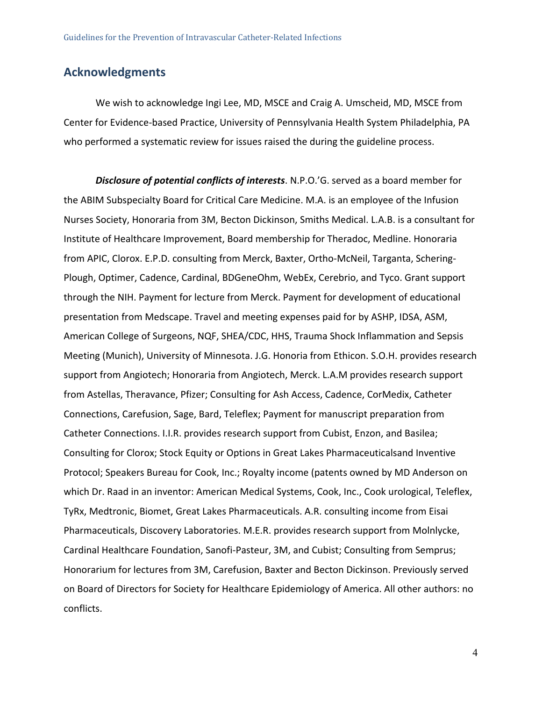# **Acknowledgments**

We wish to acknowledge Ingi Lee, MD, MSCE and Craig A. Umscheid, MD, MSCE from Center for Evidence-based Practice, University of Pennsylvania Health System Philadelphia, PA who performed a systematic review for issues raised the during the guideline process.

*Disclosure of potential conflicts of interests*. N.P.O.'G. served as a board member for the ABIM Subspecialty Board for Critical Care Medicine. M.A. is an employee of the Infusion Nurses Society, Honoraria from 3M, Becton Dickinson, Smiths Medical. L.A.B. is a consultant for Institute of Healthcare Improvement, Board membership for Theradoc, Medline. Honoraria from APIC, Clorox. E.P.D. consulting from Merck, Baxter, Ortho-McNeil, Targanta, Schering-Plough, Optimer, Cadence, Cardinal, BDGeneOhm, WebEx, Cerebrio, and Tyco. Grant support through the NIH. Payment for lecture from Merck. Payment for development of educational presentation from Medscape. Travel and meeting expenses paid for by ASHP, IDSA, ASM, American College of Surgeons, NQF, SHEA/CDC, HHS, Trauma Shock Inflammation and Sepsis Meeting (Munich), University of Minnesota. J.G. Honoria from Ethicon. S.O.H. provides research support from Angiotech; Honoraria from Angiotech, Merck. L.A.M provides research support from Astellas, Theravance, Pfizer; Consulting for Ash Access, Cadence, CorMedix, Catheter Connections, Carefusion, Sage, Bard, Teleflex; Payment for manuscript preparation from Catheter Connections. I.I.R. provides research support from Cubist, Enzon, and Basilea; Consulting for Clorox; Stock Equity or Options in Great Lakes Pharmaceuticalsand Inventive Protocol; Speakers Bureau for Cook, Inc.; Royalty income (patents owned by MD Anderson on which Dr. Raad in an inventor: American Medical Systems, Cook, Inc., Cook urological, Teleflex, TyRx, Medtronic, Biomet, Great Lakes Pharmaceuticals. A.R. consulting income from Eisai Pharmaceuticals, Discovery Laboratories. M.E.R. provides research support from Molnlycke, Cardinal Healthcare Foundation, Sanofi-Pasteur, 3M, and Cubist; Consulting from Semprus; Honorarium for lectures from 3M, Carefusion, Baxter and Becton Dickinson. Previously served on Board of Directors for Society for Healthcare Epidemiology of America. All other authors: no conflicts.

4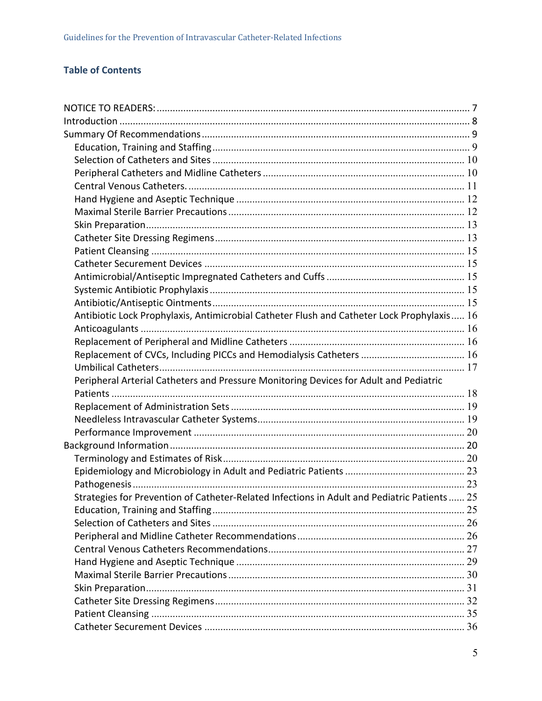# **Table of Contents**

| Antibiotic Lock Prophylaxis, Antimicrobial Catheter Flush and Catheter Lock Prophylaxis 16   |  |
|----------------------------------------------------------------------------------------------|--|
|                                                                                              |  |
|                                                                                              |  |
|                                                                                              |  |
|                                                                                              |  |
| Peripheral Arterial Catheters and Pressure Monitoring Devices for Adult and Pediatric        |  |
|                                                                                              |  |
|                                                                                              |  |
|                                                                                              |  |
|                                                                                              |  |
|                                                                                              |  |
|                                                                                              |  |
|                                                                                              |  |
|                                                                                              |  |
| Strategies for Prevention of Catheter-Related Infections in Adult and Pediatric Patients  25 |  |
|                                                                                              |  |
|                                                                                              |  |
|                                                                                              |  |
|                                                                                              |  |
|                                                                                              |  |
|                                                                                              |  |
|                                                                                              |  |
|                                                                                              |  |
|                                                                                              |  |
|                                                                                              |  |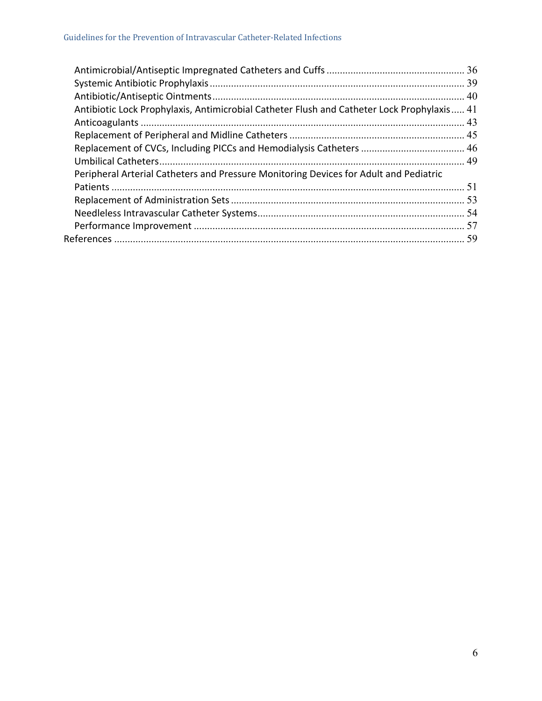| Antibiotic Lock Prophylaxis, Antimicrobial Catheter Flush and Catheter Lock Prophylaxis 41 |  |
|--------------------------------------------------------------------------------------------|--|
|                                                                                            |  |
|                                                                                            |  |
|                                                                                            |  |
|                                                                                            |  |
| Peripheral Arterial Catheters and Pressure Monitoring Devices for Adult and Pediatric      |  |
|                                                                                            |  |
|                                                                                            |  |
|                                                                                            |  |
|                                                                                            |  |
|                                                                                            |  |
|                                                                                            |  |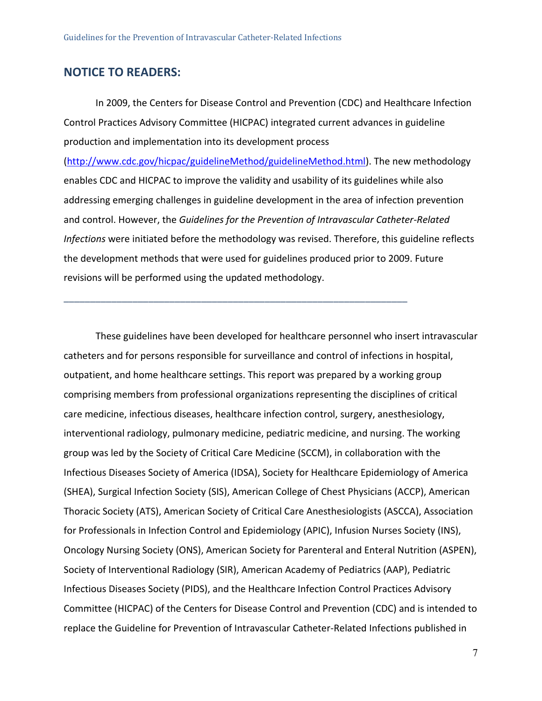# <span id="page-6-0"></span>**NOTICE TO READERS:**

In 2009, the Centers for Disease Control and Prevention (CDC) and Healthcare Infection Control Practices Advisory Committee (HICPAC) integrated current advances in guideline production and implementation into its development process [\(http://www.cdc.gov/hicpac/guidelineMethod/guidelineMethod.html\)](http://www.cdc.gov/hicpac/guidelineMethod/guidelineMethod.html). The new methodology enables CDC and HICPAC to improve the validity and usability of its guidelines while also addressing emerging challenges in guideline development in the area of infection prevention and control. However, the *Guidelines for the Prevention of Intravascular Catheter-Related Infections* were initiated before the methodology was revised. Therefore, this guideline reflects the development methods that were used for guidelines produced prior to 2009. Future revisions will be performed using the updated methodology.

\_\_\_\_\_\_\_\_\_\_\_\_\_\_\_\_\_\_\_\_\_\_\_\_\_\_\_\_\_\_\_\_\_\_\_\_\_\_\_\_\_\_\_\_\_\_\_\_\_\_\_\_\_\_\_\_\_\_\_\_\_\_\_\_\_

These guidelines have been developed for healthcare personnel who insert intravascular catheters and for persons responsible for surveillance and control of infections in hospital, outpatient, and home healthcare settings. This report was prepared by a working group comprising members from professional organizations representing the disciplines of critical care medicine, infectious diseases, healthcare infection control, surgery, anesthesiology, interventional radiology, pulmonary medicine, pediatric medicine, and nursing. The working group was led by the Society of Critical Care Medicine (SCCM), in collaboration with the Infectious Diseases Society of America (IDSA), Society for Healthcare Epidemiology of America (SHEA), Surgical Infection Society (SIS), American College of Chest Physicians (ACCP), American Thoracic Society (ATS), American Society of Critical Care Anesthesiologists (ASCCA), Association for Professionals in Infection Control and Epidemiology (APIC), Infusion Nurses Society (INS), Oncology Nursing Society (ONS), American Society for Parenteral and Enteral Nutrition (ASPEN), Society of Interventional Radiology (SIR), American Academy of Pediatrics (AAP), Pediatric Infectious Diseases Society (PIDS), and the Healthcare Infection Control Practices Advisory Committee (HICPAC) of the Centers for Disease Control and Prevention (CDC) and is intended to replace the Guideline for Prevention of Intravascular Catheter-Related Infections published in

7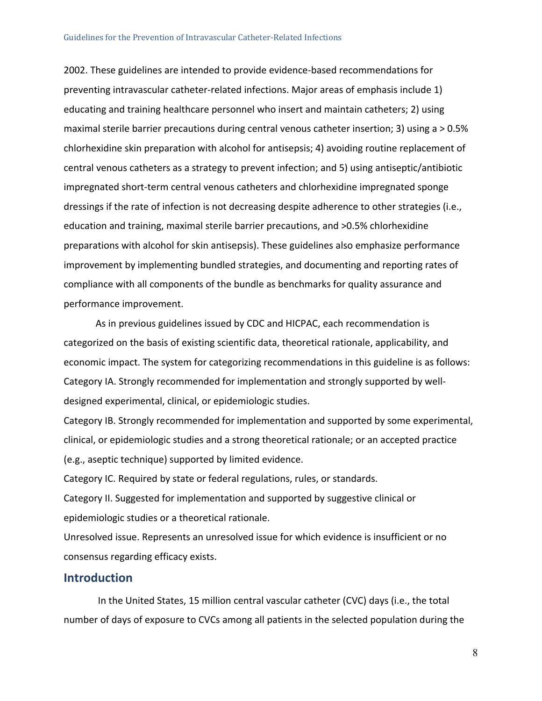2002. These guidelines are intended to provide evidence-based recommendations for preventing intravascular catheter-related infections. Major areas of emphasis include 1) educating and training healthcare personnel who insert and maintain catheters; 2) using maximal sterile barrier precautions during central venous catheter insertion; 3) using a > 0.5% chlorhexidine skin preparation with alcohol for antisepsis; 4) avoiding routine replacement of central venous catheters as a strategy to prevent infection; and 5) using antiseptic/antibiotic impregnated short-term central venous catheters and chlorhexidine impregnated sponge dressings if the rate of infection is not decreasing despite adherence to other strategies (i.e., education and training, maximal sterile barrier precautions, and >0.5% chlorhexidine preparations with alcohol for skin antisepsis). These guidelines also emphasize performance improvement by implementing bundled strategies, and documenting and reporting rates of compliance with all components of the bundle as benchmarks for quality assurance and performance improvement.

As in previous guidelines issued by CDC and HICPAC, each recommendation is categorized on the basis of existing scientific data, theoretical rationale, applicability, and economic impact. The system for categorizing recommendations in this guideline is as follows: Category IA. Strongly recommended for implementation and strongly supported by welldesigned experimental, clinical, or epidemiologic studies.

Category IB. Strongly recommended for implementation and supported by some experimental, clinical, or epidemiologic studies and a strong theoretical rationale; or an accepted practice (e.g., aseptic technique) supported by limited evidence.

Category IC. Required by state or federal regulations, rules, or standards.

Category II. Suggested for implementation and supported by suggestive clinical or epidemiologic studies or a theoretical rationale.

Unresolved issue. Represents an unresolved issue for which evidence is insufficient or no consensus regarding efficacy exists.

# <span id="page-7-0"></span>**Introduction**

In the United States, 15 million central vascular catheter (CVC) days (i.e., the total number of days of exposure to CVCs among all patients in the selected population during the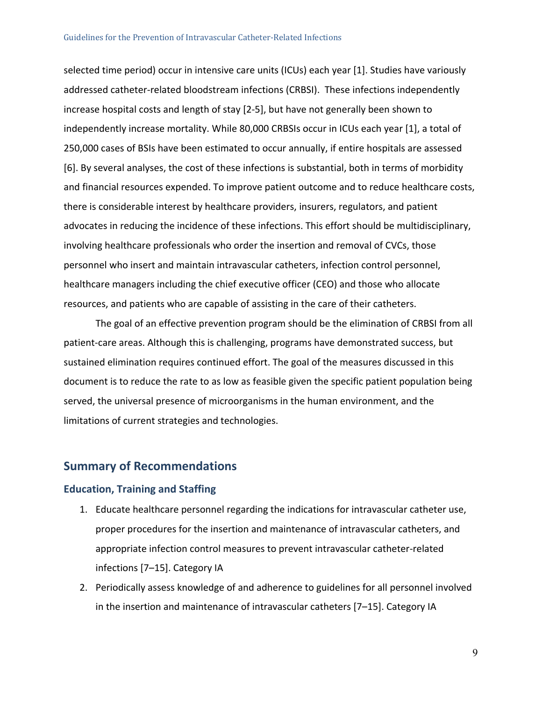selected time period) occur in intensive care units (ICUs) each year [1]. Studies have variously addressed catheter-related bloodstream infections (CRBSI). These infections independently increase hospital costs and length of stay [2-5], but have not generally been shown to independently increase mortality. While 80,000 CRBSIs occur in ICUs each year [1], a total of 250,000 cases of BSIs have been estimated to occur annually, if entire hospitals are assessed [6]. By several analyses, the cost of these infections is substantial, both in terms of morbidity and financial resources expended. To improve patient outcome and to reduce healthcare costs, there is considerable interest by healthcare providers, insurers, regulators, and patient advocates in reducing the incidence of these infections. This effort should be multidisciplinary, involving healthcare professionals who order the insertion and removal of CVCs, those personnel who insert and maintain intravascular catheters, infection control personnel, healthcare managers including the chief executive officer (CEO) and those who allocate resources, and patients who are capable of assisting in the care of their catheters.

The goal of an effective prevention program should be the elimination of CRBSI from all patient-care areas. Although this is challenging, programs have demonstrated success, but sustained elimination requires continued effort. The goal of the measures discussed in this document is to reduce the rate to as low as feasible given the specific patient population being served, the universal presence of microorganisms in the human environment, and the limitations of current strategies and technologies.

# <span id="page-8-0"></span>**Summary of Recommendations**

### <span id="page-8-1"></span>**Education, Training and Staffing**

- 1. Educate healthcare personnel regarding the indications for intravascular catheter use, proper procedures for the insertion and maintenance of intravascular catheters, and appropriate infection control measures to prevent intravascular catheter-related infections [7–15]. Category IA
- 2. Periodically assess knowledge of and adherence to guidelines for all personnel involved in the insertion and maintenance of intravascular catheters [7–15]. Category IA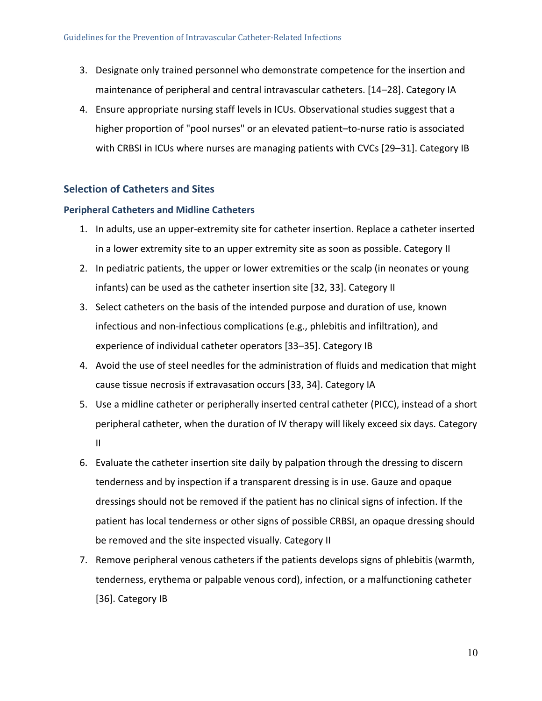- 3. Designate only trained personnel who demonstrate competence for the insertion and maintenance of peripheral and central intravascular catheters. [14–28]. Category IA
- 4. Ensure appropriate nursing staff levels in ICUs. Observational studies suggest that a higher proportion of "pool nurses" or an elevated patient–to-nurse ratio is associated with CRBSI in ICUs where nurses are managing patients with CVCs [29–31]. Category IB

# <span id="page-9-0"></span>**Selection of Catheters and Sites**

### <span id="page-9-1"></span>**Peripheral Catheters and Midline Catheters**

- 1. In adults, use an upper-extremity site for catheter insertion. Replace a catheter inserted in a lower extremity site to an upper extremity site as soon as possible. Category II
- 2. In pediatric patients, the upper or lower extremities or the scalp (in neonates or young infants) can be used as the catheter insertion site [32, 33]. Category II
- 3. Select catheters on the basis of the intended purpose and duration of use, known infectious and non-infectious complications (e.g., phlebitis and infiltration), and experience of individual catheter operators [33–35]. Category IB
- 4. Avoid the use of steel needles for the administration of fluids and medication that might cause tissue necrosis if extravasation occurs [33, 34]. Category IA
- 5. Use a midline catheter or peripherally inserted central catheter (PICC), instead of a short peripheral catheter, when the duration of IV therapy will likely exceed six days. Category II
- 6. Evaluate the catheter insertion site daily by palpation through the dressing to discern tenderness and by inspection if a transparent dressing is in use. Gauze and opaque dressings should not be removed if the patient has no clinical signs of infection. If the patient has local tenderness or other signs of possible CRBSI, an opaque dressing should be removed and the site inspected visually. Category II
- 7. Remove peripheral venous catheters if the patients develops signs of phlebitis (warmth, tenderness, erythema or palpable venous cord), infection, or a malfunctioning catheter [36]. Category IB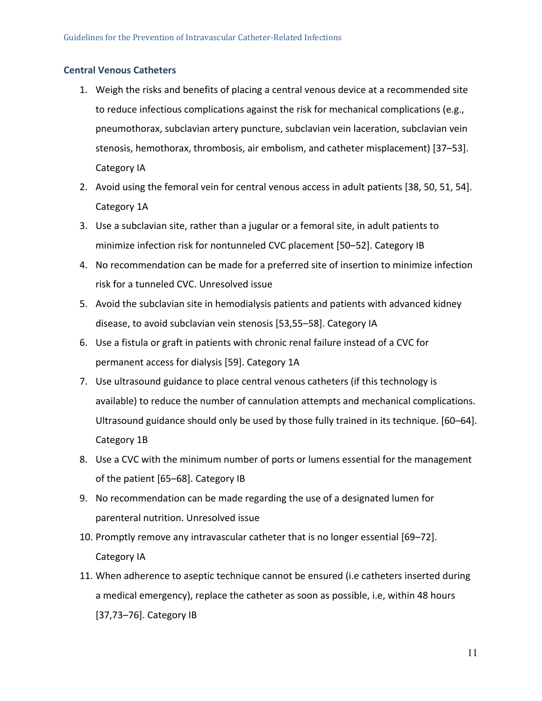### <span id="page-10-0"></span>**Central Venous Catheters**

- 1. Weigh the risks and benefits of placing a central venous device at a recommended site to reduce infectious complications against the risk for mechanical complications (e.g., pneumothorax, subclavian artery puncture, subclavian vein laceration, subclavian vein stenosis, hemothorax, thrombosis, air embolism, and catheter misplacement) [37–53]. Category IA
- 2. Avoid using the femoral vein for central venous access in adult patients [38, 50, 51, 54]. Category 1A
- 3. Use a subclavian site, rather than a jugular or a femoral site, in adult patients to minimize infection risk for nontunneled CVC placement [50–52]. Category IB
- 4. No recommendation can be made for a preferred site of insertion to minimize infection risk for a tunneled CVC. Unresolved issue
- 5. Avoid the subclavian site in hemodialysis patients and patients with advanced kidney disease, to avoid subclavian vein stenosis [53,55–58]. Category IA
- 6. Use a fistula or graft in patients with chronic renal failure instead of a CVC for permanent access for dialysis [59]. Category 1A
- 7. Use ultrasound guidance to place central venous catheters (if this technology is available) to reduce the number of cannulation attempts and mechanical complications. Ultrasound guidance should only be used by those fully trained in its technique. [60–64]. Category 1B
- 8. Use a CVC with the minimum number of ports or lumens essential for the management of the patient [65–68]. Category IB
- 9. No recommendation can be made regarding the use of a designated lumen for parenteral nutrition. Unresolved issue
- 10. Promptly remove any intravascular catheter that is no longer essential [69–72]. Category IA
- 11. When adherence to aseptic technique cannot be ensured (i.e catheters inserted during a medical emergency), replace the catheter as soon as possible, i.e, within 48 hours [37,73–76]. Category IB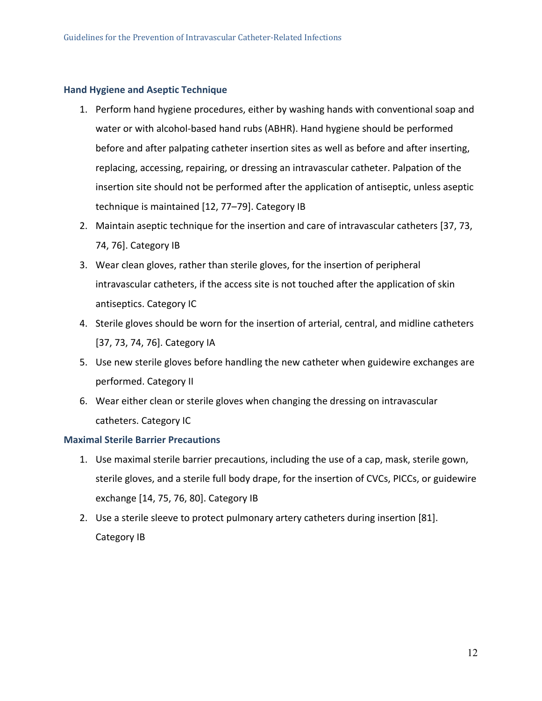### <span id="page-11-0"></span>**Hand Hygiene and Aseptic Technique**

- 1. Perform hand hygiene procedures, either by washing hands with conventional soap and water or with alcohol-based hand rubs (ABHR). Hand hygiene should be performed before and after palpating catheter insertion sites as well as before and after inserting, replacing, accessing, repairing, or dressing an intravascular catheter. Palpation of the insertion site should not be performed after the application of antiseptic, unless aseptic technique is maintained [12, 77–79]. Category IB
- 2. Maintain aseptic technique for the insertion and care of intravascular catheters [37, 73, 74, 76]. Category IB
- 3. Wear clean gloves, rather than sterile gloves, for the insertion of peripheral intravascular catheters, if the access site is not touched after the application of skin antiseptics. Category IC
- 4. Sterile gloves should be worn for the insertion of arterial, central, and midline catheters [37, 73, 74, 76]. Category IA
- 5. Use new sterile gloves before handling the new catheter when guidewire exchanges are performed. Category II
- 6. Wear either clean or sterile gloves when changing the dressing on intravascular catheters. Category IC

### <span id="page-11-1"></span>**Maximal Sterile Barrier Precautions**

- 1. Use maximal sterile barrier precautions, including the use of a cap, mask, sterile gown, sterile gloves, and a sterile full body drape, for the insertion of CVCs, PICCs, or guidewire exchange [14, 75, 76, 80]. Category IB
- 2. Use a sterile sleeve to protect pulmonary artery catheters during insertion [81]. Category IB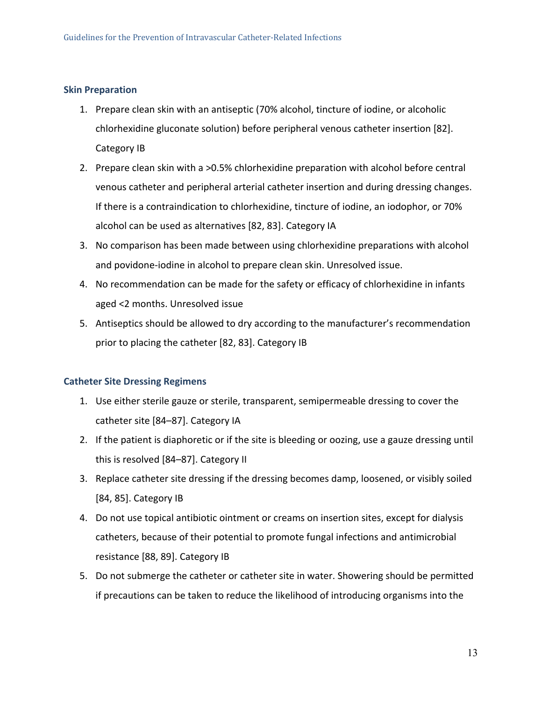# <span id="page-12-0"></span>**Skin Preparation**

- 1. Prepare clean skin with an antiseptic (70% alcohol, tincture of iodine, or alcoholic chlorhexidine gluconate solution) before peripheral venous catheter insertion [82]. Category IB
- 2. Prepare clean skin with a >0.5% chlorhexidine preparation with alcohol before central venous catheter and peripheral arterial catheter insertion and during dressing changes. If there is a contraindication to chlorhexidine, tincture of iodine, an iodophor, or 70% alcohol can be used as alternatives [82, 83]. Category IA
- 3. No comparison has been made between using chlorhexidine preparations with alcohol and povidone-iodine in alcohol to prepare clean skin. Unresolved issue.
- 4. No recommendation can be made for the safety or efficacy of chlorhexidine in infants aged <2 months. Unresolved issue
- 5. Antiseptics should be allowed to dry according to the manufacturer's recommendation prior to placing the catheter [82, 83]. Category IB

# <span id="page-12-1"></span>**Catheter Site Dressing Regimens**

- 1. Use either sterile gauze or sterile, transparent, semipermeable dressing to cover the catheter site [84–87]. Category IA
- 2. If the patient is diaphoretic or if the site is bleeding or oozing, use a gauze dressing until this is resolved [84–87]. Category II
- 3. Replace catheter site dressing if the dressing becomes damp, loosened, or visibly soiled [84, 85]. Category IB
- 4. Do not use topical antibiotic ointment or creams on insertion sites, except for dialysis catheters, because of their potential to promote fungal infections and antimicrobial resistance [88, 89]. Category IB
- 5. Do not submerge the catheter or catheter site in water. Showering should be permitted if precautions can be taken to reduce the likelihood of introducing organisms into the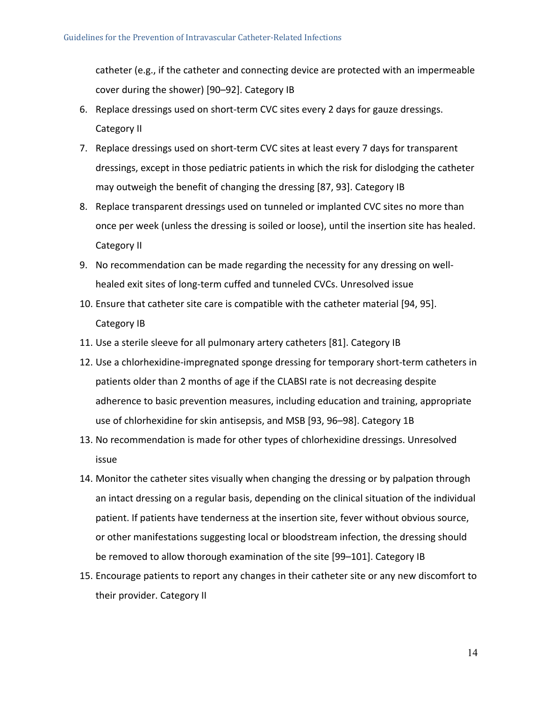catheter (e.g., if the catheter and connecting device are protected with an impermeable cover during the shower) [90–92]. Category IB

- 6. Replace dressings used on short-term CVC sites every 2 days for gauze dressings. Category II
- 7. Replace dressings used on short-term CVC sites at least every 7 days for transparent dressings, except in those pediatric patients in which the risk for dislodging the catheter may outweigh the benefit of changing the dressing [87, 93]. Category IB
- 8. Replace transparent dressings used on tunneled or implanted CVC sites no more than once per week (unless the dressing is soiled or loose), until the insertion site has healed. Category II
- 9. No recommendation can be made regarding the necessity for any dressing on wellhealed exit sites of long-term cuffed and tunneled CVCs. Unresolved issue
- 10. Ensure that catheter site care is compatible with the catheter material [94, 95]. Category IB
- 11. Use a sterile sleeve for all pulmonary artery catheters [81]. Category IB
- 12. Use a chlorhexidine-impregnated sponge dressing for temporary short-term catheters in patients older than 2 months of age if the CLABSI rate is not decreasing despite adherence to basic prevention measures, including education and training, appropriate use of chlorhexidine for skin antisepsis, and MSB [93, 96–98]. Category 1B
- 13. No recommendation is made for other types of chlorhexidine dressings. Unresolved issue
- 14. Monitor the catheter sites visually when changing the dressing or by palpation through an intact dressing on a regular basis, depending on the clinical situation of the individual patient. If patients have tenderness at the insertion site, fever without obvious source, or other manifestations suggesting local or bloodstream infection, the dressing should be removed to allow thorough examination of the site [99–101]. Category IB
- 15. Encourage patients to report any changes in their catheter site or any new discomfort to their provider. Category II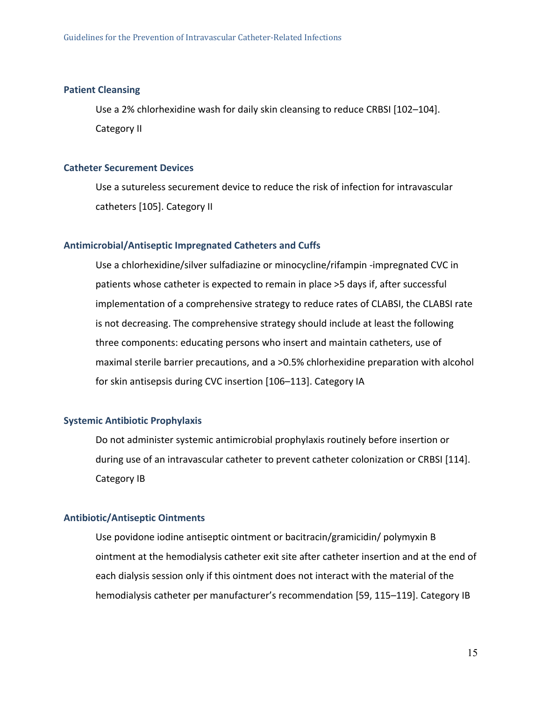### <span id="page-14-0"></span>**Patient Cleansing**

Use a 2% chlorhexidine wash for daily skin cleansing to reduce CRBSI [102–104]. Category II

### <span id="page-14-1"></span>**Catheter Securement Devices**

Use a sutureless securement device to reduce the risk of infection for intravascular catheters [105]. Category II

### <span id="page-14-2"></span>**Antimicrobial/Antiseptic Impregnated Catheters and Cuffs**

Use a chlorhexidine/silver sulfadiazine or minocycline/rifampin -impregnated CVC in patients whose catheter is expected to remain in place >5 days if, after successful implementation of a comprehensive strategy to reduce rates of CLABSI, the CLABSI rate is not decreasing. The comprehensive strategy should include at least the following three components: educating persons who insert and maintain catheters, use of maximal sterile barrier precautions, and a >0.5% chlorhexidine preparation with alcohol for skin antisepsis during CVC insertion [106–113]. Category IA

### <span id="page-14-3"></span>**Systemic Antibiotic Prophylaxis**

Do not administer systemic antimicrobial prophylaxis routinely before insertion or during use of an intravascular catheter to prevent catheter colonization or CRBSI [114]. Category IB

### <span id="page-14-4"></span>**Antibiotic/Antiseptic Ointments**

Use povidone iodine antiseptic ointment or bacitracin/gramicidin/ polymyxin B ointment at the hemodialysis catheter exit site after catheter insertion and at the end of each dialysis session only if this ointment does not interact with the material of the hemodialysis catheter per manufacturer's recommendation [59, 115–119]. Category IB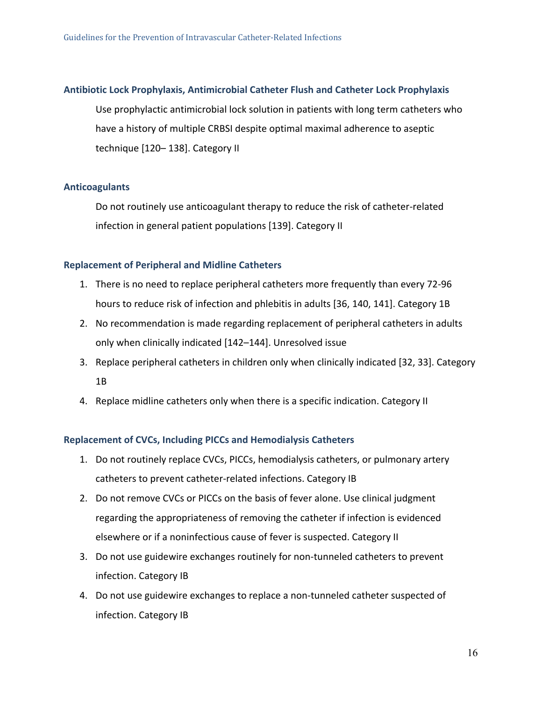# <span id="page-15-0"></span>**Antibiotic Lock Prophylaxis, Antimicrobial Catheter Flush and Catheter Lock Prophylaxis**

Use prophylactic antimicrobial lock solution in patients with long term catheters who have a history of multiple CRBSI despite optimal maximal adherence to aseptic technique [120– 138]. Category II

### <span id="page-15-1"></span>**Anticoagulants**

Do not routinely use anticoagulant therapy to reduce the risk of catheter-related infection in general patient populations [139]. Category II

### <span id="page-15-2"></span>**Replacement of Peripheral and Midline Catheters**

- 1. There is no need to replace peripheral catheters more frequently than every 72-96 hours to reduce risk of infection and phlebitis in adults [36, 140, 141]. Category 1B
- 2. No recommendation is made regarding replacement of peripheral catheters in adults only when clinically indicated [142–144]. Unresolved issue
- 3. Replace peripheral catheters in children only when clinically indicated [32, 33]. Category 1B
- 4. Replace midline catheters only when there is a specific indication. Category II

# <span id="page-15-3"></span>**Replacement of CVCs, Including PICCs and Hemodialysis Catheters**

- 1. Do not routinely replace CVCs, PICCs, hemodialysis catheters, or pulmonary artery catheters to prevent catheter-related infections. Category IB
- 2. Do not remove CVCs or PICCs on the basis of fever alone. Use clinical judgment regarding the appropriateness of removing the catheter if infection is evidenced elsewhere or if a noninfectious cause of fever is suspected. Category II
- 3. Do not use guidewire exchanges routinely for non-tunneled catheters to prevent infection. Category IB
- 4. Do not use guidewire exchanges to replace a non-tunneled catheter suspected of infection. Category IB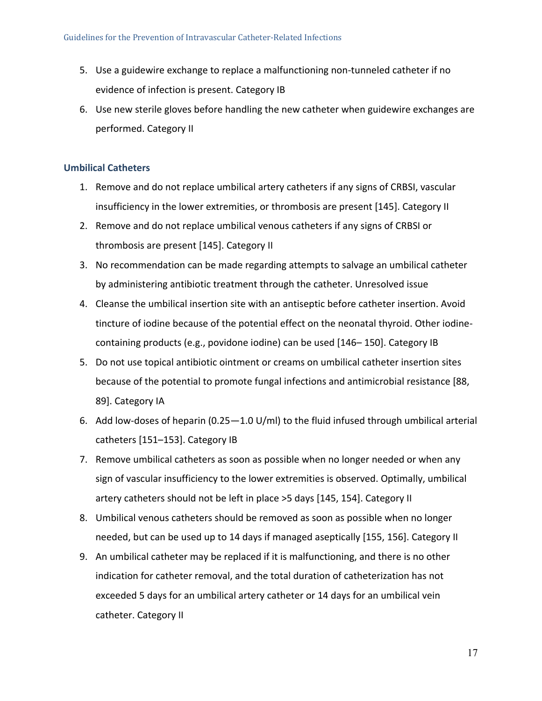- 5. Use a guidewire exchange to replace a malfunctioning non-tunneled catheter if no evidence of infection is present. Category IB
- 6. Use new sterile gloves before handling the new catheter when guidewire exchanges are performed. Category II

# <span id="page-16-0"></span>**Umbilical Catheters**

- 1. Remove and do not replace umbilical artery catheters if any signs of CRBSI, vascular insufficiency in the lower extremities, or thrombosis are present [145]. Category II
- 2. Remove and do not replace umbilical venous catheters if any signs of CRBSI or thrombosis are present [145]. Category II
- 3. No recommendation can be made regarding attempts to salvage an umbilical catheter by administering antibiotic treatment through the catheter. Unresolved issue
- 4. Cleanse the umbilical insertion site with an antiseptic before catheter insertion. Avoid tincture of iodine because of the potential effect on the neonatal thyroid. Other iodinecontaining products (e.g., povidone iodine) can be used [146– 150]. Category IB
- 5. Do not use topical antibiotic ointment or creams on umbilical catheter insertion sites because of the potential to promote fungal infections and antimicrobial resistance [88, 89]. Category IA
- 6. Add low-doses of heparin (0.25—1.0 U/ml) to the fluid infused through umbilical arterial catheters [151–153]. Category IB
- 7. Remove umbilical catheters as soon as possible when no longer needed or when any sign of vascular insufficiency to the lower extremities is observed. Optimally, umbilical artery catheters should not be left in place >5 days [145, 154]. Category II
- 8. Umbilical venous catheters should be removed as soon as possible when no longer needed, but can be used up to 14 days if managed aseptically [155, 156]. Category II
- 9. An umbilical catheter may be replaced if it is malfunctioning, and there is no other indication for catheter removal, and the total duration of catheterization has not exceeded 5 days for an umbilical artery catheter or 14 days for an umbilical vein catheter. Category II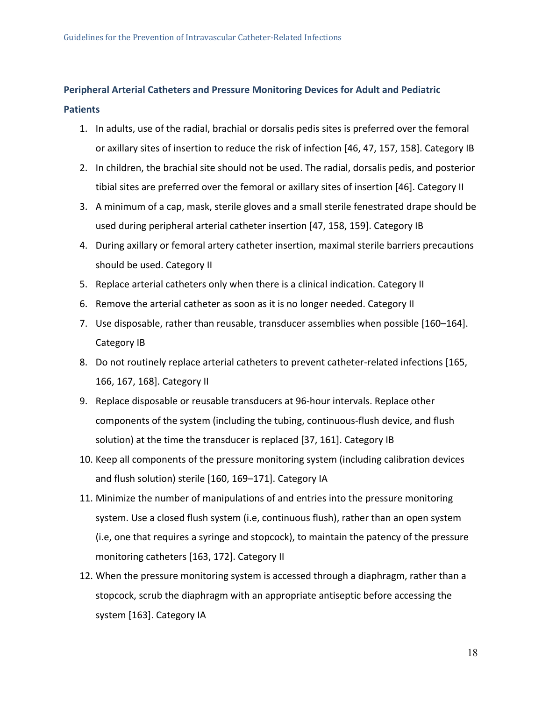# <span id="page-17-0"></span>**Peripheral Arterial Catheters and Pressure Monitoring Devices for Adult and Pediatric Patients**

- 1. In adults, use of the radial, brachial or dorsalis pedis sites is preferred over the femoral or axillary sites of insertion to reduce the risk of infection [46, 47, 157, 158]. Category IB
- 2. In children, the brachial site should not be used. The radial, dorsalis pedis, and posterior tibial sites are preferred over the femoral or axillary sites of insertion [46]. Category II
- 3. A minimum of a cap, mask, sterile gloves and a small sterile fenestrated drape should be used during peripheral arterial catheter insertion [47, 158, 159]. Category IB
- 4. During axillary or femoral artery catheter insertion, maximal sterile barriers precautions should be used. Category II
- 5. Replace arterial catheters only when there is a clinical indication. Category II
- 6. Remove the arterial catheter as soon as it is no longer needed. Category II
- 7. Use disposable, rather than reusable, transducer assemblies when possible [160–164]. Category IB
- 8. Do not routinely replace arterial catheters to prevent catheter-related infections [165, 166, 167, 168]. Category II
- 9. Replace disposable or reusable transducers at 96-hour intervals. Replace other components of the system (including the tubing, continuous-flush device, and flush solution) at the time the transducer is replaced [37, 161]. Category IB
- 10. Keep all components of the pressure monitoring system (including calibration devices and flush solution) sterile [160, 169–171]. Category IA
- 11. Minimize the number of manipulations of and entries into the pressure monitoring system. Use a closed flush system (i.e, continuous flush), rather than an open system (i.e, one that requires a syringe and stopcock), to maintain the patency of the pressure monitoring catheters [163, 172]. Category II
- 12. When the pressure monitoring system is accessed through a diaphragm, rather than a stopcock, scrub the diaphragm with an appropriate antiseptic before accessing the system [163]. Category IA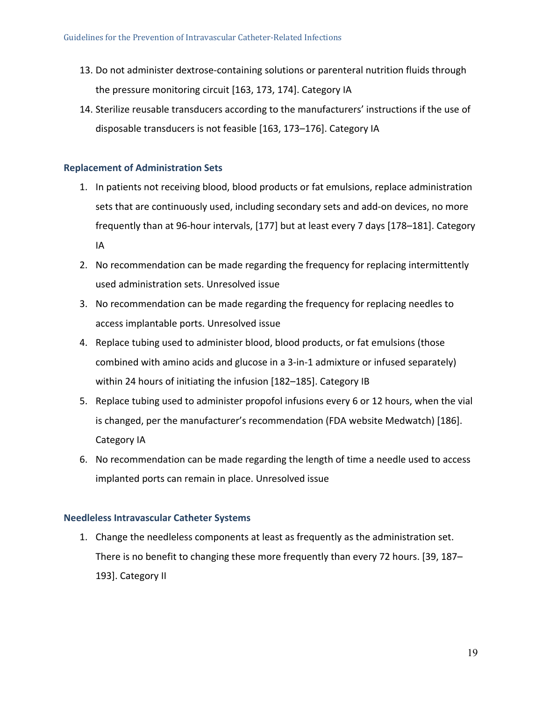- 13. Do not administer dextrose-containing solutions or parenteral nutrition fluids through the pressure monitoring circuit [163, 173, 174]. Category IA
- 14. Sterilize reusable transducers according to the manufacturers' instructions if the use of disposable transducers is not feasible [163, 173–176]. Category IA

# <span id="page-18-0"></span>**Replacement of Administration Sets**

- 1. In patients not receiving blood, blood products or fat emulsions, replace administration sets that are continuously used, including secondary sets and add-on devices, no more frequently than at 96-hour intervals, [177] but at least every 7 days [178–181]. Category IA
- 2. No recommendation can be made regarding the frequency for replacing intermittently used administration sets. Unresolved issue
- 3. No recommendation can be made regarding the frequency for replacing needles to access implantable ports. Unresolved issue
- 4. Replace tubing used to administer blood, blood products, or fat emulsions (those combined with amino acids and glucose in a 3-in-1 admixture or infused separately) within 24 hours of initiating the infusion [182–185]. Category IB
- 5. Replace tubing used to administer propofol infusions every 6 or 12 hours, when the vial is changed, per the manufacturer's recommendation (FDA website Medwatch) [186]. Category IA
- 6. No recommendation can be made regarding the length of time a needle used to access implanted ports can remain in place. Unresolved issue

# <span id="page-18-1"></span>**Needleless Intravascular Catheter Systems**

1. Change the needleless components at least as frequently as the administration set. There is no benefit to changing these more frequently than every 72 hours. [39, 187– 193]. Category II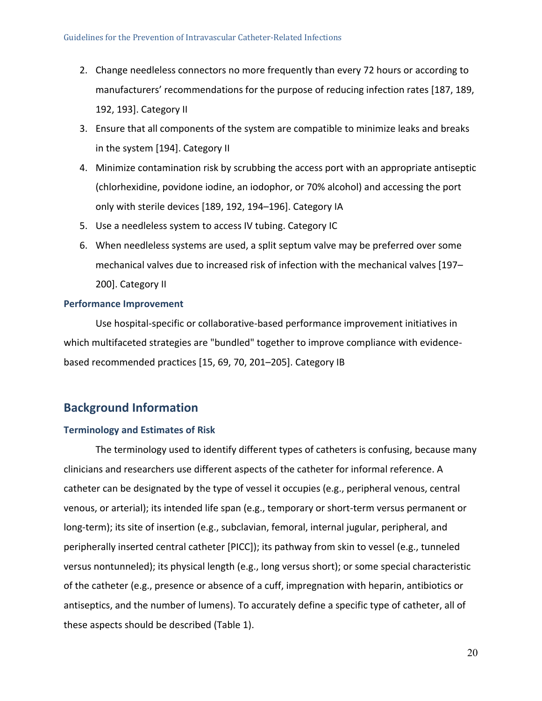- 2. Change needleless connectors no more frequently than every 72 hours or according to manufacturers' recommendations for the purpose of reducing infection rates [187, 189, 192, 193]. Category II
- 3. Ensure that all components of the system are compatible to minimize leaks and breaks in the system [194]. Category II
- 4. Minimize contamination risk by scrubbing the access port with an appropriate antiseptic (chlorhexidine, povidone iodine, an iodophor, or 70% alcohol) and accessing the port only with sterile devices [189, 192, 194–196]. Category IA
- 5. Use a needleless system to access IV tubing. Category IC
- 6. When needleless systems are used, a split septum valve may be preferred over some mechanical valves due to increased risk of infection with the mechanical valves [197– 200]. Category II

### <span id="page-19-0"></span>**Performance Improvement**

Use hospital-specific or collaborative-based performance improvement initiatives in which multifaceted strategies are "bundled" together to improve compliance with evidencebased recommended practices [15, 69, 70, 201–205]. Category IB

# <span id="page-19-1"></span>**Background Information**

### <span id="page-19-2"></span>**Terminology and Estimates of Risk**

The terminology used to identify different types of catheters is confusing, because many clinicians and researchers use different aspects of the catheter for informal reference. A catheter can be designated by the type of vessel it occupies (e.g., peripheral venous, central venous, or arterial); its intended life span (e.g., temporary or short-term versus permanent or long-term); its site of insertion (e.g., subclavian, femoral, internal jugular, peripheral, and peripherally inserted central catheter [PICC]); its pathway from skin to vessel (e.g., tunneled versus nontunneled); its physical length (e.g., long versus short); or some special characteristic of the catheter (e.g., presence or absence of a cuff, impregnation with heparin, antibiotics or antiseptics, and the number of lumens). To accurately define a specific type of catheter, all of these aspects should be described (Table 1).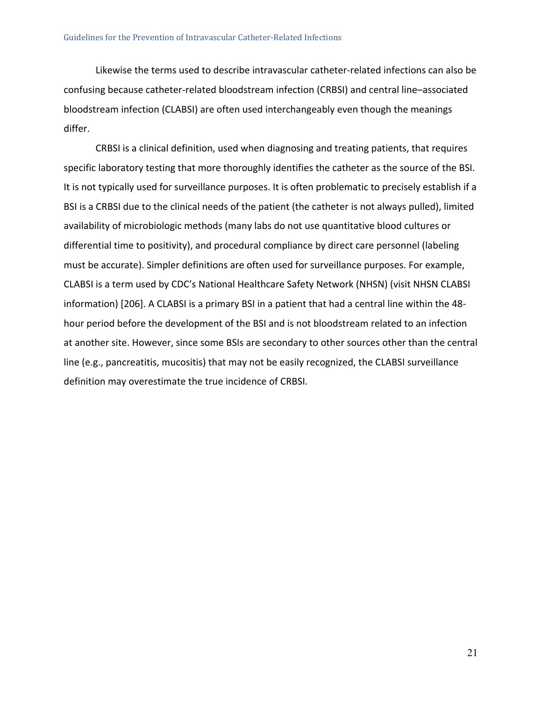Likewise the terms used to describe intravascular catheter-related infections can also be confusing because catheter-related bloodstream infection (CRBSI) and central line–associated bloodstream infection (CLABSI) are often used interchangeably even though the meanings differ.

CRBSI is a clinical definition, used when diagnosing and treating patients, that requires specific laboratory testing that more thoroughly identifies the catheter as the source of the BSI. It is not typically used for surveillance purposes. It is often problematic to precisely establish if a BSI is a CRBSI due to the clinical needs of the patient (the catheter is not always pulled), limited availability of microbiologic methods (many labs do not use quantitative blood cultures or differential time to positivity), and procedural compliance by direct care personnel (labeling must be accurate). Simpler definitions are often used for surveillance purposes. For example, CLABSI is a term used by CDC's National Healthcare Safety Network (NHSN) (visit NHSN CLABSI information) [206]. A CLABSI is a primary BSI in a patient that had a central line within the 48 hour period before the development of the BSI and is not bloodstream related to an infection at another site. However, since some BSIs are secondary to other sources other than the central line (e.g., pancreatitis, mucositis) that may not be easily recognized, the CLABSI surveillance definition may overestimate the true incidence of CRBSI.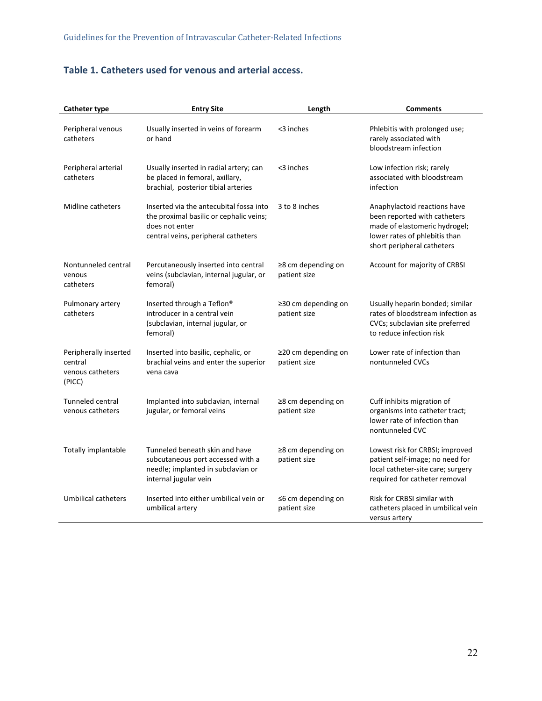# **Table 1. Catheters used for venous and arterial access.**

| <b>Catheter type</b>                                           | <b>Entry Site</b>                                                                                                                           | Length                                   | <b>Comments</b>                                                                                                                                              |
|----------------------------------------------------------------|---------------------------------------------------------------------------------------------------------------------------------------------|------------------------------------------|--------------------------------------------------------------------------------------------------------------------------------------------------------------|
| Peripheral venous<br>catheters                                 | Usually inserted in veins of forearm<br>or hand                                                                                             | <3 inches                                | Phlebitis with prolonged use;<br>rarely associated with<br>bloodstream infection                                                                             |
| Peripheral arterial<br>catheters                               | Usually inserted in radial artery; can<br>be placed in femoral, axillary,<br>brachial, posterior tibial arteries                            | <3 inches                                | Low infection risk; rarely<br>associated with bloodstream<br>infection                                                                                       |
| <b>Midline catheters</b>                                       | Inserted via the antecubital fossa into<br>the proximal basilic or cephalic veins;<br>does not enter<br>central veins, peripheral catheters | 3 to 8 inches                            | Anaphylactoid reactions have<br>been reported with catheters<br>made of elastomeric hydrogel;<br>lower rates of phlebitis than<br>short peripheral catheters |
| Nontunneled central<br>venous<br>catheters                     | Percutaneously inserted into central<br>veins (subclavian, internal jugular, or<br>femoral)                                                 | ≥8 cm depending on<br>patient size       | Account for majority of CRBSI                                                                                                                                |
| Pulmonary artery<br>catheters                                  | Inserted through a Teflon®<br>introducer in a central vein<br>(subclavian, internal jugular, or<br>femoral)                                 | ≥30 cm depending on<br>patient size      | Usually heparin bonded; similar<br>rates of bloodstream infection as<br>CVCs; subclavian site preferred<br>to reduce infection risk                          |
| Peripherally inserted<br>central<br>venous catheters<br>(PICC) | Inserted into basilic, cephalic, or<br>brachial veins and enter the superior<br>vena cava                                                   | ≥20 cm depending on<br>patient size      | Lower rate of infection than<br>nontunneled CVCs                                                                                                             |
| <b>Tunneled central</b><br>venous catheters                    | Implanted into subclavian, internal<br>jugular, or femoral veins                                                                            | $\geq$ 8 cm depending on<br>patient size | Cuff inhibits migration of<br>organisms into catheter tract;<br>lower rate of infection than<br>nontunneled CVC                                              |
| Totally implantable                                            | Tunneled beneath skin and have<br>subcutaneous port accessed with a<br>needle; implanted in subclavian or<br>internal jugular vein          | ≥8 cm depending on<br>patient size       | Lowest risk for CRBSI; improved<br>patient self-image; no need for<br>local catheter-site care; surgery<br>required for catheter removal                     |
| <b>Umbilical catheters</b>                                     | Inserted into either umbilical vein or<br>umbilical artery                                                                                  | ≤6 cm depending on<br>patient size       | Risk for CRBSI similar with<br>catheters placed in umbilical vein<br>versus artery                                                                           |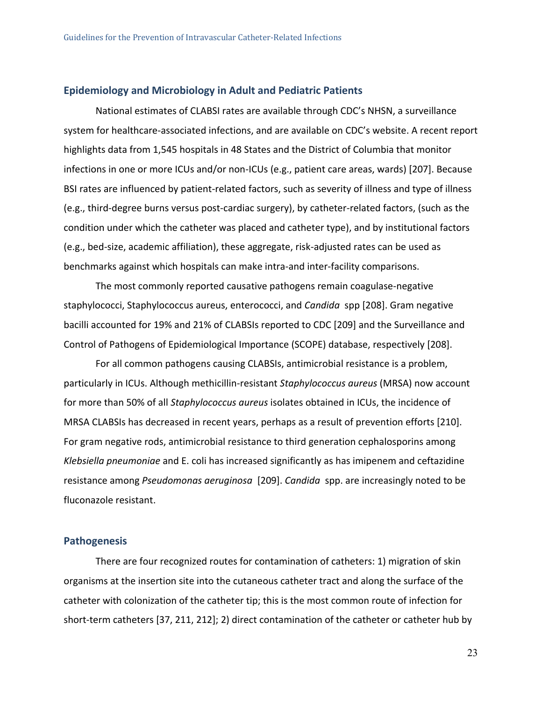### <span id="page-22-0"></span>**Epidemiology and Microbiology in Adult and Pediatric Patients**

National estimates of CLABSI rates are available through CDC's NHSN, a surveillance system for healthcare-associated infections, and are available on CDC's website. A recent report highlights data from 1,545 hospitals in 48 States and the District of Columbia that monitor infections in one or more ICUs and/or non-ICUs (e.g., patient care areas, wards) [207]. Because BSI rates are influenced by patient-related factors, such as severity of illness and type of illness (e.g., third-degree burns versus post-cardiac surgery), by catheter-related factors, (such as the condition under which the catheter was placed and catheter type), and by institutional factors (e.g., bed-size, academic affiliation), these aggregate, risk-adjusted rates can be used as benchmarks against which hospitals can make intra-and inter-facility comparisons.

The most commonly reported causative pathogens remain coagulase-negative staphylococci, Staphylococcus aureus, enterococci, and *Candida* spp [208]. Gram negative bacilli accounted for 19% and 21% of CLABSIs reported to CDC [209] and the Surveillance and Control of Pathogens of Epidemiological Importance (SCOPE) database, respectively [208].

For all common pathogens causing CLABSIs, antimicrobial resistance is a problem, particularly in ICUs. Although methicillin-resistant *Staphylococcus aureus* (MRSA) now account for more than 50% of all *Staphylococcus aureus* isolates obtained in ICUs, the incidence of MRSA CLABSIs has decreased in recent years, perhaps as a result of prevention efforts [210]. For gram negative rods, antimicrobial resistance to third generation cephalosporins among *Klebsiella pneumoniae* and E. coli has increased significantly as has imipenem and ceftazidine resistance among *Pseudomonas aeruginosa* [209]. *Candida* spp. are increasingly noted to be fluconazole resistant.

### <span id="page-22-1"></span>**Pathogenesis**

There are four recognized routes for contamination of catheters: 1) migration of skin organisms at the insertion site into the cutaneous catheter tract and along the surface of the catheter with colonization of the catheter tip; this is the most common route of infection for short-term catheters [37, 211, 212]; 2) direct contamination of the catheter or catheter hub by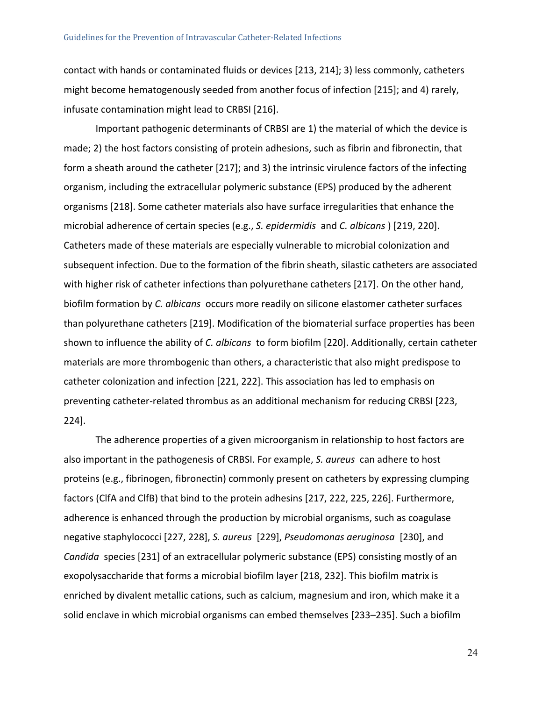contact with hands or contaminated fluids or devices [213, 214]; 3) less commonly, catheters might become hematogenously seeded from another focus of infection [215]; and 4) rarely, infusate contamination might lead to CRBSI [216].

Important pathogenic determinants of CRBSI are 1) the material of which the device is made; 2) the host factors consisting of protein adhesions, such as fibrin and fibronectin, that form a sheath around the catheter [217]; and 3) the intrinsic virulence factors of the infecting organism, including the extracellular polymeric substance (EPS) produced by the adherent organisms [218]. Some catheter materials also have surface irregularities that enhance the microbial adherence of certain species (e.g., *S. epidermidis* and *C. albicans* ) [219, 220]. Catheters made of these materials are especially vulnerable to microbial colonization and subsequent infection. Due to the formation of the fibrin sheath, silastic catheters are associated with higher risk of catheter infections than polyurethane catheters [217]. On the other hand, biofilm formation by *C. albicans* occurs more readily on silicone elastomer catheter surfaces than polyurethane catheters [219]. Modification of the biomaterial surface properties has been shown to influence the ability of *C. albicans* to form biofilm [220]. Additionally, certain catheter materials are more thrombogenic than others, a characteristic that also might predispose to catheter colonization and infection [221, 222]. This association has led to emphasis on preventing catheter-related thrombus as an additional mechanism for reducing CRBSI [223, 224].

The adherence properties of a given microorganism in relationship to host factors are also important in the pathogenesis of CRBSI. For example, *S. aureus* can adhere to host proteins (e.g., fibrinogen, fibronectin) commonly present on catheters by expressing clumping factors (ClfA and ClfB) that bind to the protein adhesins [217, 222, 225, 226]. Furthermore, adherence is enhanced through the production by microbial organisms, such as coagulase negative staphylococci [227, 228], *S. aureus* [229], *Pseudomonas aeruginosa* [230], and *Candida* species [231] of an extracellular polymeric substance (EPS) consisting mostly of an exopolysaccharide that forms a microbial biofilm layer [218, 232]. This biofilm matrix is enriched by divalent metallic cations, such as calcium, magnesium and iron, which make it a solid enclave in which microbial organisms can embed themselves [233–235]. Such a biofilm

24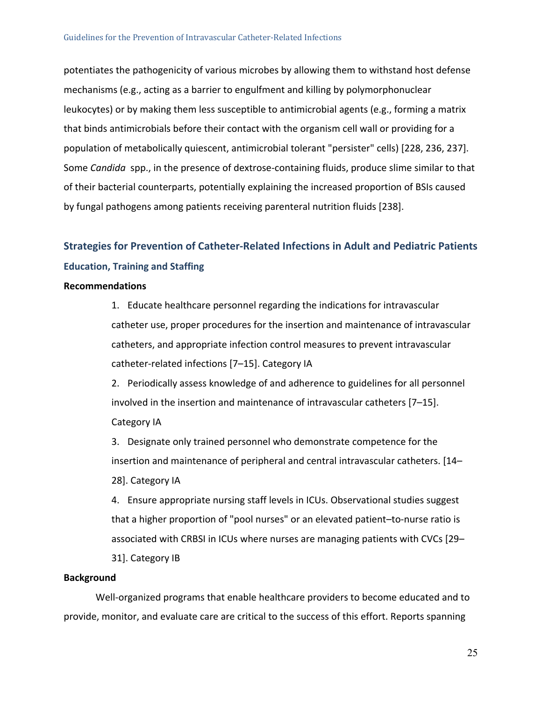potentiates the pathogenicity of various microbes by allowing them to withstand host defense mechanisms (e.g., acting as a barrier to engulfment and killing by polymorphonuclear leukocytes) or by making them less susceptible to antimicrobial agents (e.g., forming a matrix that binds antimicrobials before their contact with the organism cell wall or providing for a population of metabolically quiescent, antimicrobial tolerant "persister" cells) [228, 236, 237]. Some *Candida* spp., in the presence of dextrose-containing fluids, produce slime similar to that of their bacterial counterparts, potentially explaining the increased proportion of BSIs caused by fungal pathogens among patients receiving parenteral nutrition fluids [238].

# <span id="page-24-0"></span>**Strategies for Prevention of Catheter-Related Infections in Adult and Pediatric Patients**

### <span id="page-24-1"></span>**Education, Training and Staffing**

### **Recommendations**

1. Educate healthcare personnel regarding the indications for intravascular catheter use, proper procedures for the insertion and maintenance of intravascular catheters, and appropriate infection control measures to prevent intravascular catheter-related infections [7–15]. Category IA

2. Periodically assess knowledge of and adherence to guidelines for all personnel involved in the insertion and maintenance of intravascular catheters [7–15]. Category IA

3. Designate only trained personnel who demonstrate competence for the insertion and maintenance of peripheral and central intravascular catheters. [14– 28]. Category IA

4. Ensure appropriate nursing staff levels in ICUs. Observational studies suggest that a higher proportion of "pool nurses" or an elevated patient–to-nurse ratio is associated with CRBSI in ICUs where nurses are managing patients with CVCs [29– 31]. Category IB

### **Background**

Well-organized programs that enable healthcare providers to become educated and to provide, monitor, and evaluate care are critical to the success of this effort. Reports spanning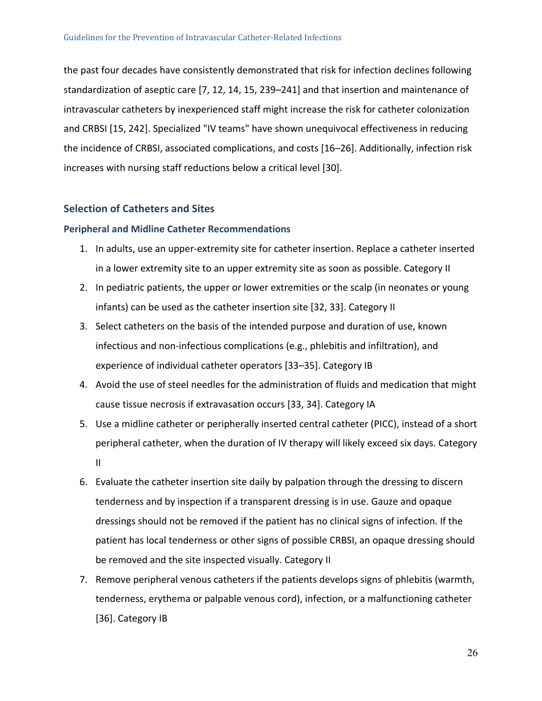the past four decades have consistently demonstrated that risk for infection declines following standardization of aseptic care [7, 12, 14, 15, 239–241] and that insertion and maintenance of intravascular catheters by inexperienced staff might increase the risk for catheter colonization and CRBSI [15, 242]. Specialized "IV teams" have shown unequivocal effectiveness in reducing the incidence of CRBSI, associated complications, and costs [16–26]. Additionally, infection risk increases with nursing staff reductions below a critical level [30].

### <span id="page-25-0"></span>**Selection of Catheters and Sites**

### <span id="page-25-1"></span>**Peripheral and Midline Catheter Recommendations**

- 1. In adults, use an upper-extremity site for catheter insertion. Replace a catheter inserted in a lower extremity site to an upper extremity site as soon as possible. Category II
- 2. In pediatric patients, the upper or lower extremities or the scalp (in neonates or young infants) can be used as the catheter insertion site [32, 33]. Category II
- 3. Select catheters on the basis of the intended purpose and duration of use, known infectious and non-infectious complications (e.g., phlebitis and infiltration), and experience of individual catheter operators [33–35]. Category IB
- 4. Avoid the use of steel needles for the administration of fluids and medication that might cause tissue necrosis if extravasation occurs [33, 34]. Category IA
- 5. Use a midline catheter or peripherally inserted central catheter (PICC), instead of a short peripheral catheter, when the duration of IV therapy will likely exceed six days. Category II
- 6. Evaluate the catheter insertion site daily by palpation through the dressing to discern tenderness and by inspection if a transparent dressing is in use. Gauze and opaque dressings should not be removed if the patient has no clinical signs of infection. If the patient has local tenderness or other signs of possible CRBSI, an opaque dressing should be removed and the site inspected visually. Category II
- 7. Remove peripheral venous catheters if the patients develops signs of phlebitis (warmth, tenderness, erythema or palpable venous cord), infection, or a malfunctioning catheter [36]. Category IB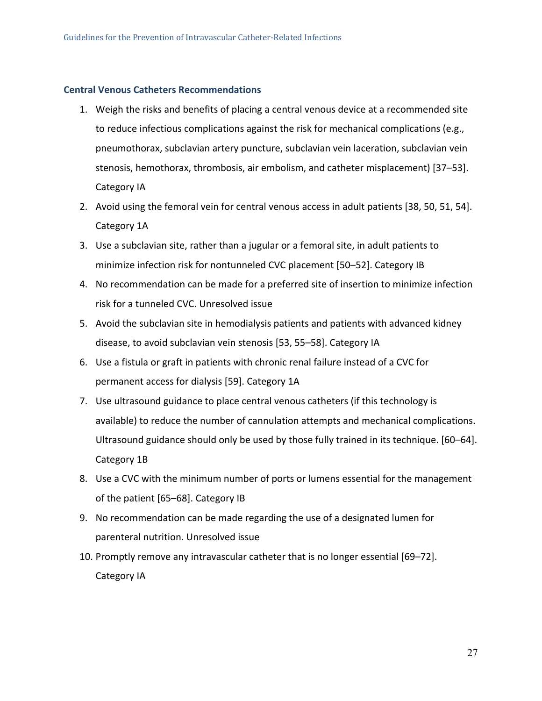### <span id="page-26-0"></span>**Central Venous Catheters Recommendations**

- 1. Weigh the risks and benefits of placing a central venous device at a recommended site to reduce infectious complications against the risk for mechanical complications (e.g., pneumothorax, subclavian artery puncture, subclavian vein laceration, subclavian vein stenosis, hemothorax, thrombosis, air embolism, and catheter misplacement) [37–53]. Category IA
- 2. Avoid using the femoral vein for central venous access in adult patients [38, 50, 51, 54]. Category 1A
- 3. Use a subclavian site, rather than a jugular or a femoral site, in adult patients to minimize infection risk for nontunneled CVC placement [50–52]. Category IB
- 4. No recommendation can be made for a preferred site of insertion to minimize infection risk for a tunneled CVC. Unresolved issue
- 5. Avoid the subclavian site in hemodialysis patients and patients with advanced kidney disease, to avoid subclavian vein stenosis [53, 55–58]. Category IA
- 6. Use a fistula or graft in patients with chronic renal failure instead of a CVC for permanent access for dialysis [59]. Category 1A
- 7. Use ultrasound guidance to place central venous catheters (if this technology is available) to reduce the number of cannulation attempts and mechanical complications. Ultrasound guidance should only be used by those fully trained in its technique. [60–64]. Category 1B
- 8. Use a CVC with the minimum number of ports or lumens essential for the management of the patient [65–68]. Category IB
- 9. No recommendation can be made regarding the use of a designated lumen for parenteral nutrition. Unresolved issue
- 10. Promptly remove any intravascular catheter that is no longer essential [69–72]. Category IA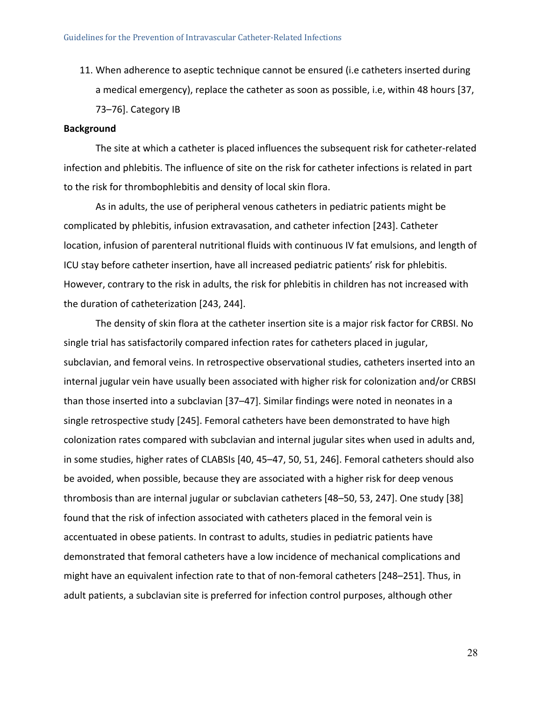11. When adherence to aseptic technique cannot be ensured (i.e catheters inserted during a medical emergency), replace the catheter as soon as possible, i.e, within 48 hours [37, 73–76]. Category IB

### **Background**

The site at which a catheter is placed influences the subsequent risk for catheter-related infection and phlebitis. The influence of site on the risk for catheter infections is related in part to the risk for thrombophlebitis and density of local skin flora.

As in adults, the use of peripheral venous catheters in pediatric patients might be complicated by phlebitis, infusion extravasation, and catheter infection [243]. Catheter location, infusion of parenteral nutritional fluids with continuous IV fat emulsions, and length of ICU stay before catheter insertion, have all increased pediatric patients' risk for phlebitis. However, contrary to the risk in adults, the risk for phlebitis in children has not increased with the duration of catheterization [243, 244].

The density of skin flora at the catheter insertion site is a major risk factor for CRBSI. No single trial has satisfactorily compared infection rates for catheters placed in jugular, subclavian, and femoral veins. In retrospective observational studies, catheters inserted into an internal jugular vein have usually been associated with higher risk for colonization and/or CRBSI than those inserted into a subclavian [37–47]. Similar findings were noted in neonates in a single retrospective study [245]. Femoral catheters have been demonstrated to have high colonization rates compared with subclavian and internal jugular sites when used in adults and, in some studies, higher rates of CLABSIs [40, 45–47, 50, 51, 246]. Femoral catheters should also be avoided, when possible, because they are associated with a higher risk for deep venous thrombosis than are internal jugular or subclavian catheters [48–50, 53, 247]. One study [38] found that the risk of infection associated with catheters placed in the femoral vein is accentuated in obese patients. In contrast to adults, studies in pediatric patients have demonstrated that femoral catheters have a low incidence of mechanical complications and might have an equivalent infection rate to that of non-femoral catheters [248–251]. Thus, in adult patients, a subclavian site is preferred for infection control purposes, although other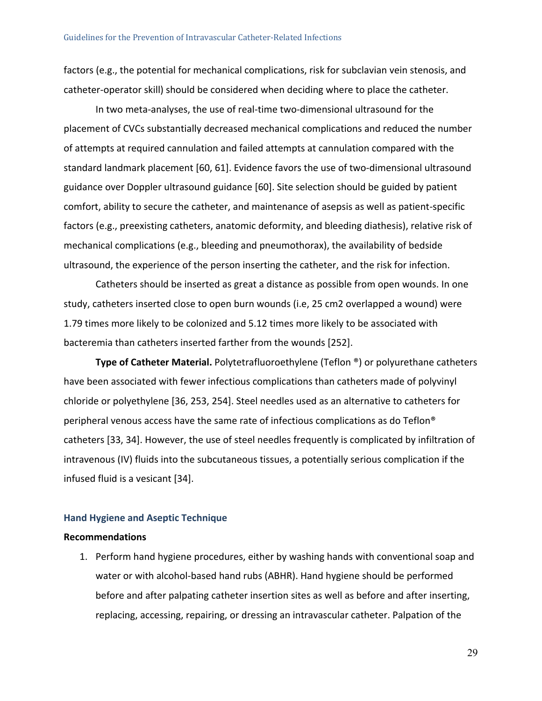factors (e.g., the potential for mechanical complications, risk for subclavian vein stenosis, and catheter-operator skill) should be considered when deciding where to place the catheter.

In two meta-analyses, the use of real-time two-dimensional ultrasound for the placement of CVCs substantially decreased mechanical complications and reduced the number of attempts at required cannulation and failed attempts at cannulation compared with the standard landmark placement [60, 61]. Evidence favors the use of two-dimensional ultrasound guidance over Doppler ultrasound guidance [60]. Site selection should be guided by patient comfort, ability to secure the catheter, and maintenance of asepsis as well as patient-specific factors (e.g., preexisting catheters, anatomic deformity, and bleeding diathesis), relative risk of mechanical complications (e.g., bleeding and pneumothorax), the availability of bedside ultrasound, the experience of the person inserting the catheter, and the risk for infection.

Catheters should be inserted as great a distance as possible from open wounds. In one study, catheters inserted close to open burn wounds (i.e, 25 cm2 overlapped a wound) were 1.79 times more likely to be colonized and 5.12 times more likely to be associated with bacteremia than catheters inserted farther from the wounds [252].

**Type of Catheter Material.** Polytetrafluoroethylene (Teflon ®) or polyurethane catheters have been associated with fewer infectious complications than catheters made of polyvinyl chloride or polyethylene [36, 253, 254]. Steel needles used as an alternative to catheters for peripheral venous access have the same rate of infectious complications as do Teflon® catheters [33, 34]. However, the use of steel needles frequently is complicated by infiltration of intravenous (IV) fluids into the subcutaneous tissues, a potentially serious complication if the infused fluid is a vesicant [34].

### <span id="page-28-0"></span>**Hand Hygiene and Aseptic Technique**

#### **Recommendations**

1. Perform hand hygiene procedures, either by washing hands with conventional soap and water or with alcohol-based hand rubs (ABHR). Hand hygiene should be performed before and after palpating catheter insertion sites as well as before and after inserting, replacing, accessing, repairing, or dressing an intravascular catheter. Palpation of the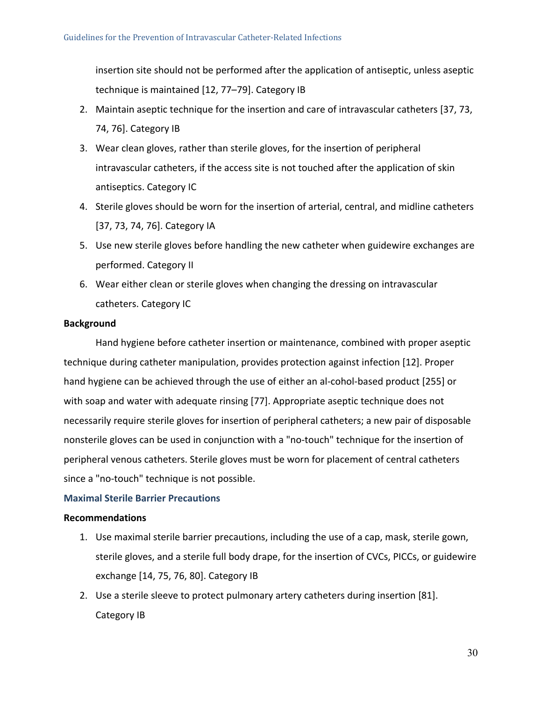insertion site should not be performed after the application of antiseptic, unless aseptic technique is maintained [12, 77–79]. Category IB

- 2. Maintain aseptic technique for the insertion and care of intravascular catheters [37, 73, 74, 76]. Category IB
- 3. Wear clean gloves, rather than sterile gloves, for the insertion of peripheral intravascular catheters, if the access site is not touched after the application of skin antiseptics. Category IC
- 4. Sterile gloves should be worn for the insertion of arterial, central, and midline catheters [37, 73, 74, 76]. Category IA
- 5. Use new sterile gloves before handling the new catheter when guidewire exchanges are performed. Category II
- 6. Wear either clean or sterile gloves when changing the dressing on intravascular catheters. Category IC

# **Background**

Hand hygiene before catheter insertion or maintenance, combined with proper aseptic technique during catheter manipulation, provides protection against infection [12]. Proper hand hygiene can be achieved through the use of either an al-cohol-based product [255] or with soap and water with adequate rinsing [77]. Appropriate aseptic technique does not necessarily require sterile gloves for insertion of peripheral catheters; a new pair of disposable nonsterile gloves can be used in conjunction with a "no-touch" technique for the insertion of peripheral venous catheters. Sterile gloves must be worn for placement of central catheters since a "no-touch" technique is not possible.

# <span id="page-29-0"></span>**Maximal Sterile Barrier Precautions**

# **Recommendations**

- 1. Use maximal sterile barrier precautions, including the use of a cap, mask, sterile gown, sterile gloves, and a sterile full body drape, for the insertion of CVCs, PICCs, or guidewire exchange [14, 75, 76, 80]. Category IB
- 2. Use a sterile sleeve to protect pulmonary artery catheters during insertion [81]. Category IB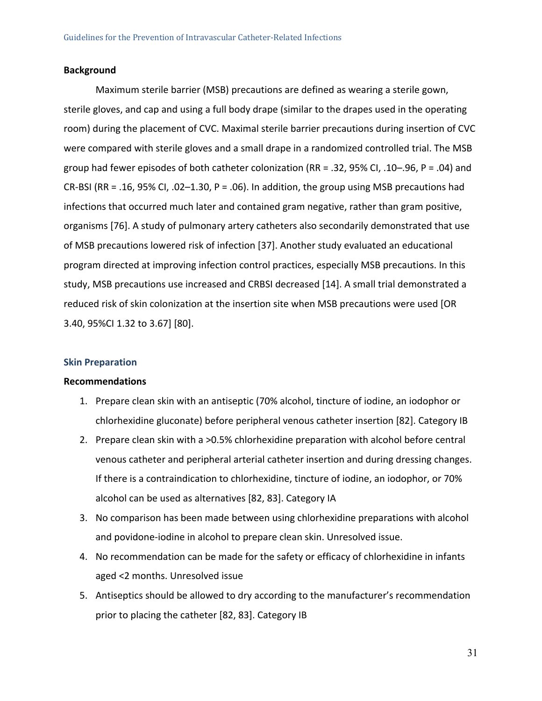### **Background**

Maximum sterile barrier (MSB) precautions are defined as wearing a sterile gown, sterile gloves, and cap and using a full body drape (similar to the drapes used in the operating room) during the placement of CVC. Maximal sterile barrier precautions during insertion of CVC were compared with sterile gloves and a small drape in a randomized controlled trial. The MSB group had fewer episodes of both catheter colonization (RR = .32, 95% CI, .10–.96, P = .04) and CR-BSI (RR = .16, 95% CI, .02-1.30, P = .06). In addition, the group using MSB precautions had infections that occurred much later and contained gram negative, rather than gram positive, organisms [76]. A study of pulmonary artery catheters also secondarily demonstrated that use of MSB precautions lowered risk of infection [37]. Another study evaluated an educational program directed at improving infection control practices, especially MSB precautions. In this study, MSB precautions use increased and CRBSI decreased [14]. A small trial demonstrated a reduced risk of skin colonization at the insertion site when MSB precautions were used [OR 3.40, 95%CI 1.32 to 3.67] [80].

### <span id="page-30-0"></span>**Skin Preparation**

### **Recommendations**

- 1. Prepare clean skin with an antiseptic (70% alcohol, tincture of iodine, an iodophor or chlorhexidine gluconate) before peripheral venous catheter insertion [82]. Category IB
- 2. Prepare clean skin with a >0.5% chlorhexidine preparation with alcohol before central venous catheter and peripheral arterial catheter insertion and during dressing changes. If there is a contraindication to chlorhexidine, tincture of iodine, an iodophor, or 70% alcohol can be used as alternatives [82, 83]. Category IA
- 3. No comparison has been made between using chlorhexidine preparations with alcohol and povidone-iodine in alcohol to prepare clean skin. Unresolved issue.
- 4. No recommendation can be made for the safety or efficacy of chlorhexidine in infants aged <2 months. Unresolved issue
- 5. Antiseptics should be allowed to dry according to the manufacturer's recommendation prior to placing the catheter [82, 83]. Category IB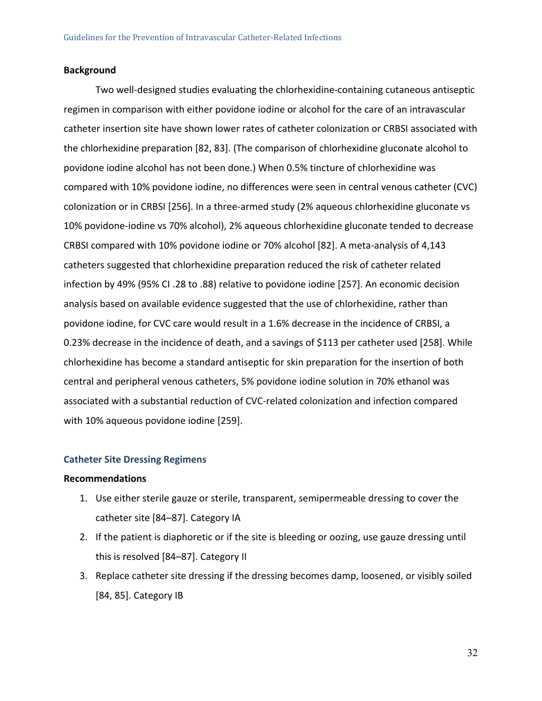### **Background**

Two well-designed studies evaluating the chlorhexidine-containing cutaneous antiseptic regimen in comparison with either povidone iodine or alcohol for the care of an intravascular catheter insertion site have shown lower rates of catheter colonization or CRBSI associated with the chlorhexidine preparation [82, 83]. (The comparison of chlorhexidine gluconate alcohol to povidone iodine alcohol has not been done.) When 0.5% tincture of chlorhexidine was compared with 10% povidone iodine, no differences were seen in central venous catheter (CVC) colonization or in CRBSI [256]. In a three-armed study (2% aqueous chlorhexidine gluconate vs 10% povidone-iodine vs 70% alcohol), 2% aqueous chlorhexidine gluconate tended to decrease CRBSI compared with 10% povidone iodine or 70% alcohol [82]. A meta-analysis of 4,143 catheters suggested that chlorhexidine preparation reduced the risk of catheter related infection by 49% (95% CI .28 to .88) relative to povidone iodine [257]. An economic decision analysis based on available evidence suggested that the use of chlorhexidine, rather than povidone iodine, for CVC care would result in a 1.6% decrease in the incidence of CRBSI, a 0.23% decrease in the incidence of death, and a savings of \$113 per catheter used [258]. While chlorhexidine has become a standard antiseptic for skin preparation for the insertion of both central and peripheral venous catheters, 5% povidone iodine solution in 70% ethanol was associated with a substantial reduction of CVC-related colonization and infection compared with 10% aqueous povidone iodine [259].

### <span id="page-31-0"></span>**Catheter Site Dressing Regimens**

#### **Recommendations**

- 1. Use either sterile gauze or sterile, transparent, semipermeable dressing to cover the catheter site [84–87]. Category IA
- 2. If the patient is diaphoretic or if the site is bleeding or oozing, use gauze dressing until this is resolved [84–87]. Category II
- 3. Replace catheter site dressing if the dressing becomes damp, loosened, or visibly soiled [84, 85]. Category IB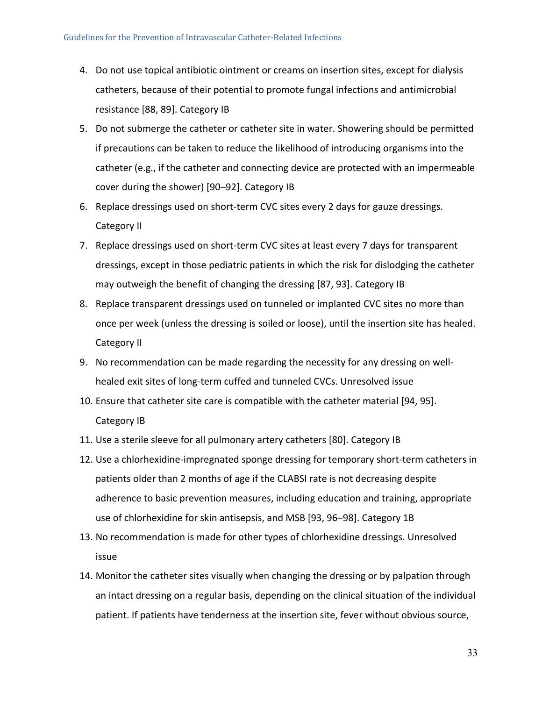- 4. Do not use topical antibiotic ointment or creams on insertion sites, except for dialysis catheters, because of their potential to promote fungal infections and antimicrobial resistance [88, 89]. Category IB
- 5. Do not submerge the catheter or catheter site in water. Showering should be permitted if precautions can be taken to reduce the likelihood of introducing organisms into the catheter (e.g., if the catheter and connecting device are protected with an impermeable cover during the shower) [90–92]. Category IB
- 6. Replace dressings used on short-term CVC sites every 2 days for gauze dressings. Category II
- 7. Replace dressings used on short-term CVC sites at least every 7 days for transparent dressings, except in those pediatric patients in which the risk for dislodging the catheter may outweigh the benefit of changing the dressing [87, 93]. Category IB
- 8. Replace transparent dressings used on tunneled or implanted CVC sites no more than once per week (unless the dressing is soiled or loose), until the insertion site has healed. Category II
- 9. No recommendation can be made regarding the necessity for any dressing on wellhealed exit sites of long-term cuffed and tunneled CVCs. Unresolved issue
- 10. Ensure that catheter site care is compatible with the catheter material [94, 95]. Category IB
- 11. Use a sterile sleeve for all pulmonary artery catheters [80]. Category IB
- 12. Use a chlorhexidine-impregnated sponge dressing for temporary short-term catheters in patients older than 2 months of age if the CLABSI rate is not decreasing despite adherence to basic prevention measures, including education and training, appropriate use of chlorhexidine for skin antisepsis, and MSB [93, 96–98]. Category 1B
- 13. No recommendation is made for other types of chlorhexidine dressings. Unresolved issue
- 14. Monitor the catheter sites visually when changing the dressing or by palpation through an intact dressing on a regular basis, depending on the clinical situation of the individual patient. If patients have tenderness at the insertion site, fever without obvious source,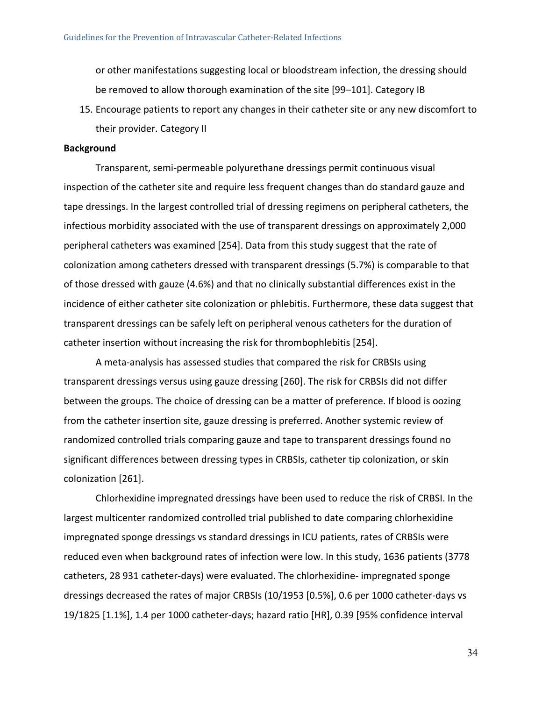or other manifestations suggesting local or bloodstream infection, the dressing should be removed to allow thorough examination of the site [99–101]. Category IB

15. Encourage patients to report any changes in their catheter site or any new discomfort to their provider. Category II

### **Background**

Transparent, semi-permeable polyurethane dressings permit continuous visual inspection of the catheter site and require less frequent changes than do standard gauze and tape dressings. In the largest controlled trial of dressing regimens on peripheral catheters, the infectious morbidity associated with the use of transparent dressings on approximately 2,000 peripheral catheters was examined [254]. Data from this study suggest that the rate of colonization among catheters dressed with transparent dressings (5.7%) is comparable to that of those dressed with gauze (4.6%) and that no clinically substantial differences exist in the incidence of either catheter site colonization or phlebitis. Furthermore, these data suggest that transparent dressings can be safely left on peripheral venous catheters for the duration of catheter insertion without increasing the risk for thrombophlebitis [254].

A meta-analysis has assessed studies that compared the risk for CRBSIs using transparent dressings versus using gauze dressing [260]. The risk for CRBSIs did not differ between the groups. The choice of dressing can be a matter of preference. If blood is oozing from the catheter insertion site, gauze dressing is preferred. Another systemic review of randomized controlled trials comparing gauze and tape to transparent dressings found no significant differences between dressing types in CRBSIs, catheter tip colonization, or skin colonization [261].

Chlorhexidine impregnated dressings have been used to reduce the risk of CRBSI. In the largest multicenter randomized controlled trial published to date comparing chlorhexidine impregnated sponge dressings vs standard dressings in ICU patients, rates of CRBSIs were reduced even when background rates of infection were low. In this study, 1636 patients (3778 catheters, 28 931 catheter-days) were evaluated. The chlorhexidine- impregnated sponge dressings decreased the rates of major CRBSIs (10/1953 [0.5%], 0.6 per 1000 catheter-days vs 19/1825 [1.1%], 1.4 per 1000 catheter-days; hazard ratio [HR], 0.39 [95% confidence interval

34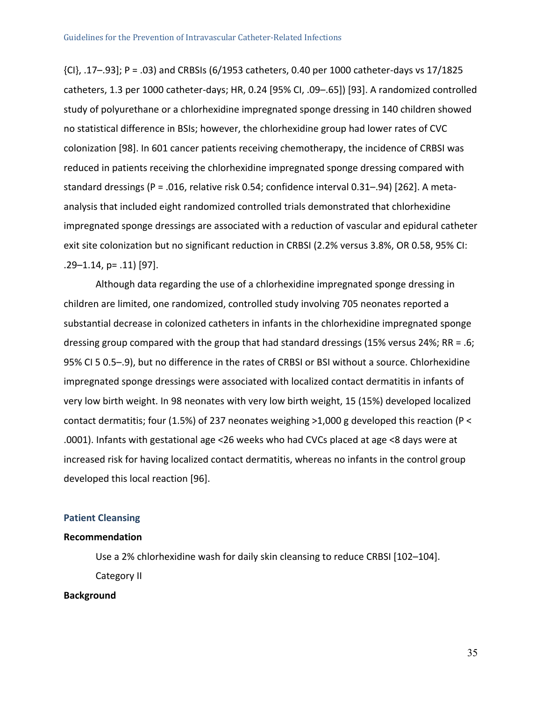{CI}, .17–.93]; P = .03) and CRBSIs (6/1953 catheters, 0.40 per 1000 catheter-days vs 17/1825 catheters, 1.3 per 1000 catheter-days; HR, 0.24 [95% CI, .09–.65]) [93]. A randomized controlled study of polyurethane or a chlorhexidine impregnated sponge dressing in 140 children showed no statistical difference in BSIs; however, the chlorhexidine group had lower rates of CVC colonization [98]. In 601 cancer patients receiving chemotherapy, the incidence of CRBSI was reduced in patients receiving the chlorhexidine impregnated sponge dressing compared with standard dressings (P = .016, relative risk 0.54; confidence interval 0.31–.94) [262]. A metaanalysis that included eight randomized controlled trials demonstrated that chlorhexidine impregnated sponge dressings are associated with a reduction of vascular and epidural catheter exit site colonization but no significant reduction in CRBSI (2.2% versus 3.8%, OR 0.58, 95% CI: .29–1.14, p= .11) [97].

Although data regarding the use of a chlorhexidine impregnated sponge dressing in children are limited, one randomized, controlled study involving 705 neonates reported a substantial decrease in colonized catheters in infants in the chlorhexidine impregnated sponge dressing group compared with the group that had standard dressings (15% versus 24%; RR = .6; 95% CI 5 0.5–.9), but no difference in the rates of CRBSI or BSI without a source. Chlorhexidine impregnated sponge dressings were associated with localized contact dermatitis in infants of very low birth weight. In 98 neonates with very low birth weight, 15 (15%) developed localized contact dermatitis; four (1.5%) of 237 neonates weighing >1,000 g developed this reaction (P < .0001). Infants with gestational age <26 weeks who had CVCs placed at age <8 days were at increased risk for having localized contact dermatitis, whereas no infants in the control group developed this local reaction [96].

### <span id="page-34-0"></span>**Patient Cleansing**

#### **Recommendation**

Use a 2% chlorhexidine wash for daily skin cleansing to reduce CRBSI [102–104]. Category II

**Background**

35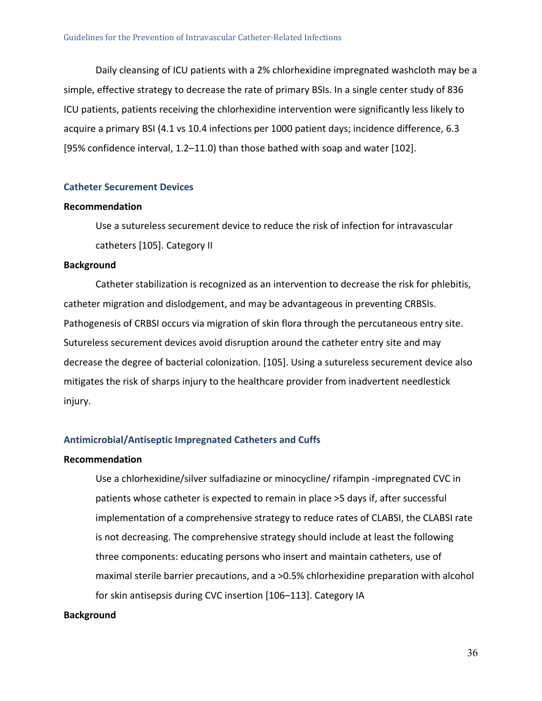Daily cleansing of ICU patients with a 2% chlorhexidine impregnated washcloth may be a simple, effective strategy to decrease the rate of primary BSIs. In a single center study of 836 ICU patients, patients receiving the chlorhexidine intervention were significantly less likely to acquire a primary BSI (4.1 vs 10.4 infections per 1000 patient days; incidence difference, 6.3 [95% confidence interval, 1.2–11.0) than those bathed with soap and water [102].

### <span id="page-35-0"></span>**Catheter Securement Devices**

### **Recommendation**

Use a sutureless securement device to reduce the risk of infection for intravascular catheters [105]. Category II

### **Background**

Catheter stabilization is recognized as an intervention to decrease the risk for phlebitis, catheter migration and dislodgement, and may be advantageous in preventing CRBSIs. Pathogenesis of CRBSI occurs via migration of skin flora through the percutaneous entry site. Sutureless securement devices avoid disruption around the catheter entry site and may decrease the degree of bacterial colonization. [105]. Using a sutureless securement device also mitigates the risk of sharps injury to the healthcare provider from inadvertent needlestick injury.

### <span id="page-35-1"></span>**Antimicrobial/Antiseptic Impregnated Catheters and Cuffs**

### **Recommendation**

Use a chlorhexidine/silver sulfadiazine or minocycline/ rifampin -impregnated CVC in patients whose catheter is expected to remain in place >5 days if, after successful implementation of a comprehensive strategy to reduce rates of CLABSI, the CLABSI rate is not decreasing. The comprehensive strategy should include at least the following three components: educating persons who insert and maintain catheters, use of maximal sterile barrier precautions, and a >0.5% chlorhexidine preparation with alcohol for skin antisepsis during CVC insertion [106–113]. Category IA

### **Background**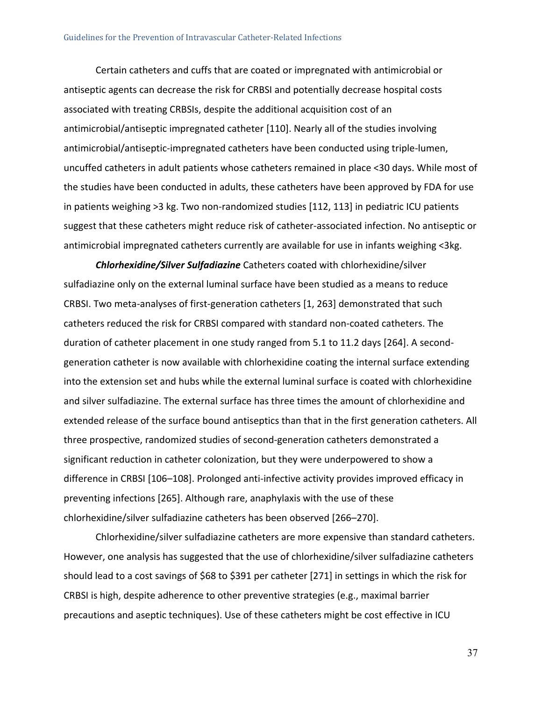Certain catheters and cuffs that are coated or impregnated with antimicrobial or antiseptic agents can decrease the risk for CRBSI and potentially decrease hospital costs associated with treating CRBSIs, despite the additional acquisition cost of an antimicrobial/antiseptic impregnated catheter [110]. Nearly all of the studies involving antimicrobial/antiseptic-impregnated catheters have been conducted using triple-lumen, uncuffed catheters in adult patients whose catheters remained in place <30 days. While most of the studies have been conducted in adults, these catheters have been approved by FDA for use in patients weighing >3 kg. Two non-randomized studies [112, 113] in pediatric ICU patients suggest that these catheters might reduce risk of catheter-associated infection. No antiseptic or antimicrobial impregnated catheters currently are available for use in infants weighing <3kg.

*Chlorhexidine/Silver Sulfadiazine* Catheters coated with chlorhexidine/silver sulfadiazine only on the external luminal surface have been studied as a means to reduce CRBSI. Two meta-analyses of first-generation catheters [1, 263] demonstrated that such catheters reduced the risk for CRBSI compared with standard non-coated catheters. The duration of catheter placement in one study ranged from 5.1 to 11.2 days [264]. A secondgeneration catheter is now available with chlorhexidine coating the internal surface extending into the extension set and hubs while the external luminal surface is coated with chlorhexidine and silver sulfadiazine. The external surface has three times the amount of chlorhexidine and extended release of the surface bound antiseptics than that in the first generation catheters. All three prospective, randomized studies of second-generation catheters demonstrated a significant reduction in catheter colonization, but they were underpowered to show a difference in CRBSI [106–108]. Prolonged anti-infective activity provides improved efficacy in preventing infections [265]. Although rare, anaphylaxis with the use of these chlorhexidine/silver sulfadiazine catheters has been observed [266–270].

Chlorhexidine/silver sulfadiazine catheters are more expensive than standard catheters. However, one analysis has suggested that the use of chlorhexidine/silver sulfadiazine catheters should lead to a cost savings of \$68 to \$391 per catheter [271] in settings in which the risk for CRBSI is high, despite adherence to other preventive strategies (e.g., maximal barrier precautions and aseptic techniques). Use of these catheters might be cost effective in ICU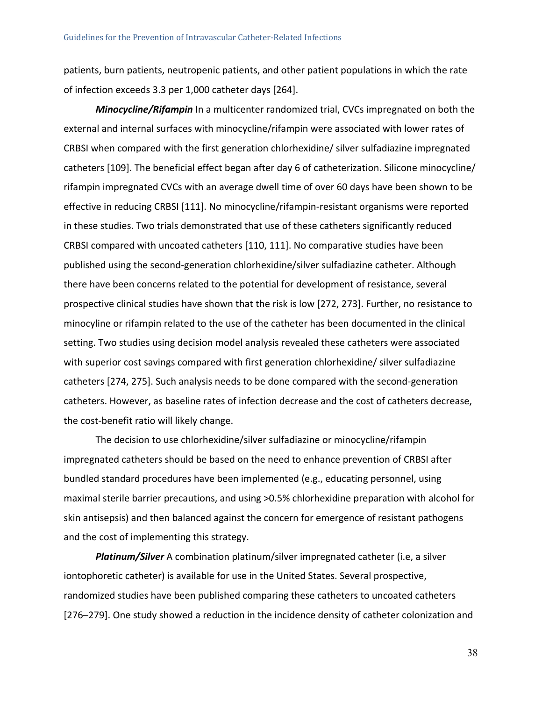patients, burn patients, neutropenic patients, and other patient populations in which the rate of infection exceeds 3.3 per 1,000 catheter days [264].

*Minocycline/Rifampin* In a multicenter randomized trial, CVCs impregnated on both the external and internal surfaces with minocycline/rifampin were associated with lower rates of CRBSI when compared with the first generation chlorhexidine/ silver sulfadiazine impregnated catheters [109]. The beneficial effect began after day 6 of catheterization. Silicone minocycline/ rifampin impregnated CVCs with an average dwell time of over 60 days have been shown to be effective in reducing CRBSI [111]. No minocycline/rifampin-resistant organisms were reported in these studies. Two trials demonstrated that use of these catheters significantly reduced CRBSI compared with uncoated catheters [110, 111]. No comparative studies have been published using the second-generation chlorhexidine/silver sulfadiazine catheter. Although there have been concerns related to the potential for development of resistance, several prospective clinical studies have shown that the risk is low [272, 273]. Further, no resistance to minocyline or rifampin related to the use of the catheter has been documented in the clinical setting. Two studies using decision model analysis revealed these catheters were associated with superior cost savings compared with first generation chlorhexidine/ silver sulfadiazine catheters [274, 275]. Such analysis needs to be done compared with the second-generation catheters. However, as baseline rates of infection decrease and the cost of catheters decrease, the cost-benefit ratio will likely change.

The decision to use chlorhexidine/silver sulfadiazine or minocycline/rifampin impregnated catheters should be based on the need to enhance prevention of CRBSI after bundled standard procedures have been implemented (e.g., educating personnel, using maximal sterile barrier precautions, and using >0.5% chlorhexidine preparation with alcohol for skin antisepsis) and then balanced against the concern for emergence of resistant pathogens and the cost of implementing this strategy.

*Platinum/Silver* A combination platinum/silver impregnated catheter (i.e, a silver iontophoretic catheter) is available for use in the United States. Several prospective, randomized studies have been published comparing these catheters to uncoated catheters [276–279]. One study showed a reduction in the incidence density of catheter colonization and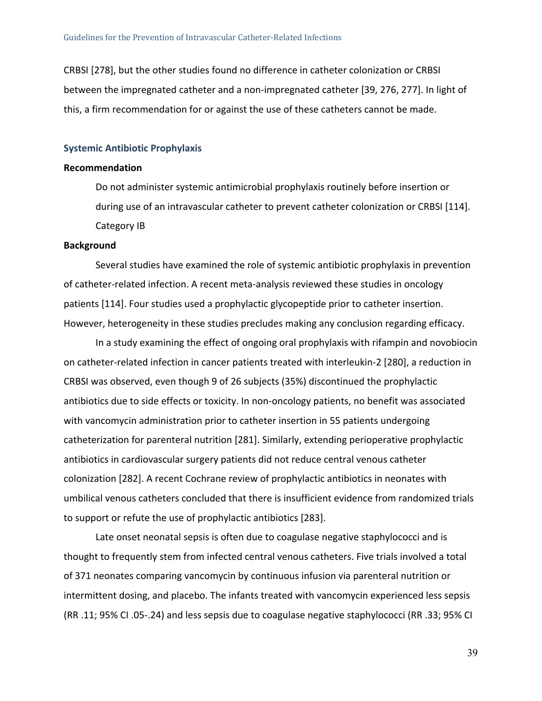CRBSI [278], but the other studies found no difference in catheter colonization or CRBSI between the impregnated catheter and a non-impregnated catheter [39, 276, 277]. In light of this, a firm recommendation for or against the use of these catheters cannot be made.

## **Systemic Antibiotic Prophylaxis**

### **Recommendation**

Do not administer systemic antimicrobial prophylaxis routinely before insertion or during use of an intravascular catheter to prevent catheter colonization or CRBSI [114]. Category IB

## **Background**

Several studies have examined the role of systemic antibiotic prophylaxis in prevention of catheter-related infection. A recent meta-analysis reviewed these studies in oncology patients [114]. Four studies used a prophylactic glycopeptide prior to catheter insertion. However, heterogeneity in these studies precludes making any conclusion regarding efficacy.

In a study examining the effect of ongoing oral prophylaxis with rifampin and novobiocin on catheter-related infection in cancer patients treated with interleukin-2 [280], a reduction in CRBSI was observed, even though 9 of 26 subjects (35%) discontinued the prophylactic antibiotics due to side effects or toxicity. In non-oncology patients, no benefit was associated with vancomycin administration prior to catheter insertion in 55 patients undergoing catheterization for parenteral nutrition [281]. Similarly, extending perioperative prophylactic antibiotics in cardiovascular surgery patients did not reduce central venous catheter colonization [282]. A recent Cochrane review of prophylactic antibiotics in neonates with umbilical venous catheters concluded that there is insufficient evidence from randomized trials to support or refute the use of prophylactic antibiotics [283].

Late onset neonatal sepsis is often due to coagulase negative staphylococci and is thought to frequently stem from infected central venous catheters. Five trials involved a total of 371 neonates comparing vancomycin by continuous infusion via parenteral nutrition or intermittent dosing, and placebo. The infants treated with vancomycin experienced less sepsis (RR .11; 95% CI .05-.24) and less sepsis due to coagulase negative staphylococci (RR .33; 95% CI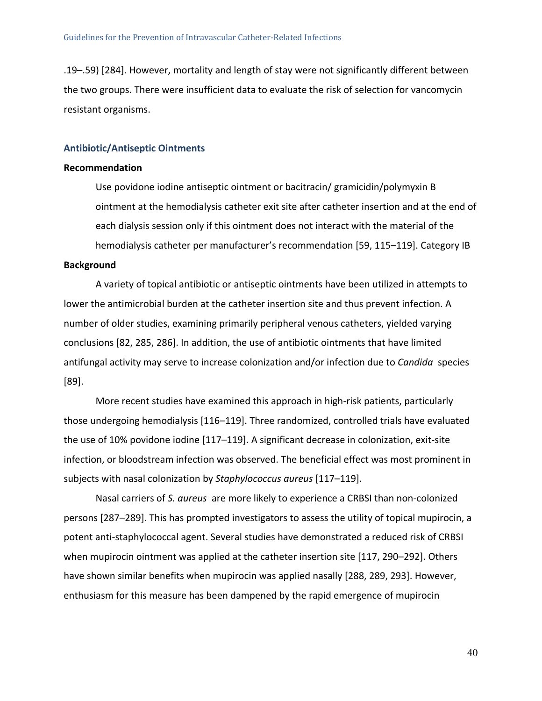.19–.59) [284]. However, mortality and length of stay were not significantly different between the two groups. There were insufficient data to evaluate the risk of selection for vancomycin resistant organisms.

## **Antibiotic/Antiseptic Ointments**

### **Recommendation**

Use povidone iodine antiseptic ointment or bacitracin/ gramicidin/polymyxin B ointment at the hemodialysis catheter exit site after catheter insertion and at the end of each dialysis session only if this ointment does not interact with the material of the hemodialysis catheter per manufacturer's recommendation [59, 115–119]. Category IB

## **Background**

A variety of topical antibiotic or antiseptic ointments have been utilized in attempts to lower the antimicrobial burden at the catheter insertion site and thus prevent infection. A number of older studies, examining primarily peripheral venous catheters, yielded varying conclusions [82, 285, 286]. In addition, the use of antibiotic ointments that have limited antifungal activity may serve to increase colonization and/or infection due to *Candida* species [89].

More recent studies have examined this approach in high-risk patients, particularly those undergoing hemodialysis [116–119]. Three randomized, controlled trials have evaluated the use of 10% povidone iodine [117–119]. A significant decrease in colonization, exit-site infection, or bloodstream infection was observed. The beneficial effect was most prominent in subjects with nasal colonization by *Staphylococcus aureus* [117–119].

Nasal carriers of *S. aureus* are more likely to experience a CRBSI than non-colonized persons [287–289]. This has prompted investigators to assess the utility of topical mupirocin, a potent anti-staphylococcal agent. Several studies have demonstrated a reduced risk of CRBSI when mupirocin ointment was applied at the catheter insertion site [117, 290–292]. Others have shown similar benefits when mupirocin was applied nasally [288, 289, 293]. However, enthusiasm for this measure has been dampened by the rapid emergence of mupirocin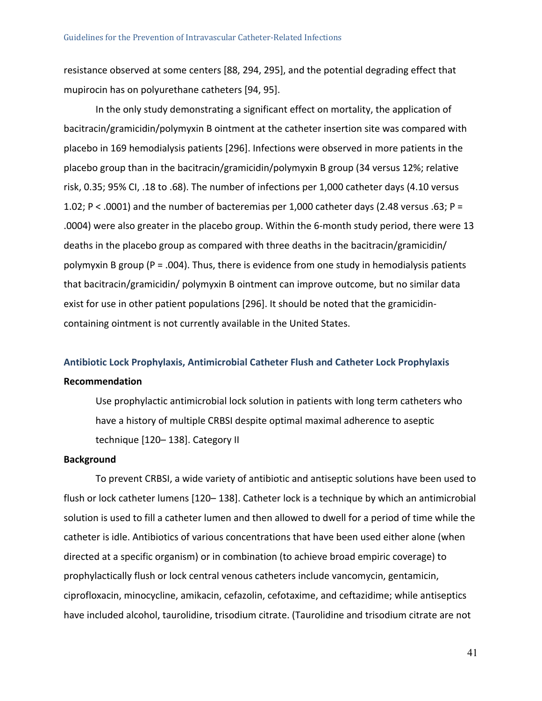resistance observed at some centers [88, 294, 295], and the potential degrading effect that mupirocin has on polyurethane catheters [94, 95].

In the only study demonstrating a significant effect on mortality, the application of bacitracin/gramicidin/polymyxin B ointment at the catheter insertion site was compared with placebo in 169 hemodialysis patients [296]. Infections were observed in more patients in the placebo group than in the bacitracin/gramicidin/polymyxin B group (34 versus 12%; relative risk, 0.35; 95% CI, .18 to .68). The number of infections per 1,000 catheter days (4.10 versus 1.02; P < .0001) and the number of bacteremias per 1,000 catheter days (2.48 versus .63; P = .0004) were also greater in the placebo group. Within the 6-month study period, there were 13 deaths in the placebo group as compared with three deaths in the bacitracin/gramicidin/ polymyxin B group ( $P = .004$ ). Thus, there is evidence from one study in hemodialysis patients that bacitracin/gramicidin/ polymyxin B ointment can improve outcome, but no similar data exist for use in other patient populations [296]. It should be noted that the gramicidincontaining ointment is not currently available in the United States.

# **Antibiotic Lock Prophylaxis, Antimicrobial Catheter Flush and Catheter Lock Prophylaxis**

## **Recommendation**

Use prophylactic antimicrobial lock solution in patients with long term catheters who have a history of multiple CRBSI despite optimal maximal adherence to aseptic technique [120– 138]. Category II

## **Background**

To prevent CRBSI, a wide variety of antibiotic and antiseptic solutions have been used to flush or lock catheter lumens [120– 138]. Catheter lock is a technique by which an antimicrobial solution is used to fill a catheter lumen and then allowed to dwell for a period of time while the catheter is idle. Antibiotics of various concentrations that have been used either alone (when directed at a specific organism) or in combination (to achieve broad empiric coverage) to prophylactically flush or lock central venous catheters include vancomycin, gentamicin, ciprofloxacin, minocycline, amikacin, cefazolin, cefotaxime, and ceftazidime; while antiseptics have included alcohol, taurolidine, trisodium citrate. (Taurolidine and trisodium citrate are not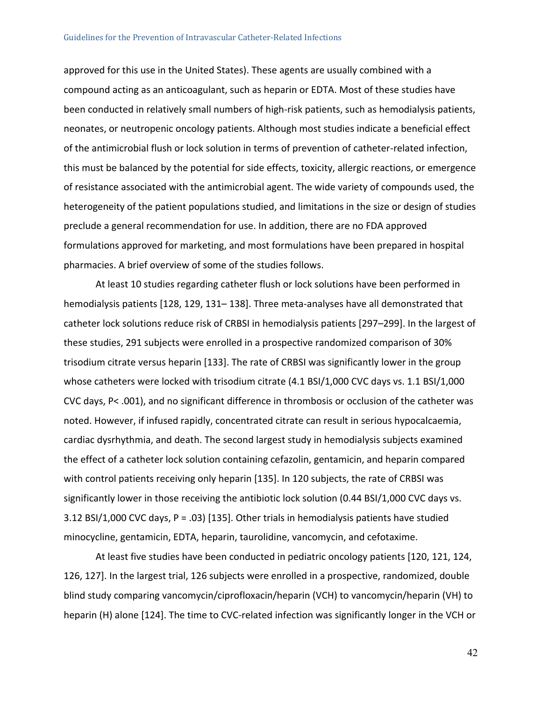approved for this use in the United States). These agents are usually combined with a compound acting as an anticoagulant, such as heparin or EDTA. Most of these studies have been conducted in relatively small numbers of high-risk patients, such as hemodialysis patients, neonates, or neutropenic oncology patients. Although most studies indicate a beneficial effect of the antimicrobial flush or lock solution in terms of prevention of catheter-related infection, this must be balanced by the potential for side effects, toxicity, allergic reactions, or emergence of resistance associated with the antimicrobial agent. The wide variety of compounds used, the heterogeneity of the patient populations studied, and limitations in the size or design of studies preclude a general recommendation for use. In addition, there are no FDA approved formulations approved for marketing, and most formulations have been prepared in hospital pharmacies. A brief overview of some of the studies follows.

At least 10 studies regarding catheter flush or lock solutions have been performed in hemodialysis patients [128, 129, 131– 138]. Three meta-analyses have all demonstrated that catheter lock solutions reduce risk of CRBSI in hemodialysis patients [297–299]. In the largest of these studies, 291 subjects were enrolled in a prospective randomized comparison of 30% trisodium citrate versus heparin [133]. The rate of CRBSI was significantly lower in the group whose catheters were locked with trisodium citrate (4.1 BSI/1,000 CVC days vs. 1.1 BSI/1,000 CVC days, P< .001), and no significant difference in thrombosis or occlusion of the catheter was noted. However, if infused rapidly, concentrated citrate can result in serious hypocalcaemia, cardiac dysrhythmia, and death. The second largest study in hemodialysis subjects examined the effect of a catheter lock solution containing cefazolin, gentamicin, and heparin compared with control patients receiving only heparin [135]. In 120 subjects, the rate of CRBSI was significantly lower in those receiving the antibiotic lock solution (0.44 BSI/1,000 CVC days vs. 3.12 BSI/1,000 CVC days, P = .03) [135]. Other trials in hemodialysis patients have studied minocycline, gentamicin, EDTA, heparin, taurolidine, vancomycin, and cefotaxime.

At least five studies have been conducted in pediatric oncology patients [120, 121, 124, 126, 127]. In the largest trial, 126 subjects were enrolled in a prospective, randomized, double blind study comparing vancomycin/ciprofloxacin/heparin (VCH) to vancomycin/heparin (VH) to heparin (H) alone [124]. The time to CVC-related infection was significantly longer in the VCH or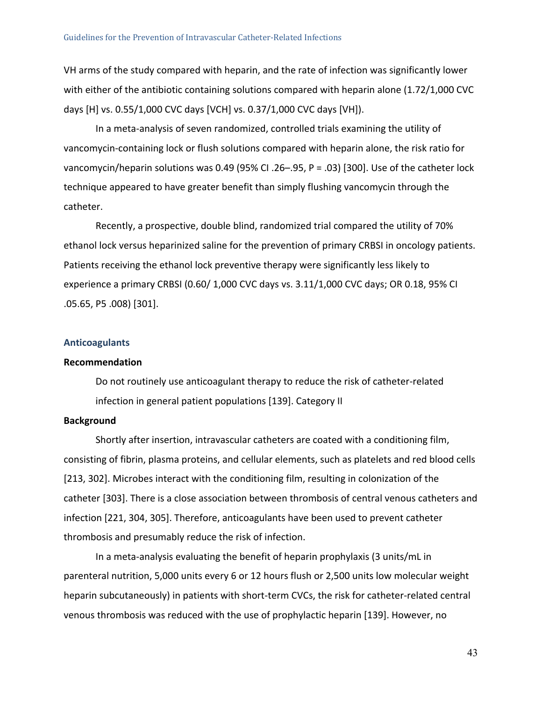VH arms of the study compared with heparin, and the rate of infection was significantly lower with either of the antibiotic containing solutions compared with heparin alone (1.72/1,000 CVC days [H] vs. 0.55/1,000 CVC days [VCH] vs. 0.37/1,000 CVC days [VH]).

In a meta-analysis of seven randomized, controlled trials examining the utility of vancomycin-containing lock or flush solutions compared with heparin alone, the risk ratio for vancomycin/heparin solutions was 0.49 (95% CI .26–.95, P = .03) [300]. Use of the catheter lock technique appeared to have greater benefit than simply flushing vancomycin through the catheter.

Recently, a prospective, double blind, randomized trial compared the utility of 70% ethanol lock versus heparinized saline for the prevention of primary CRBSI in oncology patients. Patients receiving the ethanol lock preventive therapy were significantly less likely to experience a primary CRBSI (0.60/ 1,000 CVC days vs. 3.11/1,000 CVC days; OR 0.18, 95% CI .05.65, P5 .008) [301].

## **Anticoagulants**

### **Recommendation**

Do not routinely use anticoagulant therapy to reduce the risk of catheter-related infection in general patient populations [139]. Category II

## **Background**

Shortly after insertion, intravascular catheters are coated with a conditioning film, consisting of fibrin, plasma proteins, and cellular elements, such as platelets and red blood cells [213, 302]. Microbes interact with the conditioning film, resulting in colonization of the catheter [303]. There is a close association between thrombosis of central venous catheters and infection [221, 304, 305]. Therefore, anticoagulants have been used to prevent catheter thrombosis and presumably reduce the risk of infection.

In a meta-analysis evaluating the benefit of heparin prophylaxis (3 units/mL in parenteral nutrition, 5,000 units every 6 or 12 hours flush or 2,500 units low molecular weight heparin subcutaneously) in patients with short-term CVCs, the risk for catheter-related central venous thrombosis was reduced with the use of prophylactic heparin [139]. However, no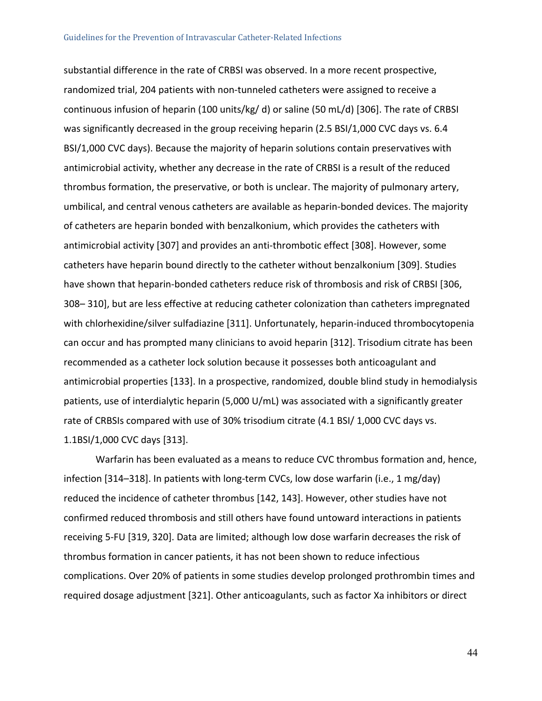substantial difference in the rate of CRBSI was observed. In a more recent prospective, randomized trial, 204 patients with non-tunneled catheters were assigned to receive a continuous infusion of heparin (100 units/kg/ d) or saline (50 mL/d) [306]. The rate of CRBSI was significantly decreased in the group receiving heparin (2.5 BSI/1,000 CVC days vs. 6.4 BSI/1,000 CVC days). Because the majority of heparin solutions contain preservatives with antimicrobial activity, whether any decrease in the rate of CRBSI is a result of the reduced thrombus formation, the preservative, or both is unclear. The majority of pulmonary artery, umbilical, and central venous catheters are available as heparin-bonded devices. The majority of catheters are heparin bonded with benzalkonium, which provides the catheters with antimicrobial activity [307] and provides an anti-thrombotic effect [308]. However, some catheters have heparin bound directly to the catheter without benzalkonium [309]. Studies have shown that heparin-bonded catheters reduce risk of thrombosis and risk of CRBSI [306, 308– 310], but are less effective at reducing catheter colonization than catheters impregnated with chlorhexidine/silver sulfadiazine [311]. Unfortunately, heparin-induced thrombocytopenia can occur and has prompted many clinicians to avoid heparin [312]. Trisodium citrate has been recommended as a catheter lock solution because it possesses both anticoagulant and antimicrobial properties [133]. In a prospective, randomized, double blind study in hemodialysis patients, use of interdialytic heparin (5,000 U/mL) was associated with a significantly greater rate of CRBSIs compared with use of 30% trisodium citrate (4.1 BSI/ 1,000 CVC days vs. 1.1BSI/1,000 CVC days [313].

Warfarin has been evaluated as a means to reduce CVC thrombus formation and, hence, infection [314–318]. In patients with long-term CVCs, low dose warfarin (i.e., 1 mg/day) reduced the incidence of catheter thrombus [142, 143]. However, other studies have not confirmed reduced thrombosis and still others have found untoward interactions in patients receiving 5-FU [319, 320]. Data are limited; although low dose warfarin decreases the risk of thrombus formation in cancer patients, it has not been shown to reduce infectious complications. Over 20% of patients in some studies develop prolonged prothrombin times and required dosage adjustment [321]. Other anticoagulants, such as factor Xa inhibitors or direct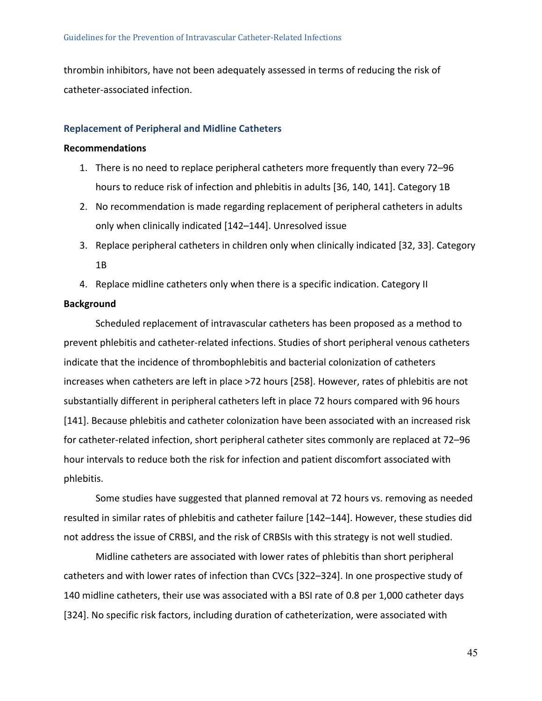thrombin inhibitors, have not been adequately assessed in terms of reducing the risk of catheter-associated infection.

## **Replacement of Peripheral and Midline Catheters**

## **Recommendations**

- 1. There is no need to replace peripheral catheters more frequently than every 72–96 hours to reduce risk of infection and phlebitis in adults [36, 140, 141]. Category 1B
- 2. No recommendation is made regarding replacement of peripheral catheters in adults only when clinically indicated [142–144]. Unresolved issue
- 3. Replace peripheral catheters in children only when clinically indicated [32, 33]. Category 1B
- 4. Replace midline catheters only when there is a specific indication. Category II

## **Background**

Scheduled replacement of intravascular catheters has been proposed as a method to prevent phlebitis and catheter-related infections. Studies of short peripheral venous catheters indicate that the incidence of thrombophlebitis and bacterial colonization of catheters increases when catheters are left in place >72 hours [258]. However, rates of phlebitis are not substantially different in peripheral catheters left in place 72 hours compared with 96 hours [141]. Because phlebitis and catheter colonization have been associated with an increased risk for catheter-related infection, short peripheral catheter sites commonly are replaced at 72–96 hour intervals to reduce both the risk for infection and patient discomfort associated with phlebitis.

Some studies have suggested that planned removal at 72 hours vs. removing as needed resulted in similar rates of phlebitis and catheter failure [142–144]. However, these studies did not address the issue of CRBSI, and the risk of CRBSIs with this strategy is not well studied.

Midline catheters are associated with lower rates of phlebitis than short peripheral catheters and with lower rates of infection than CVCs [322–324]. In one prospective study of 140 midline catheters, their use was associated with a BSI rate of 0.8 per 1,000 catheter days [324]. No specific risk factors, including duration of catheterization, were associated with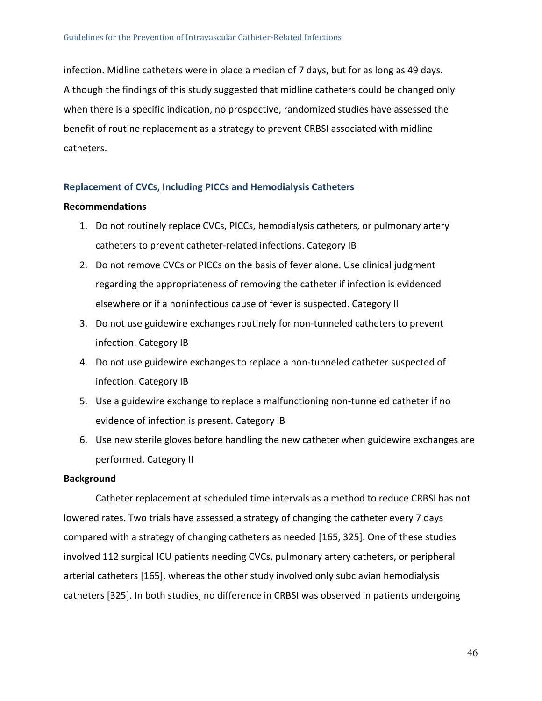infection. Midline catheters were in place a median of 7 days, but for as long as 49 days. Although the findings of this study suggested that midline catheters could be changed only when there is a specific indication, no prospective, randomized studies have assessed the benefit of routine replacement as a strategy to prevent CRBSI associated with midline catheters.

## **Replacement of CVCs, Including PICCs and Hemodialysis Catheters**

## **Recommendations**

- 1. Do not routinely replace CVCs, PICCs, hemodialysis catheters, or pulmonary artery catheters to prevent catheter-related infections. Category IB
- 2. Do not remove CVCs or PICCs on the basis of fever alone. Use clinical judgment regarding the appropriateness of removing the catheter if infection is evidenced elsewhere or if a noninfectious cause of fever is suspected. Category II
- 3. Do not use guidewire exchanges routinely for non-tunneled catheters to prevent infection. Category IB
- 4. Do not use guidewire exchanges to replace a non-tunneled catheter suspected of infection. Category IB
- 5. Use a guidewire exchange to replace a malfunctioning non-tunneled catheter if no evidence of infection is present. Category IB
- 6. Use new sterile gloves before handling the new catheter when guidewire exchanges are performed. Category II

## **Background**

Catheter replacement at scheduled time intervals as a method to reduce CRBSI has not lowered rates. Two trials have assessed a strategy of changing the catheter every 7 days compared with a strategy of changing catheters as needed [165, 325]. One of these studies involved 112 surgical ICU patients needing CVCs, pulmonary artery catheters, or peripheral arterial catheters [165], whereas the other study involved only subclavian hemodialysis catheters [325]. In both studies, no difference in CRBSI was observed in patients undergoing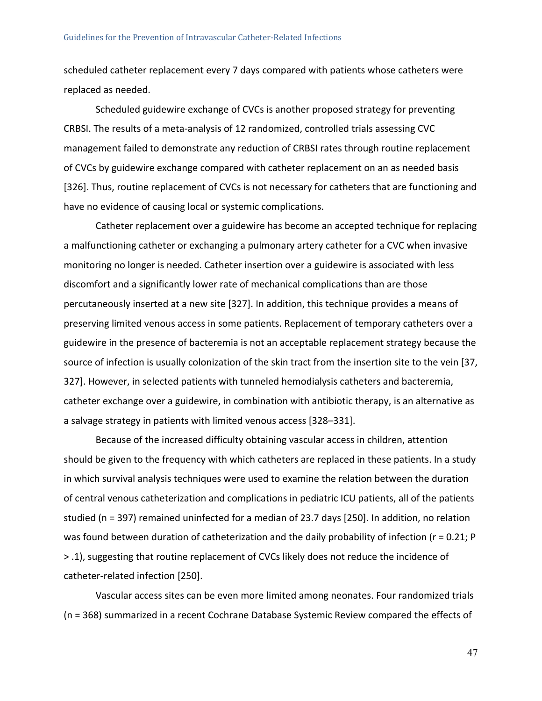scheduled catheter replacement every 7 days compared with patients whose catheters were replaced as needed.

Scheduled guidewire exchange of CVCs is another proposed strategy for preventing CRBSI. The results of a meta-analysis of 12 randomized, controlled trials assessing CVC management failed to demonstrate any reduction of CRBSI rates through routine replacement of CVCs by guidewire exchange compared with catheter replacement on an as needed basis [326]. Thus, routine replacement of CVCs is not necessary for catheters that are functioning and have no evidence of causing local or systemic complications.

Catheter replacement over a guidewire has become an accepted technique for replacing a malfunctioning catheter or exchanging a pulmonary artery catheter for a CVC when invasive monitoring no longer is needed. Catheter insertion over a guidewire is associated with less discomfort and a significantly lower rate of mechanical complications than are those percutaneously inserted at a new site [327]. In addition, this technique provides a means of preserving limited venous access in some patients. Replacement of temporary catheters over a guidewire in the presence of bacteremia is not an acceptable replacement strategy because the source of infection is usually colonization of the skin tract from the insertion site to the vein [37, 327]. However, in selected patients with tunneled hemodialysis catheters and bacteremia, catheter exchange over a guidewire, in combination with antibiotic therapy, is an alternative as a salvage strategy in patients with limited venous access [328–331].

Because of the increased difficulty obtaining vascular access in children, attention should be given to the frequency with which catheters are replaced in these patients. In a study in which survival analysis techniques were used to examine the relation between the duration of central venous catheterization and complications in pediatric ICU patients, all of the patients studied (n = 397) remained uninfected for a median of 23.7 days [250]. In addition, no relation was found between duration of catheterization and the daily probability of infection (r = 0.21; P > .1), suggesting that routine replacement of CVCs likely does not reduce the incidence of catheter-related infection [250].

Vascular access sites can be even more limited among neonates. Four randomized trials (n = 368) summarized in a recent Cochrane Database Systemic Review compared the effects of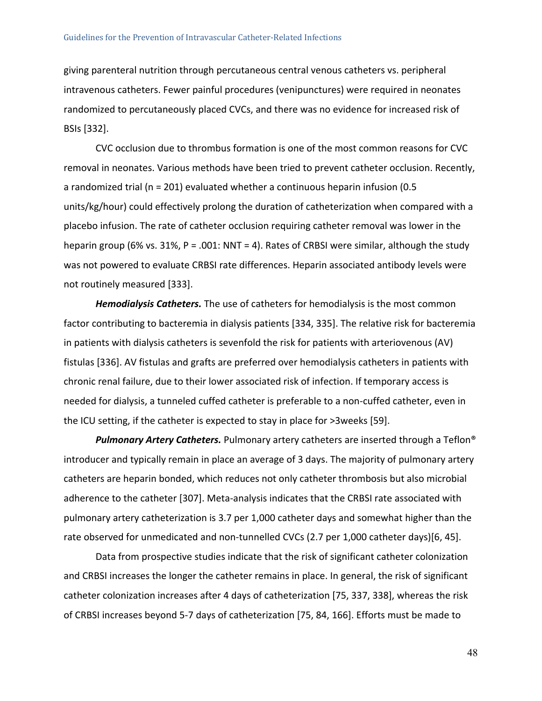giving parenteral nutrition through percutaneous central venous catheters vs. peripheral intravenous catheters. Fewer painful procedures (venipunctures) were required in neonates randomized to percutaneously placed CVCs, and there was no evidence for increased risk of BSIs [332].

CVC occlusion due to thrombus formation is one of the most common reasons for CVC removal in neonates. Various methods have been tried to prevent catheter occlusion. Recently, a randomized trial (n = 201) evaluated whether a continuous heparin infusion (0.5 units/kg/hour) could effectively prolong the duration of catheterization when compared with a placebo infusion. The rate of catheter occlusion requiring catheter removal was lower in the heparin group (6% vs. 31%, P = .001: NNT = 4). Rates of CRBSI were similar, although the study was not powered to evaluate CRBSI rate differences. Heparin associated antibody levels were not routinely measured [333].

*Hemodialysis Catheters.* The use of catheters for hemodialysis is the most common factor contributing to bacteremia in dialysis patients [334, 335]. The relative risk for bacteremia in patients with dialysis catheters is sevenfold the risk for patients with arteriovenous (AV) fistulas [336]. AV fistulas and grafts are preferred over hemodialysis catheters in patients with chronic renal failure, due to their lower associated risk of infection. If temporary access is needed for dialysis, a tunneled cuffed catheter is preferable to a non-cuffed catheter, even in the ICU setting, if the catheter is expected to stay in place for >3weeks [59].

*Pulmonary Artery Catheters.* Pulmonary artery catheters are inserted through a Teflon® introducer and typically remain in place an average of 3 days. The majority of pulmonary artery catheters are heparin bonded, which reduces not only catheter thrombosis but also microbial adherence to the catheter [307]. Meta-analysis indicates that the CRBSI rate associated with pulmonary artery catheterization is 3.7 per 1,000 catheter days and somewhat higher than the rate observed for unmedicated and non-tunnelled CVCs (2.7 per 1,000 catheter days)[6, 45].

Data from prospective studies indicate that the risk of significant catheter colonization and CRBSI increases the longer the catheter remains in place. In general, the risk of significant catheter colonization increases after 4 days of catheterization [75, 337, 338], whereas the risk of CRBSI increases beyond 5-7 days of catheterization [75, 84, 166]. Efforts must be made to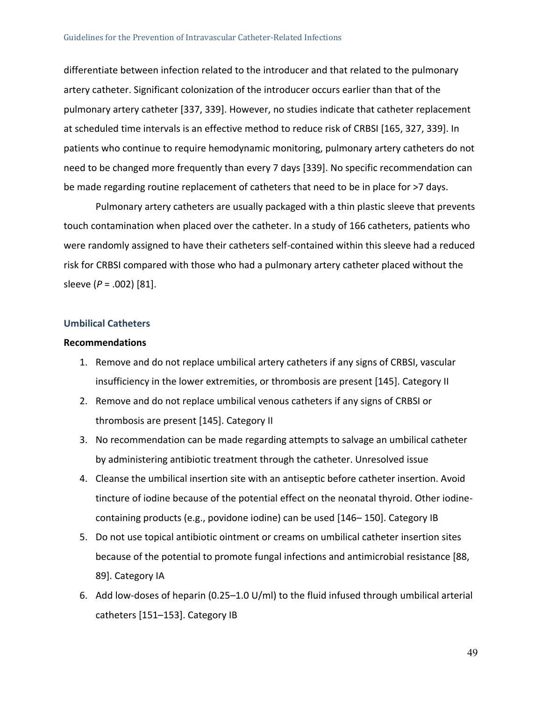differentiate between infection related to the introducer and that related to the pulmonary artery catheter. Significant colonization of the introducer occurs earlier than that of the pulmonary artery catheter [337, 339]. However, no studies indicate that catheter replacement at scheduled time intervals is an effective method to reduce risk of CRBSI [165, 327, 339]. In patients who continue to require hemodynamic monitoring, pulmonary artery catheters do not need to be changed more frequently than every 7 days [339]. No specific recommendation can be made regarding routine replacement of catheters that need to be in place for >7 days.

Pulmonary artery catheters are usually packaged with a thin plastic sleeve that prevents touch contamination when placed over the catheter. In a study of 166 catheters, patients who were randomly assigned to have their catheters self-contained within this sleeve had a reduced risk for CRBSI compared with those who had a pulmonary artery catheter placed without the sleeve (*P* = .002) [81].

## **Umbilical Catheters**

## **Recommendations**

- 1. Remove and do not replace umbilical artery catheters if any signs of CRBSI, vascular insufficiency in the lower extremities, or thrombosis are present [145]. Category II
- 2. Remove and do not replace umbilical venous catheters if any signs of CRBSI or thrombosis are present [145]. Category II
- 3. No recommendation can be made regarding attempts to salvage an umbilical catheter by administering antibiotic treatment through the catheter. Unresolved issue
- 4. Cleanse the umbilical insertion site with an antiseptic before catheter insertion. Avoid tincture of iodine because of the potential effect on the neonatal thyroid. Other iodinecontaining products (e.g., povidone iodine) can be used [146– 150]. Category IB
- 5. Do not use topical antibiotic ointment or creams on umbilical catheter insertion sites because of the potential to promote fungal infections and antimicrobial resistance [88, 89]. Category IA
- 6. Add low-doses of heparin (0.25–1.0 U/ml) to the fluid infused through umbilical arterial catheters [151–153]. Category IB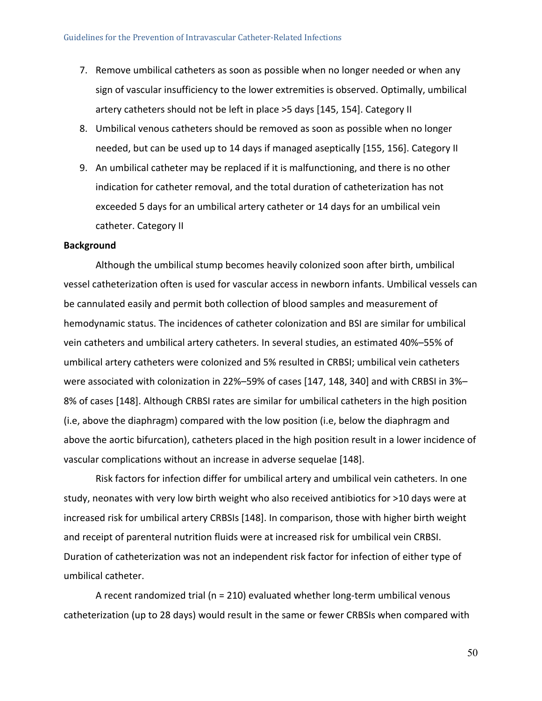- 7. Remove umbilical catheters as soon as possible when no longer needed or when any sign of vascular insufficiency to the lower extremities is observed. Optimally, umbilical artery catheters should not be left in place >5 days [145, 154]. Category II
- 8. Umbilical venous catheters should be removed as soon as possible when no longer needed, but can be used up to 14 days if managed aseptically [155, 156]. Category II
- 9. An umbilical catheter may be replaced if it is malfunctioning, and there is no other indication for catheter removal, and the total duration of catheterization has not exceeded 5 days for an umbilical artery catheter or 14 days for an umbilical vein catheter. Category II

## **Background**

Although the umbilical stump becomes heavily colonized soon after birth, umbilical vessel catheterization often is used for vascular access in newborn infants. Umbilical vessels can be cannulated easily and permit both collection of blood samples and measurement of hemodynamic status. The incidences of catheter colonization and BSI are similar for umbilical vein catheters and umbilical artery catheters. In several studies, an estimated 40%–55% of umbilical artery catheters were colonized and 5% resulted in CRBSI; umbilical vein catheters were associated with colonization in 22%–59% of cases [147, 148, 340] and with CRBSI in 3%– 8% of cases [148]. Although CRBSI rates are similar for umbilical catheters in the high position (i.e, above the diaphragm) compared with the low position (i.e, below the diaphragm and above the aortic bifurcation), catheters placed in the high position result in a lower incidence of vascular complications without an increase in adverse sequelae [148].

Risk factors for infection differ for umbilical artery and umbilical vein catheters. In one study, neonates with very low birth weight who also received antibiotics for >10 days were at increased risk for umbilical artery CRBSIs [148]. In comparison, those with higher birth weight and receipt of parenteral nutrition fluids were at increased risk for umbilical vein CRBSI. Duration of catheterization was not an independent risk factor for infection of either type of umbilical catheter.

A recent randomized trial (n = 210) evaluated whether long-term umbilical venous catheterization (up to 28 days) would result in the same or fewer CRBSIs when compared with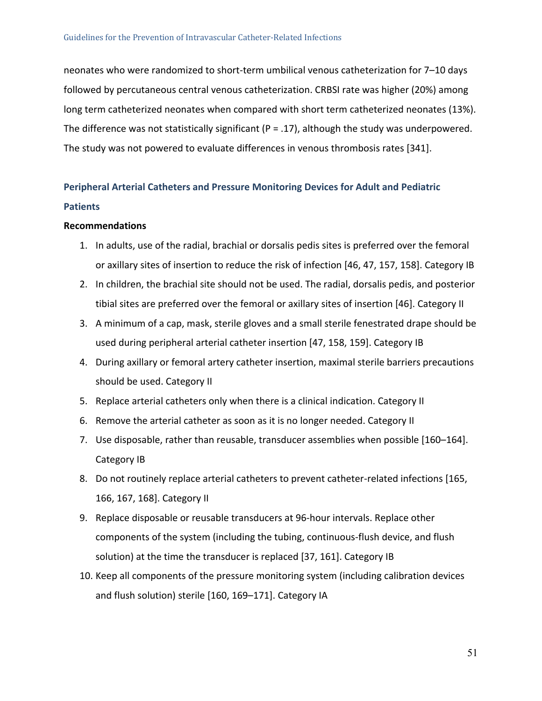neonates who were randomized to short-term umbilical venous catheterization for 7–10 days followed by percutaneous central venous catheterization. CRBSI rate was higher (20%) among long term catheterized neonates when compared with short term catheterized neonates (13%). The difference was not statistically significant ( $P = .17$ ), although the study was underpowered. The study was not powered to evaluate differences in venous thrombosis rates [341].

## **Peripheral Arterial Catheters and Pressure Monitoring Devices for Adult and Pediatric Patients**

## **Recommendations**

- 1. In adults, use of the radial, brachial or dorsalis pedis sites is preferred over the femoral or axillary sites of insertion to reduce the risk of infection [46, 47, 157, 158]. Category IB
- 2. In children, the brachial site should not be used. The radial, dorsalis pedis, and posterior tibial sites are preferred over the femoral or axillary sites of insertion [46]. Category II
- 3. A minimum of a cap, mask, sterile gloves and a small sterile fenestrated drape should be used during peripheral arterial catheter insertion [47, 158, 159]. Category IB
- 4. During axillary or femoral artery catheter insertion, maximal sterile barriers precautions should be used. Category II
- 5. Replace arterial catheters only when there is a clinical indication. Category II
- 6. Remove the arterial catheter as soon as it is no longer needed. Category II
- 7. Use disposable, rather than reusable, transducer assemblies when possible [160–164]. Category IB
- 8. Do not routinely replace arterial catheters to prevent catheter-related infections [165, 166, 167, 168]. Category II
- 9. Replace disposable or reusable transducers at 96-hour intervals. Replace other components of the system (including the tubing, continuous-flush device, and flush solution) at the time the transducer is replaced [37, 161]. Category IB
- 10. Keep all components of the pressure monitoring system (including calibration devices and flush solution) sterile [160, 169–171]. Category IA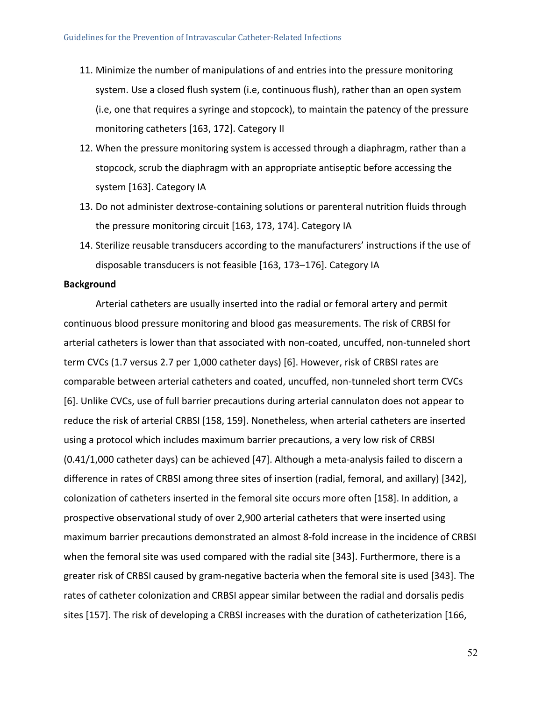- 11. Minimize the number of manipulations of and entries into the pressure monitoring system. Use a closed flush system (i.e, continuous flush), rather than an open system (i.e, one that requires a syringe and stopcock), to maintain the patency of the pressure monitoring catheters [163, 172]. Category II
- 12. When the pressure monitoring system is accessed through a diaphragm, rather than a stopcock, scrub the diaphragm with an appropriate antiseptic before accessing the system [163]. Category IA
- 13. Do not administer dextrose-containing solutions or parenteral nutrition fluids through the pressure monitoring circuit [163, 173, 174]. Category IA
- 14. Sterilize reusable transducers according to the manufacturers' instructions if the use of disposable transducers is not feasible [163, 173–176]. Category IA

## **Background**

Arterial catheters are usually inserted into the radial or femoral artery and permit continuous blood pressure monitoring and blood gas measurements. The risk of CRBSI for arterial catheters is lower than that associated with non-coated, uncuffed, non-tunneled short term CVCs (1.7 versus 2.7 per 1,000 catheter days) [6]. However, risk of CRBSI rates are comparable between arterial catheters and coated, uncuffed, non-tunneled short term CVCs [6]. Unlike CVCs, use of full barrier precautions during arterial cannulaton does not appear to reduce the risk of arterial CRBSI [158, 159]. Nonetheless, when arterial catheters are inserted using a protocol which includes maximum barrier precautions, a very low risk of CRBSI (0.41/1,000 catheter days) can be achieved [47]. Although a meta-analysis failed to discern a difference in rates of CRBSI among three sites of insertion (radial, femoral, and axillary) [342], colonization of catheters inserted in the femoral site occurs more often [158]. In addition, a prospective observational study of over 2,900 arterial catheters that were inserted using maximum barrier precautions demonstrated an almost 8-fold increase in the incidence of CRBSI when the femoral site was used compared with the radial site [343]. Furthermore, there is a greater risk of CRBSI caused by gram-negative bacteria when the femoral site is used [343]. The rates of catheter colonization and CRBSI appear similar between the radial and dorsalis pedis sites [157]. The risk of developing a CRBSI increases with the duration of catheterization [166,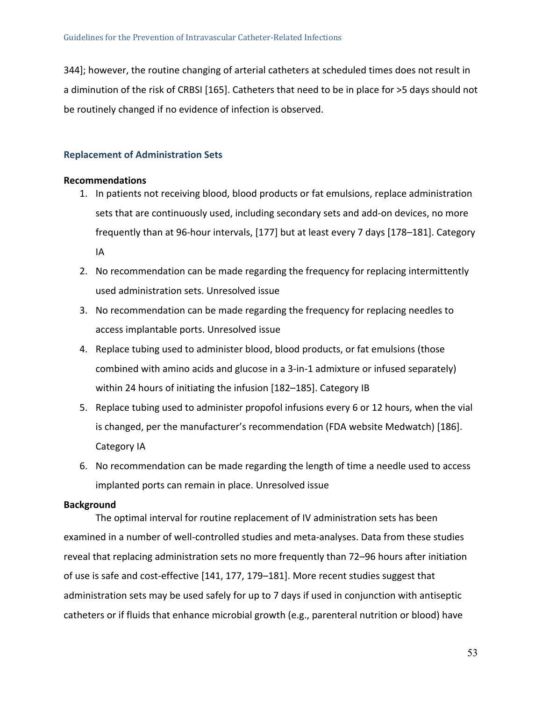344]; however, the routine changing of arterial catheters at scheduled times does not result in a diminution of the risk of CRBSI [165]. Catheters that need to be in place for >5 days should not be routinely changed if no evidence of infection is observed.

## **Replacement of Administration Sets**

## **Recommendations**

- 1. In patients not receiving blood, blood products or fat emulsions, replace administration sets that are continuously used, including secondary sets and add-on devices, no more frequently than at 96-hour intervals, [177] but at least every 7 days [178–181]. Category IA
- 2. No recommendation can be made regarding the frequency for replacing intermittently used administration sets. Unresolved issue
- 3. No recommendation can be made regarding the frequency for replacing needles to access implantable ports. Unresolved issue
- 4. Replace tubing used to administer blood, blood products, or fat emulsions (those combined with amino acids and glucose in a 3-in-1 admixture or infused separately) within 24 hours of initiating the infusion [182–185]. Category IB
- 5. Replace tubing used to administer propofol infusions every 6 or 12 hours, when the vial is changed, per the manufacturer's recommendation (FDA website Medwatch) [186]. Category IA
- 6. No recommendation can be made regarding the length of time a needle used to access implanted ports can remain in place. Unresolved issue

## **Background**

The optimal interval for routine replacement of IV administration sets has been examined in a number of well-controlled studies and meta-analyses. Data from these studies reveal that replacing administration sets no more frequently than 72–96 hours after initiation of use is safe and cost-effective [141, 177, 179–181]. More recent studies suggest that administration sets may be used safely for up to 7 days if used in conjunction with antiseptic catheters or if fluids that enhance microbial growth (e.g., parenteral nutrition or blood) have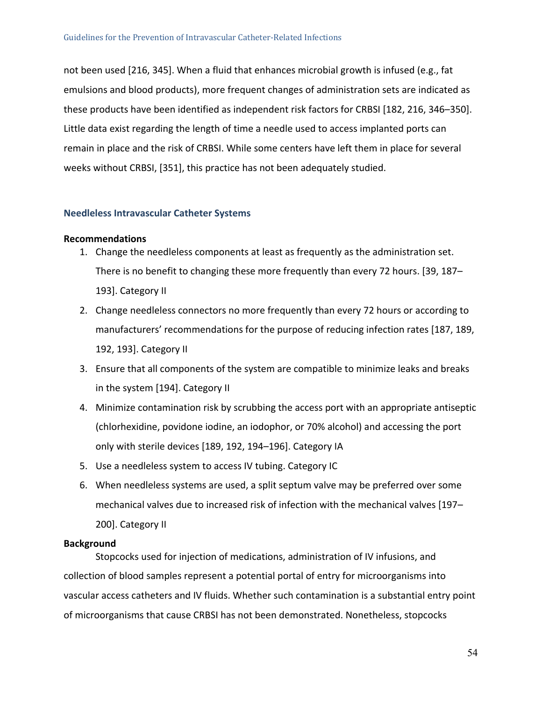not been used [216, 345]. When a fluid that enhances microbial growth is infused (e.g., fat emulsions and blood products), more frequent changes of administration sets are indicated as these products have been identified as independent risk factors for CRBSI [182, 216, 346–350]. Little data exist regarding the length of time a needle used to access implanted ports can remain in place and the risk of CRBSI. While some centers have left them in place for several weeks without CRBSI, [351], this practice has not been adequately studied.

## **Needleless Intravascular Catheter Systems**

## **Recommendations**

- 1. Change the needleless components at least as frequently as the administration set. There is no benefit to changing these more frequently than every 72 hours. [39, 187– 193]. Category II
- 2. Change needleless connectors no more frequently than every 72 hours or according to manufacturers' recommendations for the purpose of reducing infection rates [187, 189, 192, 193]. Category II
- 3. Ensure that all components of the system are compatible to minimize leaks and breaks in the system [194]. Category II
- 4. Minimize contamination risk by scrubbing the access port with an appropriate antiseptic (chlorhexidine, povidone iodine, an iodophor, or 70% alcohol) and accessing the port only with sterile devices [189, 192, 194–196]. Category IA
- 5. Use a needleless system to access IV tubing. Category IC
- 6. When needleless systems are used, a split septum valve may be preferred over some mechanical valves due to increased risk of infection with the mechanical valves [197– 200]. Category II

#### **Background**

Stopcocks used for injection of medications, administration of IV infusions, and collection of blood samples represent a potential portal of entry for microorganisms into vascular access catheters and IV fluids. Whether such contamination is a substantial entry point of microorganisms that cause CRBSI has not been demonstrated. Nonetheless, stopcocks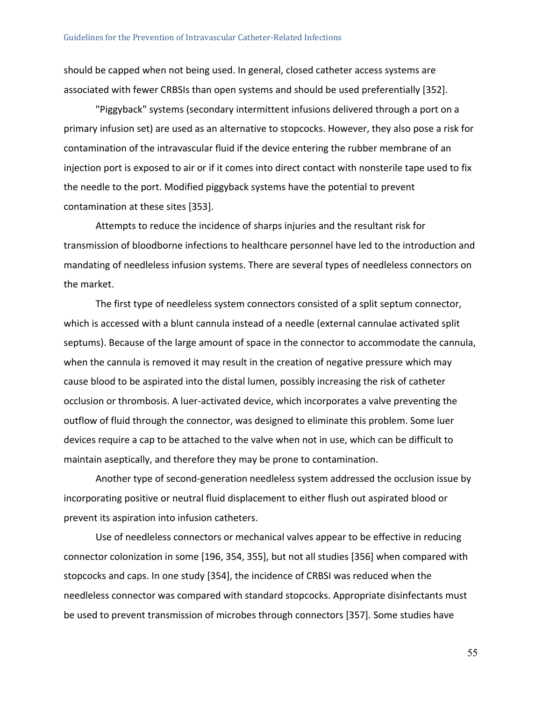should be capped when not being used. In general, closed catheter access systems are associated with fewer CRBSIs than open systems and should be used preferentially [352].

"Piggyback" systems (secondary intermittent infusions delivered through a port on a primary infusion set) are used as an alternative to stopcocks. However, they also pose a risk for contamination of the intravascular fluid if the device entering the rubber membrane of an injection port is exposed to air or if it comes into direct contact with nonsterile tape used to fix the needle to the port. Modified piggyback systems have the potential to prevent contamination at these sites [353].

Attempts to reduce the incidence of sharps injuries and the resultant risk for transmission of bloodborne infections to healthcare personnel have led to the introduction and mandating of needleless infusion systems. There are several types of needleless connectors on the market.

The first type of needleless system connectors consisted of a split septum connector, which is accessed with a blunt cannula instead of a needle (external cannulae activated split septums). Because of the large amount of space in the connector to accommodate the cannula, when the cannula is removed it may result in the creation of negative pressure which may cause blood to be aspirated into the distal lumen, possibly increasing the risk of catheter occlusion or thrombosis. A luer-activated device, which incorporates a valve preventing the outflow of fluid through the connector, was designed to eliminate this problem. Some luer devices require a cap to be attached to the valve when not in use, which can be difficult to maintain aseptically, and therefore they may be prone to contamination.

Another type of second-generation needleless system addressed the occlusion issue by incorporating positive or neutral fluid displacement to either flush out aspirated blood or prevent its aspiration into infusion catheters.

Use of needleless connectors or mechanical valves appear to be effective in reducing connector colonization in some [196, 354, 355], but not all studies [356] when compared with stopcocks and caps. In one study [354], the incidence of CRBSI was reduced when the needleless connector was compared with standard stopcocks. Appropriate disinfectants must be used to prevent transmission of microbes through connectors [357]. Some studies have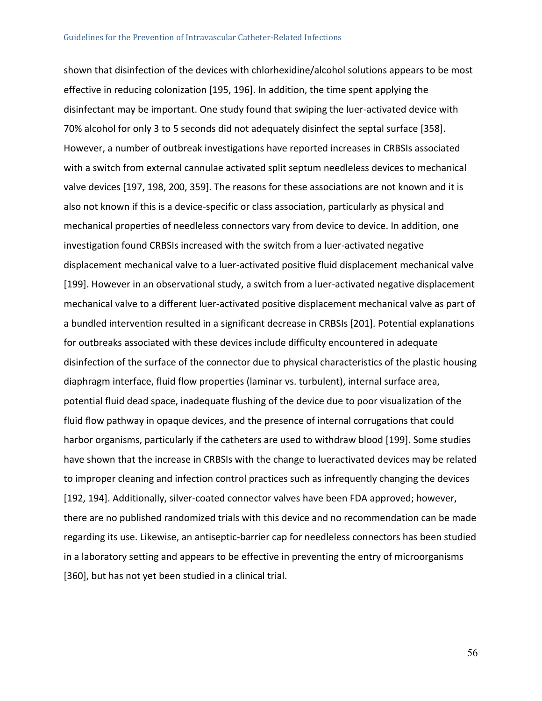shown that disinfection of the devices with chlorhexidine/alcohol solutions appears to be most effective in reducing colonization [195, 196]. In addition, the time spent applying the disinfectant may be important. One study found that swiping the luer-activated device with 70% alcohol for only 3 to 5 seconds did not adequately disinfect the septal surface [358]. However, a number of outbreak investigations have reported increases in CRBSIs associated with a switch from external cannulae activated split septum needleless devices to mechanical valve devices [197, 198, 200, 359]. The reasons for these associations are not known and it is also not known if this is a device-specific or class association, particularly as physical and mechanical properties of needleless connectors vary from device to device. In addition, one investigation found CRBSIs increased with the switch from a luer-activated negative displacement mechanical valve to a luer-activated positive fluid displacement mechanical valve [199]. However in an observational study, a switch from a luer-activated negative displacement mechanical valve to a different luer-activated positive displacement mechanical valve as part of a bundled intervention resulted in a significant decrease in CRBSIs [201]. Potential explanations for outbreaks associated with these devices include difficulty encountered in adequate disinfection of the surface of the connector due to physical characteristics of the plastic housing diaphragm interface, fluid flow properties (laminar vs. turbulent), internal surface area, potential fluid dead space, inadequate flushing of the device due to poor visualization of the fluid flow pathway in opaque devices, and the presence of internal corrugations that could harbor organisms, particularly if the catheters are used to withdraw blood [199]. Some studies have shown that the increase in CRBSIs with the change to lueractivated devices may be related to improper cleaning and infection control practices such as infrequently changing the devices [192, 194]. Additionally, silver-coated connector valves have been FDA approved; however, there are no published randomized trials with this device and no recommendation can be made regarding its use. Likewise, an antiseptic-barrier cap for needleless connectors has been studied in a laboratory setting and appears to be effective in preventing the entry of microorganisms [360], but has not yet been studied in a clinical trial.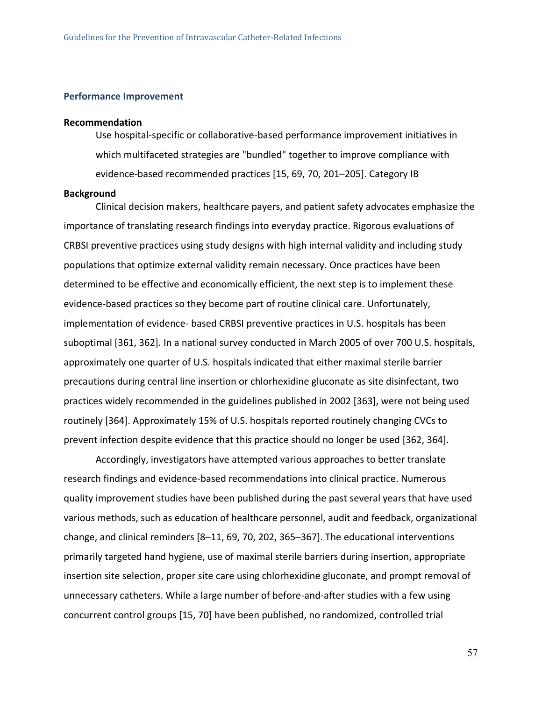#### **Performance Improvement**

#### **Recommendation**

Use hospital-specific or collaborative-based performance improvement initiatives in which multifaceted strategies are "bundled" together to improve compliance with evidence-based recommended practices [15, 69, 70, 201–205]. Category IB

#### **Background**

Clinical decision makers, healthcare payers, and patient safety advocates emphasize the importance of translating research findings into everyday practice. Rigorous evaluations of CRBSI preventive practices using study designs with high internal validity and including study populations that optimize external validity remain necessary. Once practices have been determined to be effective and economically efficient, the next step is to implement these evidence-based practices so they become part of routine clinical care. Unfortunately, implementation of evidence- based CRBSI preventive practices in U.S. hospitals has been suboptimal [361, 362]. In a national survey conducted in March 2005 of over 700 U.S. hospitals, approximately one quarter of U.S. hospitals indicated that either maximal sterile barrier precautions during central line insertion or chlorhexidine gluconate as site disinfectant, two practices widely recommended in the guidelines published in 2002 [363], were not being used routinely [364]. Approximately 15% of U.S. hospitals reported routinely changing CVCs to prevent infection despite evidence that this practice should no longer be used [362, 364].

Accordingly, investigators have attempted various approaches to better translate research findings and evidence-based recommendations into clinical practice. Numerous quality improvement studies have been published during the past several years that have used various methods, such as education of healthcare personnel, audit and feedback, organizational change, and clinical reminders [8–11, 69, 70, 202, 365–367]. The educational interventions primarily targeted hand hygiene, use of maximal sterile barriers during insertion, appropriate insertion site selection, proper site care using chlorhexidine gluconate, and prompt removal of unnecessary catheters. While a large number of before-and-after studies with a few using concurrent control groups [15, 70] have been published, no randomized, controlled trial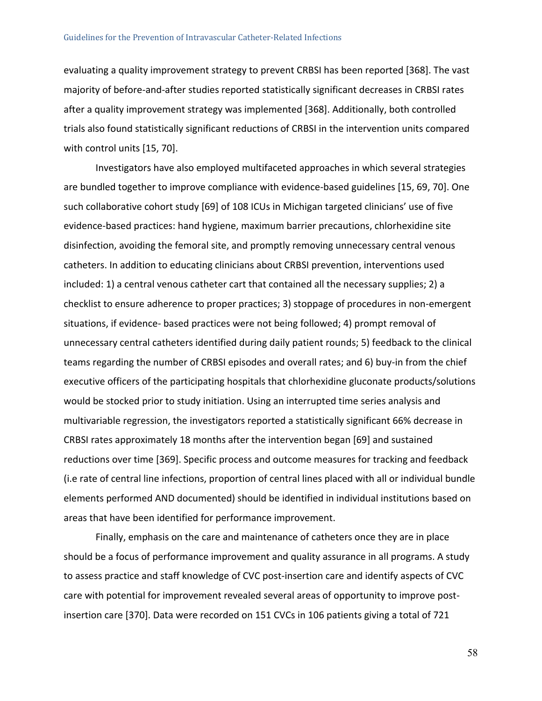evaluating a quality improvement strategy to prevent CRBSI has been reported [368]. The vast majority of before-and-after studies reported statistically significant decreases in CRBSI rates after a quality improvement strategy was implemented [368]. Additionally, both controlled trials also found statistically significant reductions of CRBSI in the intervention units compared with control units [15, 70].

Investigators have also employed multifaceted approaches in which several strategies are bundled together to improve compliance with evidence-based guidelines [15, 69, 70]. One such collaborative cohort study [69] of 108 ICUs in Michigan targeted clinicians' use of five evidence-based practices: hand hygiene, maximum barrier precautions, chlorhexidine site disinfection, avoiding the femoral site, and promptly removing unnecessary central venous catheters. In addition to educating clinicians about CRBSI prevention, interventions used included: 1) a central venous catheter cart that contained all the necessary supplies; 2) a checklist to ensure adherence to proper practices; 3) stoppage of procedures in non-emergent situations, if evidence- based practices were not being followed; 4) prompt removal of unnecessary central catheters identified during daily patient rounds; 5) feedback to the clinical teams regarding the number of CRBSI episodes and overall rates; and 6) buy-in from the chief executive officers of the participating hospitals that chlorhexidine gluconate products/solutions would be stocked prior to study initiation. Using an interrupted time series analysis and multivariable regression, the investigators reported a statistically significant 66% decrease in CRBSI rates approximately 18 months after the intervention began [69] and sustained reductions over time [369]. Specific process and outcome measures for tracking and feedback (i.e rate of central line infections, proportion of central lines placed with all or individual bundle elements performed AND documented) should be identified in individual institutions based on areas that have been identified for performance improvement.

Finally, emphasis on the care and maintenance of catheters once they are in place should be a focus of performance improvement and quality assurance in all programs. A study to assess practice and staff knowledge of CVC post-insertion care and identify aspects of CVC care with potential for improvement revealed several areas of opportunity to improve postinsertion care [370]. Data were recorded on 151 CVCs in 106 patients giving a total of 721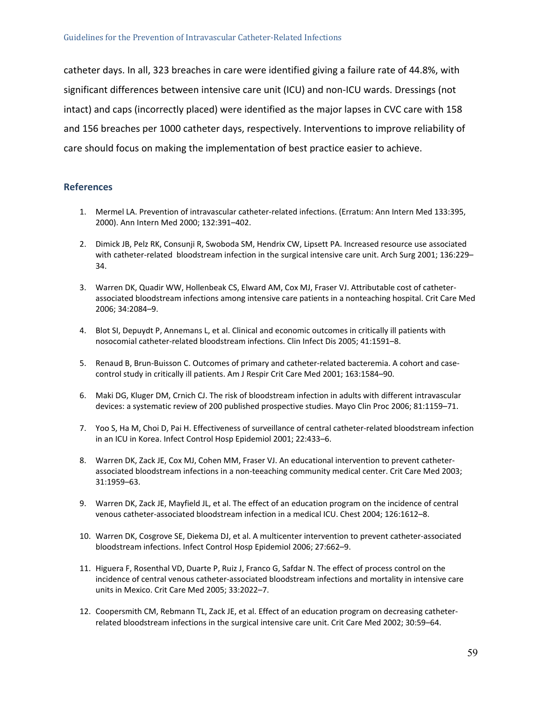catheter days. In all, 323 breaches in care were identified giving a failure rate of 44.8%, with significant differences between intensive care unit (ICU) and non-ICU wards. Dressings (not intact) and caps (incorrectly placed) were identified as the major lapses in CVC care with 158 and 156 breaches per 1000 catheter days, respectively. Interventions to improve reliability of care should focus on making the implementation of best practice easier to achieve.

## **References**

- 1. Mermel LA. Prevention of intravascular catheter-related infections. (Erratum: Ann Intern Med 133:395, 2000). Ann Intern Med 2000; 132:391–402.
- 2. Dimick JB, Pelz RK, Consunji R, Swoboda SM, Hendrix CW, Lipsett PA. Increased resource use associated with catheter-related bloodstream infection in the surgical intensive care unit. Arch Surg 2001; 136:229– 34.
- 3. Warren DK, Quadir WW, Hollenbeak CS, Elward AM, Cox MJ, Fraser VJ. Attributable cost of catheterassociated bloodstream infections among intensive care patients in a nonteaching hospital. Crit Care Med 2006; 34:2084–9.
- 4. Blot SI, Depuydt P, Annemans L, et al. Clinical and economic outcomes in critically ill patients with nosocomial catheter-related bloodstream infections. Clin Infect Dis 2005; 41:1591–8.
- 5. Renaud B, Brun-Buisson C. Outcomes of primary and catheter-related bacteremia. A cohort and casecontrol study in critically ill patients. Am J Respir Crit Care Med 2001; 163:1584–90.
- 6. Maki DG, Kluger DM, Crnich CJ. The risk of bloodstream infection in adults with different intravascular devices: a systematic review of 200 published prospective studies. Mayo Clin Proc 2006; 81:1159–71.
- 7. Yoo S, Ha M, Choi D, Pai H. Effectiveness of surveillance of central catheter-related bloodstream infection in an ICU in Korea. Infect Control Hosp Epidemiol 2001; 22:433–6.
- 8. Warren DK, Zack JE, Cox MJ, Cohen MM, Fraser VJ. An educational intervention to prevent catheterassociated bloodstream infections in a non-teeaching community medical center. Crit Care Med 2003; 31:1959–63.
- 9. Warren DK, Zack JE, Mayfield JL, et al. The effect of an education program on the incidence of central venous catheter-associated bloodstream infection in a medical ICU. Chest 2004; 126:1612–8.
- 10. Warren DK, Cosgrove SE, Diekema DJ, et al. A multicenter intervention to prevent catheter-associated bloodstream infections. Infect Control Hosp Epidemiol 2006; 27:662–9.
- 11. Higuera F, Rosenthal VD, Duarte P, Ruiz J, Franco G, Safdar N. The effect of process control on the incidence of central venous catheter-associated bloodstream infections and mortality in intensive care units in Mexico. Crit Care Med 2005; 33:2022–7.
- 12. Coopersmith CM, Rebmann TL, Zack JE, et al. Effect of an education program on decreasing catheterrelated bloodstream infections in the surgical intensive care unit. Crit Care Med 2002; 30:59–64.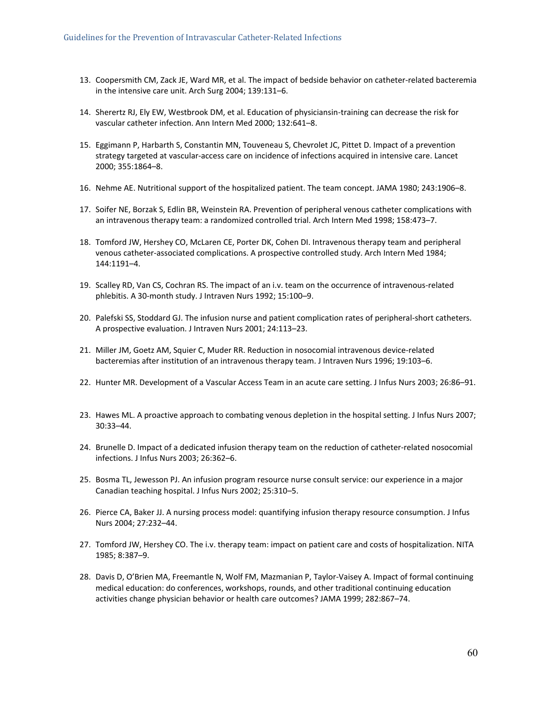- 13. Coopersmith CM, Zack JE, Ward MR, et al. The impact of bedside behavior on catheter-related bacteremia in the intensive care unit. Arch Surg 2004; 139:131–6.
- 14. Sherertz RJ, Ely EW, Westbrook DM, et al. Education of physiciansin-training can decrease the risk for vascular catheter infection. Ann Intern Med 2000; 132:641–8.
- 15. Eggimann P, Harbarth S, Constantin MN, Touveneau S, Chevrolet JC, Pittet D. Impact of a prevention strategy targeted at vascular-access care on incidence of infections acquired in intensive care. Lancet 2000; 355:1864–8.
- 16. Nehme AE. Nutritional support of the hospitalized patient. The team concept. JAMA 1980; 243:1906–8.
- 17. Soifer NE, Borzak S, Edlin BR, Weinstein RA. Prevention of peripheral venous catheter complications with an intravenous therapy team: a randomized controlled trial. Arch Intern Med 1998; 158:473–7.
- 18. Tomford JW, Hershey CO, McLaren CE, Porter DK, Cohen DI. Intravenous therapy team and peripheral venous catheter-associated complications. A prospective controlled study. Arch Intern Med 1984; 144:1191–4.
- 19. Scalley RD, Van CS, Cochran RS. The impact of an i.v. team on the occurrence of intravenous-related phlebitis. A 30-month study. J Intraven Nurs 1992; 15:100–9.
- 20. Palefski SS, Stoddard GJ. The infusion nurse and patient complication rates of peripheral-short catheters. A prospective evaluation. J Intraven Nurs 2001; 24:113–23.
- 21. Miller JM, Goetz AM, Squier C, Muder RR. Reduction in nosocomial intravenous device-related bacteremias after institution of an intravenous therapy team. J Intraven Nurs 1996; 19:103–6.
- 22. Hunter MR. Development of a Vascular Access Team in an acute care setting. J Infus Nurs 2003; 26:86–91.
- 23. Hawes ML. A proactive approach to combating venous depletion in the hospital setting. J Infus Nurs 2007; 30:33–44.
- 24. Brunelle D. Impact of a dedicated infusion therapy team on the reduction of catheter-related nosocomial infections. J Infus Nurs 2003; 26:362–6.
- 25. Bosma TL, Jewesson PJ. An infusion program resource nurse consult service: our experience in a major Canadian teaching hospital. J Infus Nurs 2002; 25:310–5.
- 26. Pierce CA, Baker JJ. A nursing process model: quantifying infusion therapy resource consumption. J Infus Nurs 2004; 27:232–44.
- 27. Tomford JW, Hershey CO. The i.v. therapy team: impact on patient care and costs of hospitalization. NITA 1985; 8:387–9.
- 28. Davis D, O'Brien MA, Freemantle N, Wolf FM, Mazmanian P, Taylor-Vaisey A. Impact of formal continuing medical education: do conferences, workshops, rounds, and other traditional continuing education activities change physician behavior or health care outcomes? JAMA 1999; 282:867–74.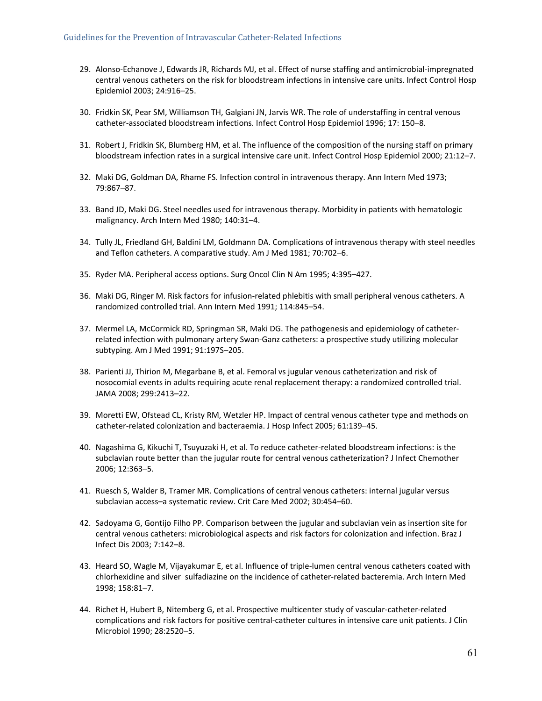- 29. Alonso-Echanove J, Edwards JR, Richards MJ, et al. Effect of nurse staffing and antimicrobial-impregnated central venous catheters on the risk for bloodstream infections in intensive care units. Infect Control Hosp Epidemiol 2003; 24:916–25.
- 30. Fridkin SK, Pear SM, Williamson TH, Galgiani JN, Jarvis WR. The role of understaffing in central venous catheter-associated bloodstream infections. Infect Control Hosp Epidemiol 1996; 17: 150–8.
- 31. Robert J, Fridkin SK, Blumberg HM, et al. The influence of the composition of the nursing staff on primary bloodstream infection rates in a surgical intensive care unit. Infect Control Hosp Epidemiol 2000; 21:12–7.
- 32. Maki DG, Goldman DA, Rhame FS. Infection control in intravenous therapy. Ann Intern Med 1973; 79:867–87.
- 33. Band JD, Maki DG. Steel needles used for intravenous therapy. Morbidity in patients with hematologic malignancy. Arch Intern Med 1980; 140:31–4.
- 34. Tully JL, Friedland GH, Baldini LM, Goldmann DA. Complications of intravenous therapy with steel needles and Teflon catheters. A comparative study. Am J Med 1981; 70:702–6.
- 35. Ryder MA. Peripheral access options. Surg Oncol Clin N Am 1995; 4:395–427.
- 36. Maki DG, Ringer M. Risk factors for infusion-related phlebitis with small peripheral venous catheters. A randomized controlled trial. Ann Intern Med 1991; 114:845–54.
- 37. Mermel LA, McCormick RD, Springman SR, Maki DG. The pathogenesis and epidemiology of catheterrelated infection with pulmonary artery Swan-Ganz catheters: a prospective study utilizing molecular subtyping. Am J Med 1991; 91:197S–205.
- 38. Parienti JJ, Thirion M, Megarbane B, et al. Femoral vs jugular venous catheterization and risk of nosocomial events in adults requiring acute renal replacement therapy: a randomized controlled trial. JAMA 2008; 299:2413–22.
- 39. Moretti EW, Ofstead CL, Kristy RM, Wetzler HP. Impact of central venous catheter type and methods on catheter-related colonization and bacteraemia. J Hosp Infect 2005; 61:139–45.
- 40. Nagashima G, Kikuchi T, Tsuyuzaki H, et al. To reduce catheter-related bloodstream infections: is the subclavian route better than the jugular route for central venous catheterization? J Infect Chemother 2006; 12:363–5.
- 41. Ruesch S, Walder B, Tramer MR. Complications of central venous catheters: internal jugular versus subclavian access–a systematic review. Crit Care Med 2002; 30:454–60.
- 42. Sadoyama G, Gontijo Filho PP. Comparison between the jugular and subclavian vein as insertion site for central venous catheters: microbiological aspects and risk factors for colonization and infection. Braz J Infect Dis 2003; 7:142–8.
- 43. Heard SO, Wagle M, Vijayakumar E, et al. Influence of triple-lumen central venous catheters coated with chlorhexidine and silver sulfadiazine on the incidence of catheter-related bacteremia. Arch Intern Med 1998; 158:81–7.
- 44. Richet H, Hubert B, Nitemberg G, et al. Prospective multicenter study of vascular-catheter-related complications and risk factors for positive central-catheter cultures in intensive care unit patients. J Clin Microbiol 1990; 28:2520–5.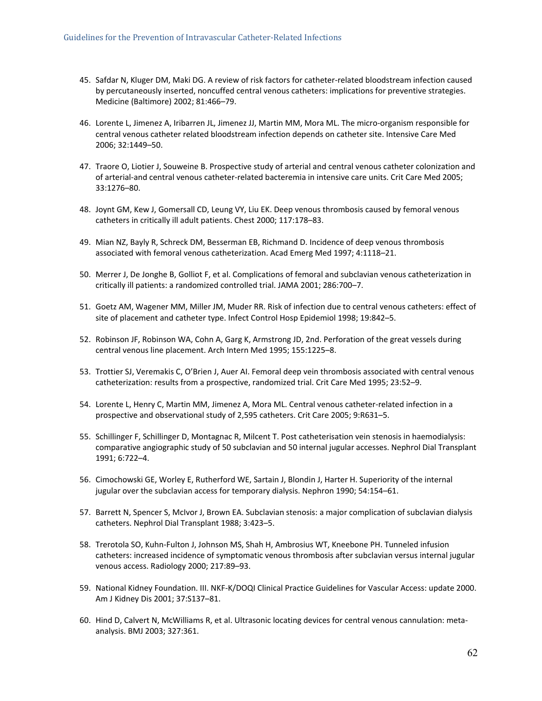- 45. Safdar N, Kluger DM, Maki DG. A review of risk factors for catheter-related bloodstream infection caused by percutaneously inserted, noncuffed central venous catheters: implications for preventive strategies. Medicine (Baltimore) 2002; 81:466–79.
- 46. Lorente L, Jimenez A, Iribarren JL, Jimenez JJ, Martin MM, Mora ML. The micro-organism responsible for central venous catheter related bloodstream infection depends on catheter site. Intensive Care Med 2006; 32:1449–50.
- 47. Traore O, Liotier J, Souweine B. Prospective study of arterial and central venous catheter colonization and of arterial-and central venous catheter-related bacteremia in intensive care units. Crit Care Med 2005; 33:1276–80.
- 48. Joynt GM, Kew J, Gomersall CD, Leung VY, Liu EK. Deep venous thrombosis caused by femoral venous catheters in critically ill adult patients. Chest 2000; 117:178–83.
- 49. Mian NZ, Bayly R, Schreck DM, Besserman EB, Richmand D. Incidence of deep venous thrombosis associated with femoral venous catheterization. Acad Emerg Med 1997; 4:1118–21.
- 50. Merrer J, De Jonghe B, Golliot F, et al. Complications of femoral and subclavian venous catheterization in critically ill patients: a randomized controlled trial. JAMA 2001; 286:700–7.
- 51. Goetz AM, Wagener MM, Miller JM, Muder RR. Risk of infection due to central venous catheters: effect of site of placement and catheter type. Infect Control Hosp Epidemiol 1998; 19:842–5.
- 52. Robinson JF, Robinson WA, Cohn A, Garg K, Armstrong JD, 2nd. Perforation of the great vessels during central venous line placement. Arch Intern Med 1995; 155:1225–8.
- 53. Trottier SJ, Veremakis C, O'Brien J, Auer AI. Femoral deep vein thrombosis associated with central venous catheterization: results from a prospective, randomized trial. Crit Care Med 1995; 23:52–9.
- 54. Lorente L, Henry C, Martin MM, Jimenez A, Mora ML. Central venous catheter-related infection in a prospective and observational study of 2,595 catheters. Crit Care 2005; 9:R631–5.
- 55. Schillinger F, Schillinger D, Montagnac R, Milcent T. Post catheterisation vein stenosis in haemodialysis: comparative angiographic study of 50 subclavian and 50 internal jugular accesses. Nephrol Dial Transplant 1991; 6:722–4.
- 56. Cimochowski GE, Worley E, Rutherford WE, Sartain J, Blondin J, Harter H. Superiority of the internal jugular over the subclavian access for temporary dialysis. Nephron 1990; 54:154–61.
- 57. Barrett N, Spencer S, McIvor J, Brown EA. Subclavian stenosis: a major complication of subclavian dialysis catheters. Nephrol Dial Transplant 1988; 3:423–5.
- 58. Trerotola SO, Kuhn-Fulton J, Johnson MS, Shah H, Ambrosius WT, Kneebone PH. Tunneled infusion catheters: increased incidence of symptomatic venous thrombosis after subclavian versus internal jugular venous access. Radiology 2000; 217:89–93.
- 59. National Kidney Foundation. III. NKF-K/DOQI Clinical Practice Guidelines for Vascular Access: update 2000. Am J Kidney Dis 2001; 37:S137–81.
- 60. Hind D, Calvert N, McWilliams R, et al. Ultrasonic locating devices for central venous cannulation: metaanalysis. BMJ 2003; 327:361.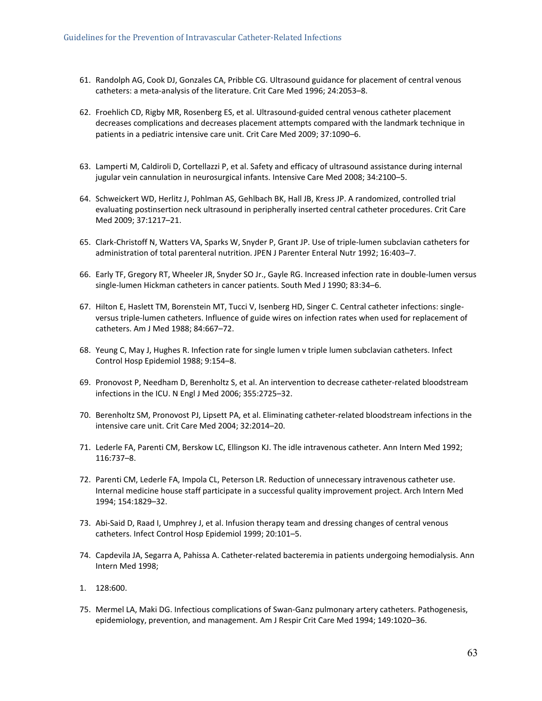- 61. Randolph AG, Cook DJ, Gonzales CA, Pribble CG. Ultrasound guidance for placement of central venous catheters: a meta-analysis of the literature. Crit Care Med 1996; 24:2053–8.
- 62. Froehlich CD, Rigby MR, Rosenberg ES, et al. Ultrasound-guided central venous catheter placement decreases complications and decreases placement attempts compared with the landmark technique in patients in a pediatric intensive care unit. Crit Care Med 2009; 37:1090–6.
- 63. Lamperti M, Caldiroli D, Cortellazzi P, et al. Safety and efficacy of ultrasound assistance during internal jugular vein cannulation in neurosurgical infants. Intensive Care Med 2008; 34:2100–5.
- 64. Schweickert WD, Herlitz J, Pohlman AS, Gehlbach BK, Hall JB, Kress JP. A randomized, controlled trial evaluating postinsertion neck ultrasound in peripherally inserted central catheter procedures. Crit Care Med 2009; 37:1217–21.
- 65. Clark-Christoff N, Watters VA, Sparks W, Snyder P, Grant JP. Use of triple-lumen subclavian catheters for administration of total parenteral nutrition. JPEN J Parenter Enteral Nutr 1992; 16:403–7.
- 66. Early TF, Gregory RT, Wheeler JR, Snyder SO Jr., Gayle RG. Increased infection rate in double-lumen versus single-lumen Hickman catheters in cancer patients. South Med J 1990; 83:34–6.
- 67. Hilton E, Haslett TM, Borenstein MT, Tucci V, Isenberg HD, Singer C. Central catheter infections: singleversus triple-lumen catheters. Influence of guide wires on infection rates when used for replacement of catheters. Am J Med 1988; 84:667–72.
- 68. Yeung C, May J, Hughes R. Infection rate for single lumen v triple lumen subclavian catheters. Infect Control Hosp Epidemiol 1988; 9:154–8.
- 69. Pronovost P, Needham D, Berenholtz S, et al. An intervention to decrease catheter-related bloodstream infections in the ICU. N Engl J Med 2006; 355:2725–32.
- 70. Berenholtz SM, Pronovost PJ, Lipsett PA, et al. Eliminating catheter-related bloodstream infections in the intensive care unit. Crit Care Med 2004; 32:2014–20.
- 71. Lederle FA, Parenti CM, Berskow LC, Ellingson KJ. The idle intravenous catheter. Ann Intern Med 1992; 116:737–8.
- 72. Parenti CM, Lederle FA, Impola CL, Peterson LR. Reduction of unnecessary intravenous catheter use. Internal medicine house staff participate in a successful quality improvement project. Arch Intern Med 1994; 154:1829–32.
- 73. Abi-Said D, Raad I, Umphrey J, et al. Infusion therapy team and dressing changes of central venous catheters. Infect Control Hosp Epidemiol 1999; 20:101–5.
- 74. Capdevila JA, Segarra A, Pahissa A. Catheter-related bacteremia in patients undergoing hemodialysis. Ann Intern Med 1998;
- 1. 128:600.
- 75. Mermel LA, Maki DG. Infectious complications of Swan-Ganz pulmonary artery catheters. Pathogenesis, epidemiology, prevention, and management. Am J Respir Crit Care Med 1994; 149:1020–36.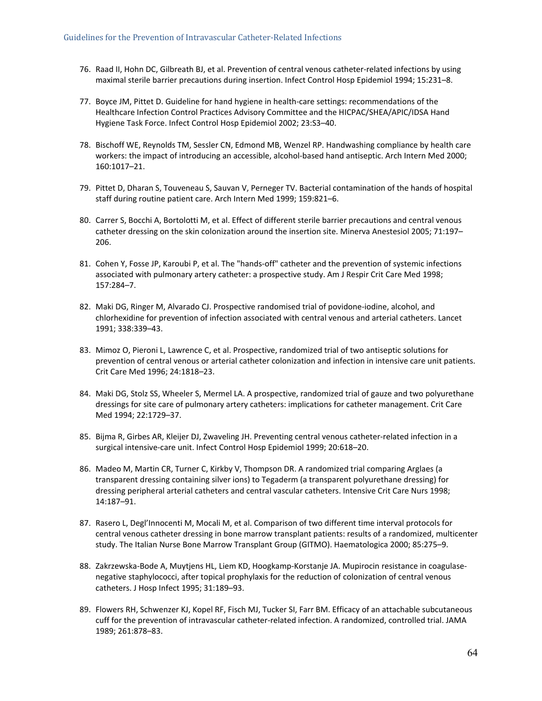- 76. Raad II, Hohn DC, Gilbreath BJ, et al. Prevention of central venous catheter-related infections by using maximal sterile barrier precautions during insertion. Infect Control Hosp Epidemiol 1994; 15:231–8.
- 77. Boyce JM, Pittet D. Guideline for hand hygiene in health-care settings: recommendations of the Healthcare Infection Control Practices Advisory Committee and the HICPAC/SHEA/APIC/IDSA Hand Hygiene Task Force. Infect Control Hosp Epidemiol 2002; 23:S3–40.
- 78. Bischoff WE, Reynolds TM, Sessler CN, Edmond MB, Wenzel RP. Handwashing compliance by health care workers: the impact of introducing an accessible, alcohol-based hand antiseptic. Arch Intern Med 2000; 160:1017–21.
- 79. Pittet D, Dharan S, Touveneau S, Sauvan V, Perneger TV. Bacterial contamination of the hands of hospital staff during routine patient care. Arch Intern Med 1999; 159:821–6.
- 80. Carrer S, Bocchi A, Bortolotti M, et al. Effect of different sterile barrier precautions and central venous catheter dressing on the skin colonization around the insertion site. Minerva Anestesiol 2005; 71:197– 206.
- 81. Cohen Y, Fosse JP, Karoubi P, et al. The "hands-off" catheter and the prevention of systemic infections associated with pulmonary artery catheter: a prospective study. Am J Respir Crit Care Med 1998; 157:284–7.
- 82. Maki DG, Ringer M, Alvarado CJ. Prospective randomised trial of povidone-iodine, alcohol, and chlorhexidine for prevention of infection associated with central venous and arterial catheters. Lancet 1991; 338:339–43.
- 83. Mimoz O, Pieroni L, Lawrence C, et al. Prospective, randomized trial of two antiseptic solutions for prevention of central venous or arterial catheter colonization and infection in intensive care unit patients. Crit Care Med 1996; 24:1818–23.
- 84. Maki DG, Stolz SS, Wheeler S, Mermel LA. A prospective, randomized trial of gauze and two polyurethane dressings for site care of pulmonary artery catheters: implications for catheter management. Crit Care Med 1994; 22:1729–37.
- 85. Bijma R, Girbes AR, Kleijer DJ, Zwaveling JH. Preventing central venous catheter-related infection in a surgical intensive-care unit. Infect Control Hosp Epidemiol 1999; 20:618–20.
- 86. Madeo M, Martin CR, Turner C, Kirkby V, Thompson DR. A randomized trial comparing Arglaes (a transparent dressing containing silver ions) to Tegaderm (a transparent polyurethane dressing) for dressing peripheral arterial catheters and central vascular catheters. Intensive Crit Care Nurs 1998; 14:187–91.
- 87. Rasero L, Degl'Innocenti M, Mocali M, et al. Comparison of two different time interval protocols for central venous catheter dressing in bone marrow transplant patients: results of a randomized, multicenter study. The Italian Nurse Bone Marrow Transplant Group (GITMO). Haematologica 2000; 85:275–9.
- 88. Zakrzewska-Bode A, Muytjens HL, Liem KD, Hoogkamp-Korstanje JA. Mupirocin resistance in coagulasenegative staphylococci, after topical prophylaxis for the reduction of colonization of central venous catheters. J Hosp Infect 1995; 31:189–93.
- 89. Flowers RH, Schwenzer KJ, Kopel RF, Fisch MJ, Tucker SI, Farr BM. Efficacy of an attachable subcutaneous cuff for the prevention of intravascular catheter-related infection. A randomized, controlled trial. JAMA 1989; 261:878–83.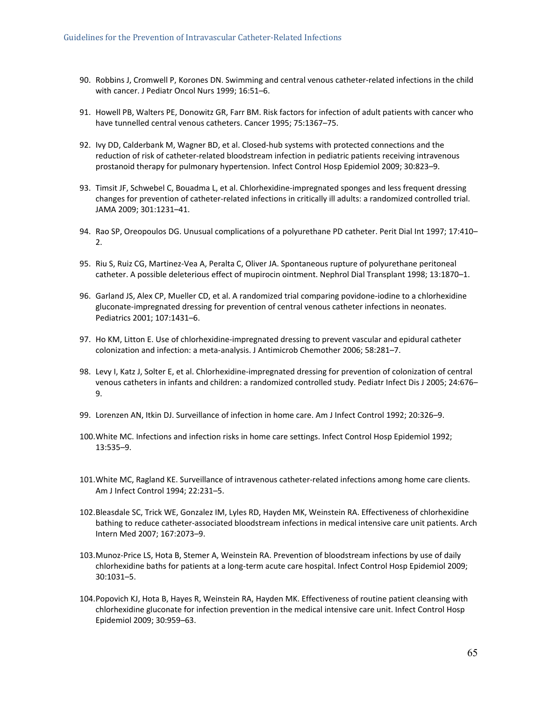- 90. Robbins J, Cromwell P, Korones DN. Swimming and central venous catheter-related infections in the child with cancer. J Pediatr Oncol Nurs 1999; 16:51–6.
- 91. Howell PB, Walters PE, Donowitz GR, Farr BM. Risk factors for infection of adult patients with cancer who have tunnelled central venous catheters. Cancer 1995; 75:1367–75.
- 92. Ivy DD, Calderbank M, Wagner BD, et al. Closed-hub systems with protected connections and the reduction of risk of catheter-related bloodstream infection in pediatric patients receiving intravenous prostanoid therapy for pulmonary hypertension. Infect Control Hosp Epidemiol 2009; 30:823–9.
- 93. Timsit JF, Schwebel C, Bouadma L, et al. Chlorhexidine-impregnated sponges and less frequent dressing changes for prevention of catheter-related infections in critically ill adults: a randomized controlled trial. JAMA 2009; 301:1231–41.
- 94. Rao SP, Oreopoulos DG. Unusual complications of a polyurethane PD catheter. Perit Dial Int 1997; 17:410– 2.
- 95. Riu S, Ruiz CG, Martinez-Vea A, Peralta C, Oliver JA. Spontaneous rupture of polyurethane peritoneal catheter. A possible deleterious effect of mupirocin ointment. Nephrol Dial Transplant 1998; 13:1870–1.
- 96. Garland JS, Alex CP, Mueller CD, et al. A randomized trial comparing povidone-iodine to a chlorhexidine gluconate-impregnated dressing for prevention of central venous catheter infections in neonates. Pediatrics 2001; 107:1431–6.
- 97. Ho KM, Litton E. Use of chlorhexidine-impregnated dressing to prevent vascular and epidural catheter colonization and infection: a meta-analysis. J Antimicrob Chemother 2006; 58:281–7.
- 98. Levy I, Katz J, Solter E, et al. Chlorhexidine-impregnated dressing for prevention of colonization of central venous catheters in infants and children: a randomized controlled study. Pediatr Infect Dis J 2005; 24:676– 9.
- 99. Lorenzen AN, Itkin DJ. Surveillance of infection in home care. Am J Infect Control 1992; 20:326–9.
- 100.White MC. Infections and infection risks in home care settings. Infect Control Hosp Epidemiol 1992; 13:535–9.
- 101.White MC, Ragland KE. Surveillance of intravenous catheter-related infections among home care clients. Am J Infect Control 1994; 22:231–5.
- 102.Bleasdale SC, Trick WE, Gonzalez IM, Lyles RD, Hayden MK, Weinstein RA. Effectiveness of chlorhexidine bathing to reduce catheter-associated bloodstream infections in medical intensive care unit patients. Arch Intern Med 2007; 167:2073–9.
- 103.Munoz-Price LS, Hota B, Stemer A, Weinstein RA. Prevention of bloodstream infections by use of daily chlorhexidine baths for patients at a long-term acute care hospital. Infect Control Hosp Epidemiol 2009; 30:1031–5.
- 104.Popovich KJ, Hota B, Hayes R, Weinstein RA, Hayden MK. Effectiveness of routine patient cleansing with chlorhexidine gluconate for infection prevention in the medical intensive care unit. Infect Control Hosp Epidemiol 2009; 30:959–63.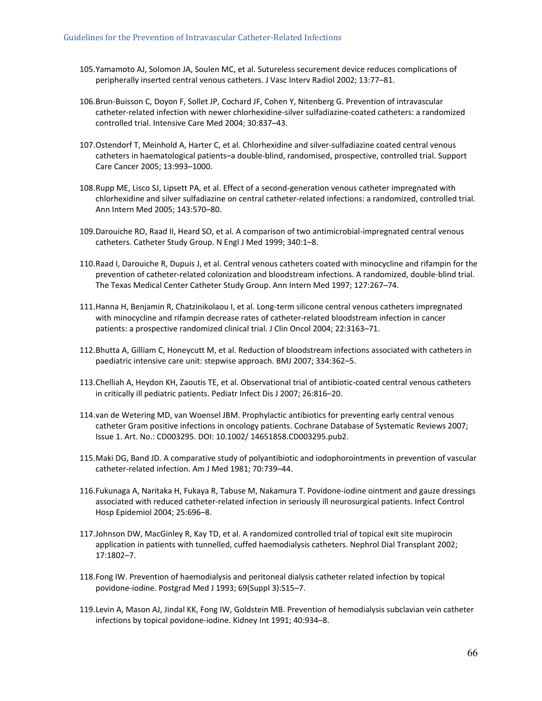- 105.Yamamoto AJ, Solomon JA, Soulen MC, et al. Sutureless securement device reduces complications of peripherally inserted central venous catheters. J Vasc Interv Radiol 2002; 13:77–81.
- 106.Brun-Buisson C, Doyon F, Sollet JP, Cochard JF, Cohen Y, Nitenberg G. Prevention of intravascular catheter-related infection with newer chlorhexidine-silver sulfadiazine-coated catheters: a randomized controlled trial. Intensive Care Med 2004; 30:837–43.
- 107.Ostendorf T, Meinhold A, Harter C, et al. Chlorhexidine and silver-sulfadiazine coated central venous catheters in haematological patients–a double-blind, randomised, prospective, controlled trial. Support Care Cancer 2005; 13:993–1000.
- 108.Rupp ME, Lisco SJ, Lipsett PA, et al. Effect of a second-generation venous catheter impregnated with chlorhexidine and silver sulfadiazine on central catheter-related infections: a randomized, controlled trial. Ann Intern Med 2005; 143:570–80.
- 109.Darouiche RO, Raad II, Heard SO, et al. A comparison of two antimicrobial-impregnated central venous catheters. Catheter Study Group. N Engl J Med 1999; 340:1–8.
- 110.Raad I, Darouiche R, Dupuis J, et al. Central venous catheters coated with minocycline and rifampin for the prevention of catheter-related colonization and bloodstream infections. A randomized, double-blind trial. The Texas Medical Center Catheter Study Group. Ann Intern Med 1997; 127:267–74.
- 111.Hanna H, Benjamin R, Chatzinikolaou I, et al. Long-term silicone central venous catheters impregnated with minocycline and rifampin decrease rates of catheter-related bloodstream infection in cancer patients: a prospective randomized clinical trial. J Clin Oncol 2004; 22:3163–71.
- 112.Bhutta A, Gilliam C, Honeycutt M, et al. Reduction of bloodstream infections associated with catheters in paediatric intensive care unit: stepwise approach. BMJ 2007; 334:362–5.
- 113.Chelliah A, Heydon KH, Zaoutis TE, et al. Observational trial of antibiotic-coated central venous catheters in critically ill pediatric patients. Pediatr Infect Dis J 2007; 26:816–20.
- 114.van de Wetering MD, van Woensel JBM. Prophylactic antibiotics for preventing early central venous catheter Gram positive infections in oncology patients. Cochrane Database of Systematic Reviews 2007; Issue 1. Art. No.: CD003295. DOI: 10.1002/ 14651858.CD003295.pub2.
- 115.Maki DG, Band JD. A comparative study of polyantibiotic and iodophorointments in prevention of vascular catheter-related infection. Am J Med 1981; 70:739–44.
- 116.Fukunaga A, Naritaka H, Fukaya R, Tabuse M, Nakamura T. Povidone-iodine ointment and gauze dressings associated with reduced catheter-related infection in seriously ill neurosurgical patients. Infect Control Hosp Epidemiol 2004; 25:696–8.
- 117.Johnson DW, MacGinley R, Kay TD, et al. A randomized controlled trial of topical exit site mupirocin application in patients with tunnelled, cuffed haemodialysis catheters. Nephrol Dial Transplant 2002; 17:1802–7.
- 118.Fong IW. Prevention of haemodialysis and peritoneal dialysis catheter related infection by topical povidone-iodine. Postgrad Med J 1993; 69(Suppl 3):S15–7.
- 119.Levin A, Mason AJ, Jindal KK, Fong IW, Goldstein MB. Prevention of hemodialysis subclavian vein catheter infections by topical povidone-iodine. Kidney Int 1991; 40:934–8.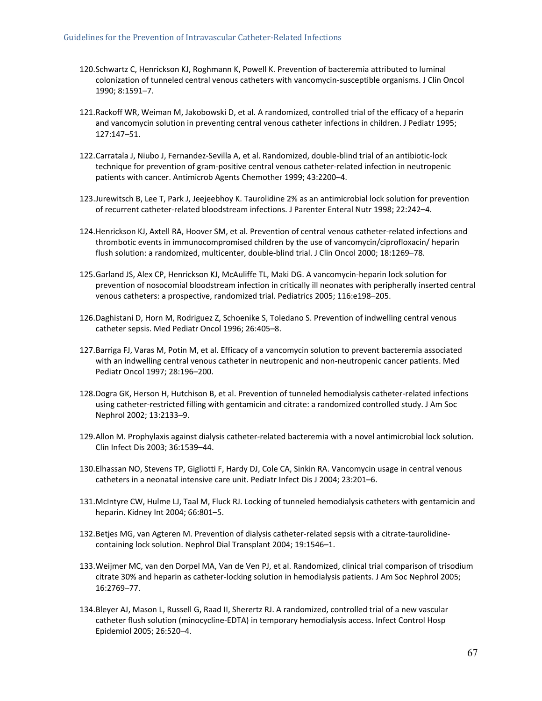- 120.Schwartz C, Henrickson KJ, Roghmann K, Powell K. Prevention of bacteremia attributed to luminal colonization of tunneled central venous catheters with vancomycin-susceptible organisms. J Clin Oncol 1990; 8:1591–7.
- 121.Rackoff WR, Weiman M, Jakobowski D, et al. A randomized, controlled trial of the efficacy of a heparin and vancomycin solution in preventing central venous catheter infections in children. J Pediatr 1995; 127:147–51.
- 122.Carratala J, Niubo J, Fernandez-Sevilla A, et al. Randomized, double-blind trial of an antibiotic-lock technique for prevention of gram-positive central venous catheter-related infection in neutropenic patients with cancer. Antimicrob Agents Chemother 1999; 43:2200–4.
- 123.Jurewitsch B, Lee T, Park J, Jeejeebhoy K. Taurolidine 2% as an antimicrobial lock solution for prevention of recurrent catheter-related bloodstream infections. J Parenter Enteral Nutr 1998; 22:242–4.
- 124.Henrickson KJ, Axtell RA, Hoover SM, et al. Prevention of central venous catheter-related infections and thrombotic events in immunocompromised children by the use of vancomycin/ciprofloxacin/ heparin flush solution: a randomized, multicenter, double-blind trial. J Clin Oncol 2000; 18:1269–78.
- 125.Garland JS, Alex CP, Henrickson KJ, McAuliffe TL, Maki DG. A vancomycin-heparin lock solution for prevention of nosocomial bloodstream infection in critically ill neonates with peripherally inserted central venous catheters: a prospective, randomized trial. Pediatrics 2005; 116:e198–205.
- 126.Daghistani D, Horn M, Rodriguez Z, Schoenike S, Toledano S. Prevention of indwelling central venous catheter sepsis. Med Pediatr Oncol 1996; 26:405–8.
- 127.Barriga FJ, Varas M, Potin M, et al. Efficacy of a vancomycin solution to prevent bacteremia associated with an indwelling central venous catheter in neutropenic and non-neutropenic cancer patients. Med Pediatr Oncol 1997; 28:196–200.
- 128.Dogra GK, Herson H, Hutchison B, et al. Prevention of tunneled hemodialysis catheter-related infections using catheter-restricted filling with gentamicin and citrate: a randomized controlled study. J Am Soc Nephrol 2002; 13:2133–9.
- 129.Allon M. Prophylaxis against dialysis catheter-related bacteremia with a novel antimicrobial lock solution. Clin Infect Dis 2003; 36:1539–44.
- 130.Elhassan NO, Stevens TP, Gigliotti F, Hardy DJ, Cole CA, Sinkin RA. Vancomycin usage in central venous catheters in a neonatal intensive care unit. Pediatr Infect Dis J 2004; 23:201–6.
- 131.McIntyre CW, Hulme LJ, Taal M, Fluck RJ. Locking of tunneled hemodialysis catheters with gentamicin and heparin. Kidney Int 2004; 66:801–5.
- 132.Betjes MG, van Agteren M. Prevention of dialysis catheter-related sepsis with a citrate-taurolidinecontaining lock solution. Nephrol Dial Transplant 2004; 19:1546–1.
- 133.Weijmer MC, van den Dorpel MA, Van de Ven PJ, et al. Randomized, clinical trial comparison of trisodium citrate 30% and heparin as catheter-locking solution in hemodialysis patients. J Am Soc Nephrol 2005; 16:2769–77.
- 134.Bleyer AJ, Mason L, Russell G, Raad II, Sherertz RJ. A randomized, controlled trial of a new vascular catheter flush solution (minocycline-EDTA) in temporary hemodialysis access. Infect Control Hosp Epidemiol 2005; 26:520–4.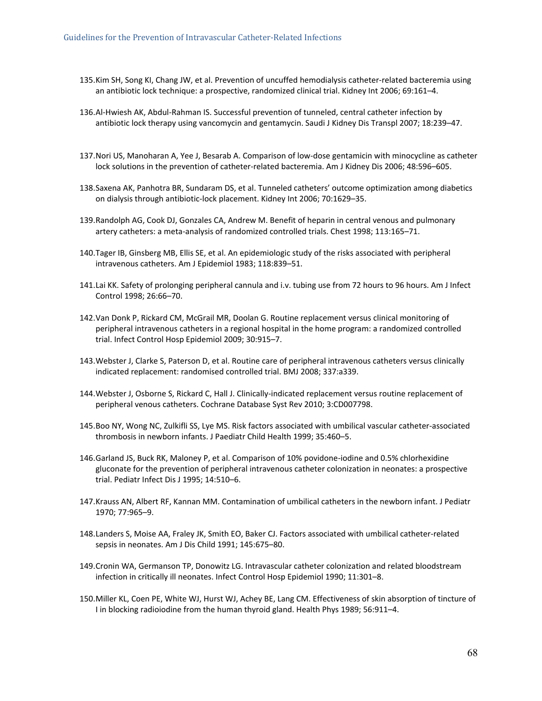- 135.Kim SH, Song KI, Chang JW, et al. Prevention of uncuffed hemodialysis catheter-related bacteremia using an antibiotic lock technique: a prospective, randomized clinical trial. Kidney Int 2006; 69:161–4.
- 136.Al-Hwiesh AK, Abdul-Rahman IS. Successful prevention of tunneled, central catheter infection by antibiotic lock therapy using vancomycin and gentamycin. Saudi J Kidney Dis Transpl 2007; 18:239–47.
- 137.Nori US, Manoharan A, Yee J, Besarab A. Comparison of low-dose gentamicin with minocycline as catheter lock solutions in the prevention of catheter-related bacteremia. Am J Kidney Dis 2006; 48:596–605.
- 138.Saxena AK, Panhotra BR, Sundaram DS, et al. Tunneled catheters' outcome optimization among diabetics on dialysis through antibiotic-lock placement. Kidney Int 2006; 70:1629–35.
- 139.Randolph AG, Cook DJ, Gonzales CA, Andrew M. Benefit of heparin in central venous and pulmonary artery catheters: a meta-analysis of randomized controlled trials. Chest 1998; 113:165–71.
- 140.Tager IB, Ginsberg MB, Ellis SE, et al. An epidemiologic study of the risks associated with peripheral intravenous catheters. Am J Epidemiol 1983; 118:839–51.
- 141.Lai KK. Safety of prolonging peripheral cannula and i.v. tubing use from 72 hours to 96 hours. Am J Infect Control 1998; 26:66–70.
- 142.Van Donk P, Rickard CM, McGrail MR, Doolan G. Routine replacement versus clinical monitoring of peripheral intravenous catheters in a regional hospital in the home program: a randomized controlled trial. Infect Control Hosp Epidemiol 2009; 30:915–7.
- 143.Webster J, Clarke S, Paterson D, et al. Routine care of peripheral intravenous catheters versus clinically indicated replacement: randomised controlled trial. BMJ 2008; 337:a339.
- 144.Webster J, Osborne S, Rickard C, Hall J. Clinically-indicated replacement versus routine replacement of peripheral venous catheters. Cochrane Database Syst Rev 2010; 3:CD007798.
- 145.Boo NY, Wong NC, Zulkifli SS, Lye MS. Risk factors associated with umbilical vascular catheter-associated thrombosis in newborn infants. J Paediatr Child Health 1999; 35:460–5.
- 146.Garland JS, Buck RK, Maloney P, et al. Comparison of 10% povidone-iodine and 0.5% chlorhexidine gluconate for the prevention of peripheral intravenous catheter colonization in neonates: a prospective trial. Pediatr Infect Dis J 1995; 14:510–6.
- 147.Krauss AN, Albert RF, Kannan MM. Contamination of umbilical catheters in the newborn infant. J Pediatr 1970; 77:965–9.
- 148.Landers S, Moise AA, Fraley JK, Smith EO, Baker CJ. Factors associated with umbilical catheter-related sepsis in neonates. Am J Dis Child 1991; 145:675–80.
- 149.Cronin WA, Germanson TP, Donowitz LG. Intravascular catheter colonization and related bloodstream infection in critically ill neonates. Infect Control Hosp Epidemiol 1990; 11:301–8.
- 150.Miller KL, Coen PE, White WJ, Hurst WJ, Achey BE, Lang CM. Effectiveness of skin absorption of tincture of I in blocking radioiodine from the human thyroid gland. Health Phys 1989; 56:911–4.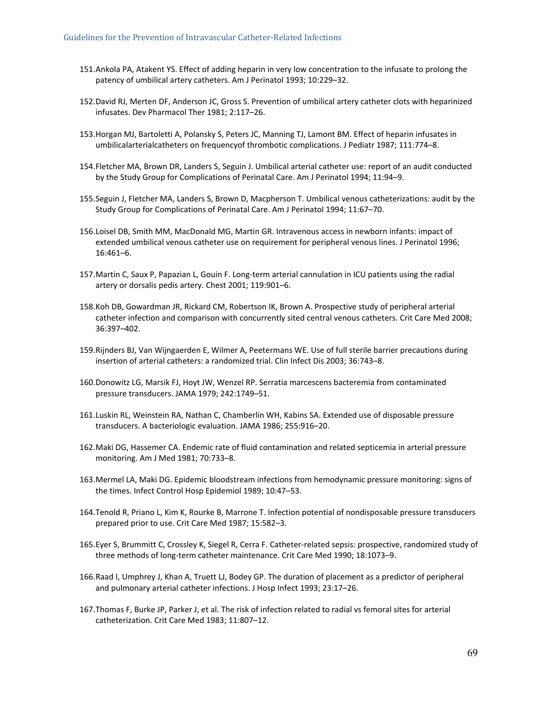- 151.Ankola PA, Atakent YS. Effect of adding heparin in very low concentration to the infusate to prolong the patency of umbilical artery catheters. Am J Perinatol 1993; 10:229–32.
- 152.David RJ, Merten DF, Anderson JC, Gross S. Prevention of umbilical artery catheter clots with heparinized infusates. Dev Pharmacol Ther 1981; 2:117–26.
- 153.Horgan MJ, Bartoletti A, Polansky S, Peters JC, Manning TJ, Lamont BM. Effect of heparin infusates in umbilicalarterialcatheters on frequencyof thrombotic complications. J Pediatr 1987; 111:774–8.
- 154.Fletcher MA, Brown DR, Landers S, Seguin J. Umbilical arterial catheter use: report of an audit conducted by the Study Group for Complications of Perinatal Care. Am J Perinatol 1994; 11:94–9.
- 155.Seguin J, Fletcher MA, Landers S, Brown D, Macpherson T. Umbilical venous catheterizations: audit by the Study Group for Complications of Perinatal Care. Am J Perinatol 1994; 11:67–70.
- 156.Loisel DB, Smith MM, MacDonald MG, Martin GR. Intravenous access in newborn infants: impact of extended umbilical venous catheter use on requirement for peripheral venous lines. J Perinatol 1996; 16:461–6.
- 157.Martin C, Saux P, Papazian L, Gouin F. Long-term arterial cannulation in ICU patients using the radial artery or dorsalis pedis artery. Chest 2001; 119:901–6.
- 158.Koh DB, Gowardman JR, Rickard CM, Robertson IK, Brown A. Prospective study of peripheral arterial catheter infection and comparison with concurrently sited central venous catheters. Crit Care Med 2008; 36:397–402.
- 159.Rijnders BJ, Van Wijngaerden E, Wilmer A, Peetermans WE. Use of full sterile barrier precautions during insertion of arterial catheters: a randomized trial. Clin Infect Dis 2003; 36:743–8.
- 160.Donowitz LG, Marsik FJ, Hoyt JW, Wenzel RP. Serratia marcescens bacteremia from contaminated pressure transducers. JAMA 1979; 242:1749–51.
- 161.Luskin RL, Weinstein RA, Nathan C, Chamberlin WH, Kabins SA. Extended use of disposable pressure transducers. A bacteriologic evaluation. JAMA 1986; 255:916–20.
- 162.Maki DG, Hassemer CA. Endemic rate of fluid contamination and related septicemia in arterial pressure monitoring. Am J Med 1981; 70:733–8.
- 163.Mermel LA, Maki DG. Epidemic bloodstream infections from hemodynamic pressure monitoring: signs of the times. Infect Control Hosp Epidemiol 1989; 10:47–53.
- 164.Tenold R, Priano L, Kim K, Rourke B, Marrone T. Infection potential of nondisposable pressure transducers prepared prior to use. Crit Care Med 1987; 15:582–3.
- 165.Eyer S, Brummitt C, Crossley K, Siegel R, Cerra F. Catheter-related sepsis: prospective, randomized study of three methods of long-term catheter maintenance. Crit Care Med 1990; 18:1073–9.
- 166.Raad I, Umphrey J, Khan A, Truett LJ, Bodey GP. The duration of placement as a predictor of peripheral and pulmonary arterial catheter infections. J Hosp Infect 1993; 23:17–26.
- 167.Thomas F, Burke JP, Parker J, et al. The risk of infection related to radial vs femoral sites for arterial catheterization. Crit Care Med 1983; 11:807–12.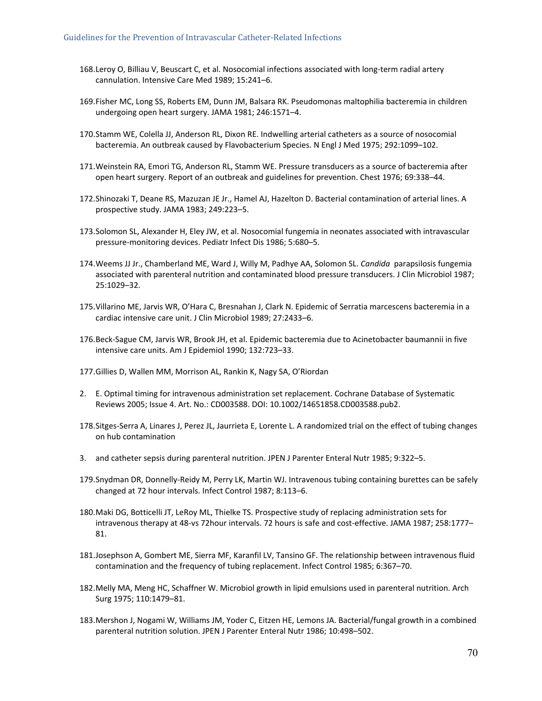- 168.Leroy O, Billiau V, Beuscart C, et al. Nosocomial infections associated with long-term radial artery cannulation. Intensive Care Med 1989; 15:241–6.
- 169.Fisher MC, Long SS, Roberts EM, Dunn JM, Balsara RK. Pseudomonas maltophilia bacteremia in children undergoing open heart surgery. JAMA 1981; 246:1571–4.
- 170.Stamm WE, Colella JJ, Anderson RL, Dixon RE. Indwelling arterial catheters as a source of nosocomial bacteremia. An outbreak caused by Flavobacterium Species. N Engl J Med 1975; 292:1099–102.
- 171.Weinstein RA, Emori TG, Anderson RL, Stamm WE. Pressure transducers as a source of bacteremia after open heart surgery. Report of an outbreak and guidelines for prevention. Chest 1976; 69:338–44.
- 172.Shinozaki T, Deane RS, Mazuzan JE Jr., Hamel AJ, Hazelton D. Bacterial contamination of arterial lines. A prospective study. JAMA 1983; 249:223–5.
- 173.Solomon SL, Alexander H, Eley JW, et al. Nosocomial fungemia in neonates associated with intravascular pressure-monitoring devices. Pediatr Infect Dis 1986; 5:680–5.
- 174.Weems JJ Jr., Chamberland ME, Ward J, Willy M, Padhye AA, Solomon SL. *Candida* parapsilosis fungemia associated with parenteral nutrition and contaminated blood pressure transducers. J Clin Microbiol 1987; 25:1029–32.
- 175.Villarino ME, Jarvis WR, O'Hara C, Bresnahan J, Clark N. Epidemic of Serratia marcescens bacteremia in a cardiac intensive care unit. J Clin Microbiol 1989; 27:2433–6.
- 176.Beck-Sague CM, Jarvis WR, Brook JH, et al. Epidemic bacteremia due to Acinetobacter baumannii in five intensive care units. Am J Epidemiol 1990; 132:723–33.
- 177.Gillies D, Wallen MM, Morrison AL, Rankin K, Nagy SA, O'Riordan
- 2. E. Optimal timing for intravenous administration set replacement. Cochrane Database of Systematic Reviews 2005; Issue 4. Art. No.: CD003588. DOI: 10.1002/14651858.CD003588.pub2.
- 178.Sitges-Serra A, Linares J, Perez JL, Jaurrieta E, Lorente L. A randomized trial on the effect of tubing changes on hub contamination
- 3. and catheter sepsis during parenteral nutrition. JPEN J Parenter Enteral Nutr 1985; 9:322–5.
- 179.Snydman DR, Donnelly-Reidy M, Perry LK, Martin WJ. Intravenous tubing containing burettes can be safely changed at 72 hour intervals. Infect Control 1987; 8:113–6.
- 180.Maki DG, Botticelli JT, LeRoy ML, Thielke TS. Prospective study of replacing administration sets for intravenous therapy at 48-vs 72hour intervals. 72 hours is safe and cost-effective. JAMA 1987; 258:1777– 81.
- 181.Josephson A, Gombert ME, Sierra MF, Karanfil LV, Tansino GF. The relationship between intravenous fluid contamination and the frequency of tubing replacement. Infect Control 1985; 6:367–70.
- 182.Melly MA, Meng HC, Schaffner W. Microbiol growth in lipid emulsions used in parenteral nutrition. Arch Surg 1975; 110:1479–81.
- 183.Mershon J, Nogami W, Williams JM, Yoder C, Eitzen HE, Lemons JA. Bacterial/fungal growth in a combined parenteral nutrition solution. JPEN J Parenter Enteral Nutr 1986; 10:498–502.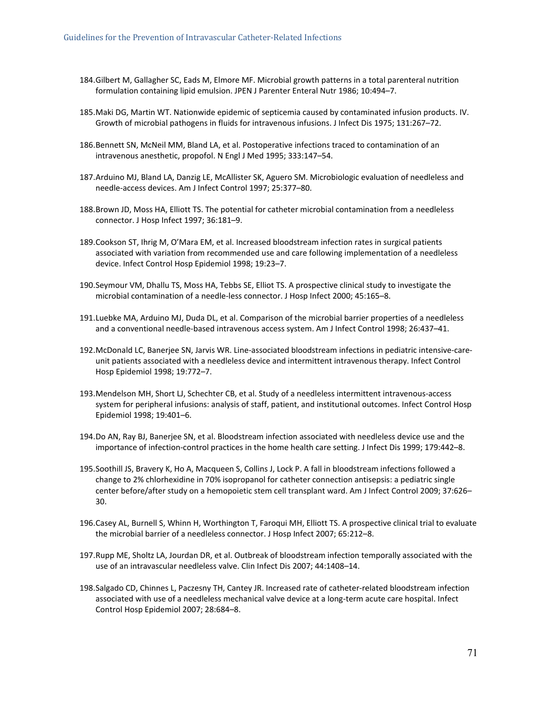- 184.Gilbert M, Gallagher SC, Eads M, Elmore MF. Microbial growth patterns in a total parenteral nutrition formulation containing lipid emulsion. JPEN J Parenter Enteral Nutr 1986; 10:494–7.
- 185.Maki DG, Martin WT. Nationwide epidemic of septicemia caused by contaminated infusion products. IV. Growth of microbial pathogens in fluids for intravenous infusions. J Infect Dis 1975; 131:267–72.
- 186.Bennett SN, McNeil MM, Bland LA, et al. Postoperative infections traced to contamination of an intravenous anesthetic, propofol. N Engl J Med 1995; 333:147–54.
- 187.Arduino MJ, Bland LA, Danzig LE, McAllister SK, Aguero SM. Microbiologic evaluation of needleless and needle-access devices. Am J Infect Control 1997; 25:377–80.
- 188.Brown JD, Moss HA, Elliott TS. The potential for catheter microbial contamination from a needleless connector. J Hosp Infect 1997; 36:181–9.
- 189.Cookson ST, Ihrig M, O'Mara EM, et al. Increased bloodstream infection rates in surgical patients associated with variation from recommended use and care following implementation of a needleless device. Infect Control Hosp Epidemiol 1998; 19:23–7.
- 190.Seymour VM, Dhallu TS, Moss HA, Tebbs SE, Elliot TS. A prospective clinical study to investigate the microbial contamination of a needle-less connector. J Hosp Infect 2000; 45:165–8.
- 191.Luebke MA, Arduino MJ, Duda DL, et al. Comparison of the microbial barrier properties of a needleless and a conventional needle-based intravenous access system. Am J Infect Control 1998; 26:437–41.
- 192.McDonald LC, Banerjee SN, Jarvis WR. Line-associated bloodstream infections in pediatric intensive-careunit patients associated with a needleless device and intermittent intravenous therapy. Infect Control Hosp Epidemiol 1998; 19:772–7.
- 193.Mendelson MH, Short LJ, Schechter CB, et al. Study of a needleless intermittent intravenous-access system for peripheral infusions: analysis of staff, patient, and institutional outcomes. Infect Control Hosp Epidemiol 1998; 19:401–6.
- 194.Do AN, Ray BJ, Banerjee SN, et al. Bloodstream infection associated with needleless device use and the importance of infection-control practices in the home health care setting. J Infect Dis 1999; 179:442–8.
- 195.Soothill JS, Bravery K, Ho A, Macqueen S, Collins J, Lock P. A fall in bloodstream infections followed a change to 2% chlorhexidine in 70% isopropanol for catheter connection antisepsis: a pediatric single center before/after study on a hemopoietic stem cell transplant ward. Am J Infect Control 2009; 37:626– 30.
- 196.Casey AL, Burnell S, Whinn H, Worthington T, Faroqui MH, Elliott TS. A prospective clinical trial to evaluate the microbial barrier of a needleless connector. J Hosp Infect 2007; 65:212–8.
- 197.Rupp ME, Sholtz LA, Jourdan DR, et al. Outbreak of bloodstream infection temporally associated with the use of an intravascular needleless valve. Clin Infect Dis 2007; 44:1408–14.
- 198.Salgado CD, Chinnes L, Paczesny TH, Cantey JR. Increased rate of catheter-related bloodstream infection associated with use of a needleless mechanical valve device at a long-term acute care hospital. Infect Control Hosp Epidemiol 2007; 28:684–8.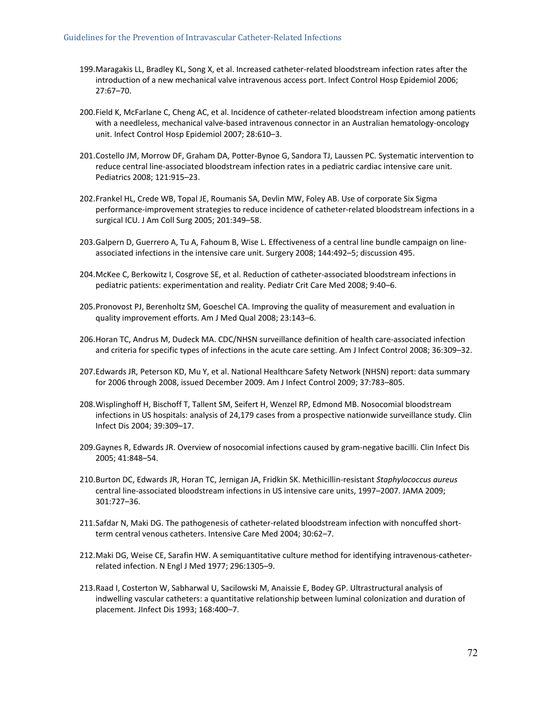- 199.Maragakis LL, Bradley KL, Song X, et al. Increased catheter-related bloodstream infection rates after the introduction of a new mechanical valve intravenous access port. Infect Control Hosp Epidemiol 2006; 27:67–70.
- 200.Field K, McFarlane C, Cheng AC, et al. Incidence of catheter-related bloodstream infection among patients with a needleless, mechanical valve-based intravenous connector in an Australian hematology-oncology unit. Infect Control Hosp Epidemiol 2007; 28:610–3.
- 201.Costello JM, Morrow DF, Graham DA, Potter-Bynoe G, Sandora TJ, Laussen PC. Systematic intervention to reduce central line-associated bloodstream infection rates in a pediatric cardiac intensive care unit. Pediatrics 2008; 121:915–23.
- 202.Frankel HL, Crede WB, Topal JE, Roumanis SA, Devlin MW, Foley AB. Use of corporate Six Sigma performance-improvement strategies to reduce incidence of catheter-related bloodstream infections in a surgical ICU. J Am Coll Surg 2005; 201:349–58.
- 203.Galpern D, Guerrero A, Tu A, Fahoum B, Wise L. Effectiveness of a central line bundle campaign on lineassociated infections in the intensive care unit. Surgery 2008; 144:492–5; discussion 495.
- 204.McKee C, Berkowitz I, Cosgrove SE, et al. Reduction of catheter-associated bloodstream infections in pediatric patients: experimentation and reality. Pediatr Crit Care Med 2008; 9:40–6.
- 205.Pronovost PJ, Berenholtz SM, Goeschel CA. Improving the quality of measurement and evaluation in quality improvement efforts. Am J Med Qual 2008; 23:143–6.
- 206.Horan TC, Andrus M, Dudeck MA. CDC/NHSN surveillance definition of health care-associated infection and criteria for specific types of infections in the acute care setting. Am J Infect Control 2008; 36:309–32.
- 207.Edwards JR, Peterson KD, Mu Y, et al. National Healthcare Safety Network (NHSN) report: data summary for 2006 through 2008, issued December 2009. Am J Infect Control 2009; 37:783–805.
- 208.Wisplinghoff H, Bischoff T, Tallent SM, Seifert H, Wenzel RP, Edmond MB. Nosocomial bloodstream infections in US hospitals: analysis of 24,179 cases from a prospective nationwide surveillance study. Clin Infect Dis 2004; 39:309–17.
- 209.Gaynes R, Edwards JR. Overview of nosocomial infections caused by gram-negative bacilli. Clin Infect Dis 2005; 41:848–54.
- 210.Burton DC, Edwards JR, Horan TC, Jernigan JA, Fridkin SK. Methicillin-resistant *Staphylococcus aureus*  central line-associated bloodstream infections in US intensive care units, 1997–2007. JAMA 2009; 301:727–36.
- 211.Safdar N, Maki DG. The pathogenesis of catheter-related bloodstream infection with noncuffed shortterm central venous catheters. Intensive Care Med 2004; 30:62–7.
- 212.Maki DG, Weise CE, Sarafin HW. A semiquantitative culture method for identifying intravenous-catheterrelated infection. N Engl J Med 1977; 296:1305–9.
- 213.Raad I, Costerton W, Sabharwal U, Sacilowski M, Anaissie E, Bodey GP. Ultrastructural analysis of indwelling vascular catheters: a quantitative relationship between luminal colonization and duration of placement. JInfect Dis 1993; 168:400–7.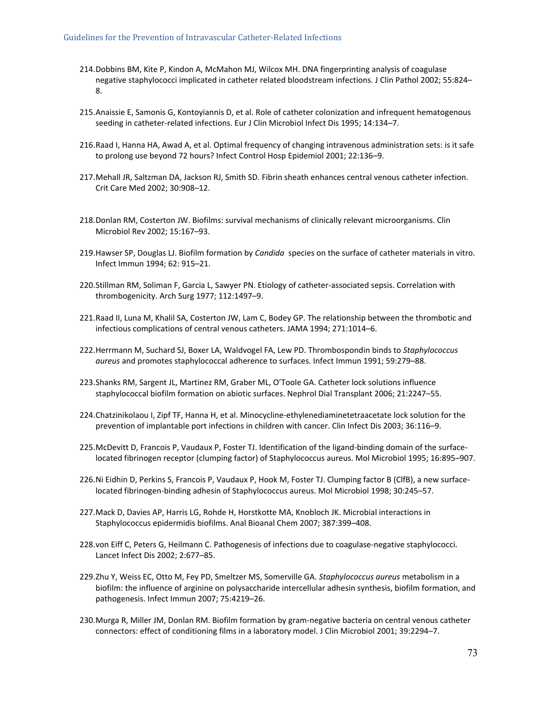- 214.Dobbins BM, Kite P, Kindon A, McMahon MJ, Wilcox MH. DNA fingerprinting analysis of coagulase negative staphylococci implicated in catheter related bloodstream infections. J Clin Pathol 2002; 55:824– 8.
- 215.Anaissie E, Samonis G, Kontoyiannis D, et al. Role of catheter colonization and infrequent hematogenous seeding in catheter-related infections. Eur J Clin Microbiol Infect Dis 1995; 14:134–7.
- 216.Raad I, Hanna HA, Awad A, et al. Optimal frequency of changing intravenous administration sets: is it safe to prolong use beyond 72 hours? Infect Control Hosp Epidemiol 2001; 22:136–9.
- 217.Mehall JR, Saltzman DA, Jackson RJ, Smith SD. Fibrin sheath enhances central venous catheter infection. Crit Care Med 2002; 30:908–12.
- 218.Donlan RM, Costerton JW. Biofilms: survival mechanisms of clinically relevant microorganisms. Clin Microbiol Rev 2002; 15:167–93.
- 219.Hawser SP, Douglas LJ. Biofilm formation by *Candida* species on the surface of catheter materials in vitro. Infect Immun 1994; 62: 915–21.
- 220.Stillman RM, Soliman F, Garcia L, Sawyer PN. Etiology of catheter-associated sepsis. Correlation with thrombogenicity. Arch Surg 1977; 112:1497–9.
- 221.Raad II, Luna M, Khalil SA, Costerton JW, Lam C, Bodey GP. The relationship between the thrombotic and infectious complications of central venous catheters. JAMA 1994; 271:1014–6.
- 222.Herrmann M, Suchard SJ, Boxer LA, Waldvogel FA, Lew PD. Thrombospondin binds to *Staphylococcus aureus* and promotes staphylococcal adherence to surfaces. Infect Immun 1991; 59:279–88.
- 223.Shanks RM, Sargent JL, Martinez RM, Graber ML, O'Toole GA. Catheter lock solutions influence staphylococcal biofilm formation on abiotic surfaces. Nephrol Dial Transplant 2006; 21:2247–55.
- 224.Chatzinikolaou I, Zipf TF, Hanna H, et al. Minocycline-ethylenediaminetetraacetate lock solution for the prevention of implantable port infections in children with cancer. Clin Infect Dis 2003; 36:116–9.
- 225.McDevitt D, Francois P, Vaudaux P, Foster TJ. Identification of the ligand-binding domain of the surfacelocated fibrinogen receptor (clumping factor) of Staphylococcus aureus. Mol Microbiol 1995; 16:895–907.
- 226.Ni Eidhin D, Perkins S, Francois P, Vaudaux P, Hook M, Foster TJ. Clumping factor B (ClfB), a new surfacelocated fibrinogen-binding adhesin of Staphylococcus aureus. Mol Microbiol 1998; 30:245–57.
- 227.Mack D, Davies AP, Harris LG, Rohde H, Horstkotte MA, Knobloch JK. Microbial interactions in Staphylococcus epidermidis biofilms. Anal Bioanal Chem 2007; 387:399–408.
- 228.von Eiff C, Peters G, Heilmann C. Pathogenesis of infections due to coagulase-negative staphylococci. Lancet Infect Dis 2002; 2:677–85.
- 229.Zhu Y, Weiss EC, Otto M, Fey PD, Smeltzer MS, Somerville GA. *Staphylococcus aureus* metabolism in a biofilm: the influence of arginine on polysaccharide intercellular adhesin synthesis, biofilm formation, and pathogenesis. Infect Immun 2007; 75:4219–26.
- 230.Murga R, Miller JM, Donlan RM. Biofilm formation by gram-negative bacteria on central venous catheter connectors: effect of conditioning films in a laboratory model. J Clin Microbiol 2001; 39:2294–7.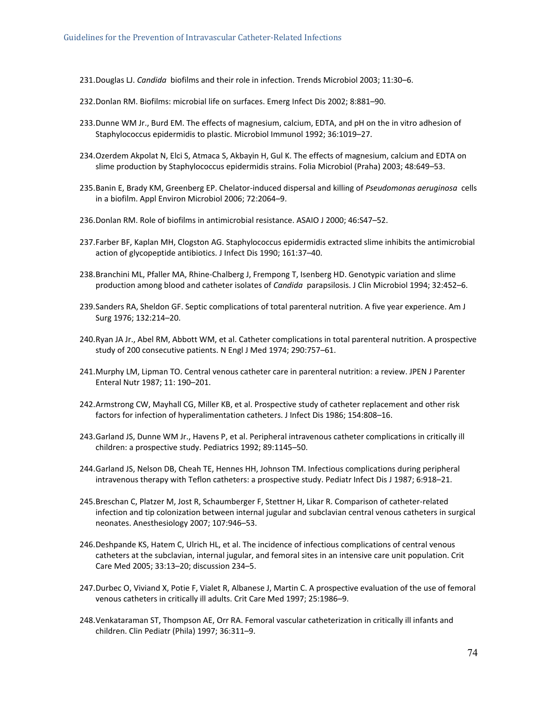231.Douglas LJ. *Candida* biofilms and their role in infection. Trends Microbiol 2003; 11:30–6.

- 232.Donlan RM. Biofilms: microbial life on surfaces. Emerg Infect Dis 2002; 8:881–90.
- 233.Dunne WM Jr., Burd EM. The effects of magnesium, calcium, EDTA, and pH on the in vitro adhesion of Staphylococcus epidermidis to plastic. Microbiol Immunol 1992; 36:1019–27.
- 234.Ozerdem Akpolat N, Elci S, Atmaca S, Akbayin H, Gul K. The effects of magnesium, calcium and EDTA on slime production by Staphylococcus epidermidis strains. Folia Microbiol (Praha) 2003; 48:649–53.
- 235.Banin E, Brady KM, Greenberg EP. Chelator-induced dispersal and killing of *Pseudomonas aeruginosa* cells in a biofilm. Appl Environ Microbiol 2006; 72:2064–9.
- 236.Donlan RM. Role of biofilms in antimicrobial resistance. ASAIO J 2000; 46:S47–52.
- 237.Farber BF, Kaplan MH, Clogston AG. Staphylococcus epidermidis extracted slime inhibits the antimicrobial action of glycopeptide antibiotics. J Infect Dis 1990; 161:37–40.
- 238.Branchini ML, Pfaller MA, Rhine-Chalberg J, Frempong T, Isenberg HD. Genotypic variation and slime production among blood and catheter isolates of *Candida* parapsilosis. J Clin Microbiol 1994; 32:452–6.
- 239.Sanders RA, Sheldon GF. Septic complications of total parenteral nutrition. A five year experience. Am J Surg 1976; 132:214–20.
- 240.Ryan JA Jr., Abel RM, Abbott WM, et al. Catheter complications in total parenteral nutrition. A prospective study of 200 consecutive patients. N Engl J Med 1974; 290:757–61.
- 241.Murphy LM, Lipman TO. Central venous catheter care in parenteral nutrition: a review. JPEN J Parenter Enteral Nutr 1987; 11: 190–201.
- 242.Armstrong CW, Mayhall CG, Miller KB, et al. Prospective study of catheter replacement and other risk factors for infection of hyperalimentation catheters. J Infect Dis 1986; 154:808–16.
- 243.Garland JS, Dunne WM Jr., Havens P, et al. Peripheral intravenous catheter complications in critically ill children: a prospective study. Pediatrics 1992; 89:1145–50.
- 244.Garland JS, Nelson DB, Cheah TE, Hennes HH, Johnson TM. Infectious complications during peripheral intravenous therapy with Teflon catheters: a prospective study. Pediatr Infect Dis J 1987; 6:918–21.
- 245.Breschan C, Platzer M, Jost R, Schaumberger F, Stettner H, Likar R. Comparison of catheter-related infection and tip colonization between internal jugular and subclavian central venous catheters in surgical neonates. Anesthesiology 2007; 107:946–53.
- 246.Deshpande KS, Hatem C, Ulrich HL, et al. The incidence of infectious complications of central venous catheters at the subclavian, internal jugular, and femoral sites in an intensive care unit population. Crit Care Med 2005; 33:13–20; discussion 234–5.
- 247.Durbec O, Viviand X, Potie F, Vialet R, Albanese J, Martin C. A prospective evaluation of the use of femoral venous catheters in critically ill adults. Crit Care Med 1997; 25:1986–9.
- 248.Venkataraman ST, Thompson AE, Orr RA. Femoral vascular catheterization in critically ill infants and children. Clin Pediatr (Phila) 1997; 36:311–9.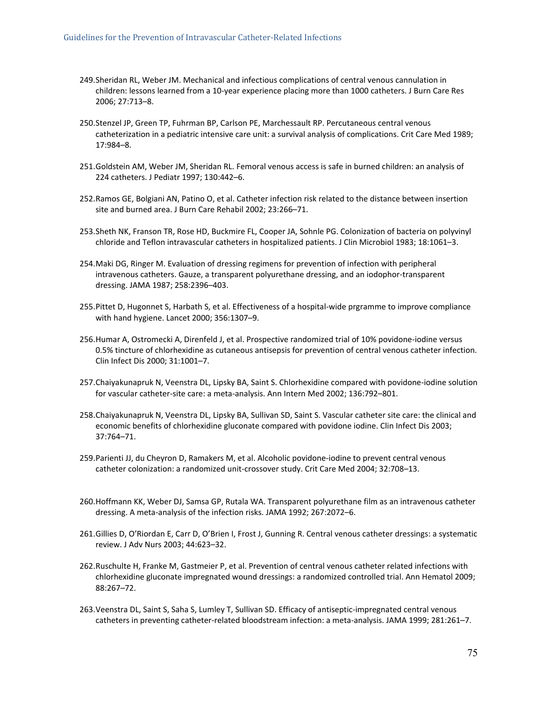- 249.Sheridan RL, Weber JM. Mechanical and infectious complications of central venous cannulation in children: lessons learned from a 10-year experience placing more than 1000 catheters. J Burn Care Res 2006; 27:713–8.
- 250.Stenzel JP, Green TP, Fuhrman BP, Carlson PE, Marchessault RP. Percutaneous central venous catheterization in a pediatric intensive care unit: a survival analysis of complications. Crit Care Med 1989; 17:984–8.
- 251.Goldstein AM, Weber JM, Sheridan RL. Femoral venous access is safe in burned children: an analysis of 224 catheters. J Pediatr 1997; 130:442–6.
- 252.Ramos GE, Bolgiani AN, Patino O, et al. Catheter infection risk related to the distance between insertion site and burned area. J Burn Care Rehabil 2002; 23:266–71.
- 253.Sheth NK, Franson TR, Rose HD, Buckmire FL, Cooper JA, Sohnle PG. Colonization of bacteria on polyvinyl chloride and Teflon intravascular catheters in hospitalized patients. J Clin Microbiol 1983; 18:1061–3.
- 254.Maki DG, Ringer M. Evaluation of dressing regimens for prevention of infection with peripheral intravenous catheters. Gauze, a transparent polyurethane dressing, and an iodophor-transparent dressing. JAMA 1987; 258:2396–403.
- 255.Pittet D, Hugonnet S, Harbath S, et al. Effectiveness of a hospital-wide prgramme to improve compliance with hand hygiene. Lancet 2000; 356:1307–9.
- 256.Humar A, Ostromecki A, Direnfeld J, et al. Prospective randomized trial of 10% povidone-iodine versus 0.5% tincture of chlorhexidine as cutaneous antisepsis for prevention of central venous catheter infection. Clin Infect Dis 2000; 31:1001–7.
- 257.Chaiyakunapruk N, Veenstra DL, Lipsky BA, Saint S. Chlorhexidine compared with povidone-iodine solution for vascular catheter-site care: a meta-analysis. Ann Intern Med 2002; 136:792–801.
- 258.Chaiyakunapruk N, Veenstra DL, Lipsky BA, Sullivan SD, Saint S. Vascular catheter site care: the clinical and economic benefits of chlorhexidine gluconate compared with povidone iodine. Clin Infect Dis 2003; 37:764–71.
- 259.Parienti JJ, du Cheyron D, Ramakers M, et al. Alcoholic povidone-iodine to prevent central venous catheter colonization: a randomized unit-crossover study. Crit Care Med 2004; 32:708–13.
- 260.Hoffmann KK, Weber DJ, Samsa GP, Rutala WA. Transparent polyurethane film as an intravenous catheter dressing. A meta-analysis of the infection risks. JAMA 1992; 267:2072–6.
- 261.Gillies D, O'Riordan E, Carr D, O'Brien I, Frost J, Gunning R. Central venous catheter dressings: a systematic review. J Adv Nurs 2003; 44:623–32.
- 262.Ruschulte H, Franke M, Gastmeier P, et al. Prevention of central venous catheter related infections with chlorhexidine gluconate impregnated wound dressings: a randomized controlled trial. Ann Hematol 2009; 88:267–72.
- 263.Veenstra DL, Saint S, Saha S, Lumley T, Sullivan SD. Efficacy of antiseptic-impregnated central venous catheters in preventing catheter-related bloodstream infection: a meta-analysis. JAMA 1999; 281:261–7.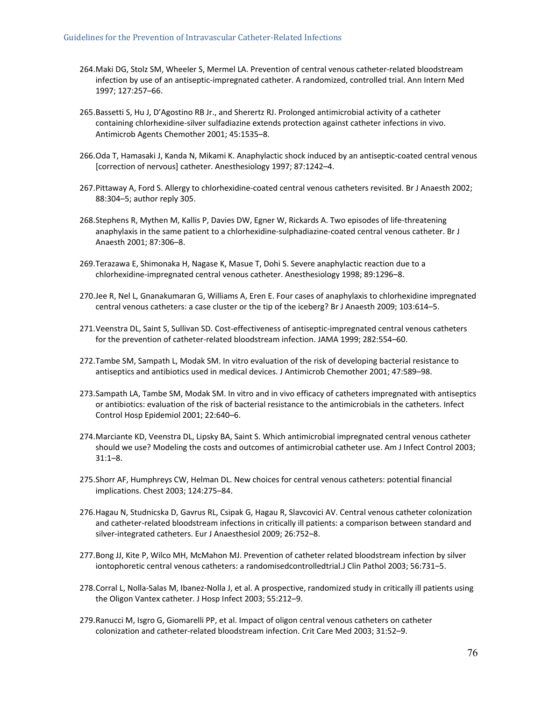- 264.Maki DG, Stolz SM, Wheeler S, Mermel LA. Prevention of central venous catheter-related bloodstream infection by use of an antiseptic-impregnated catheter. A randomized, controlled trial. Ann Intern Med 1997; 127:257–66.
- 265.Bassetti S, Hu J, D'Agostino RB Jr., and Sherertz RJ. Prolonged antimicrobial activity of a catheter containing chlorhexidine-silver sulfadiazine extends protection against catheter infections in vivo. Antimicrob Agents Chemother 2001; 45:1535–8.
- 266.Oda T, Hamasaki J, Kanda N, Mikami K. Anaphylactic shock induced by an antiseptic-coated central venous [correction of nervous] catheter. Anesthesiology 1997; 87:1242–4.
- 267.Pittaway A, Ford S. Allergy to chlorhexidine-coated central venous catheters revisited. Br J Anaesth 2002; 88:304–5; author reply 305.
- 268.Stephens R, Mythen M, Kallis P, Davies DW, Egner W, Rickards A. Two episodes of life-threatening anaphylaxis in the same patient to a chlorhexidine-sulphadiazine-coated central venous catheter. Br J Anaesth 2001; 87:306–8.
- 269.Terazawa E, Shimonaka H, Nagase K, Masue T, Dohi S. Severe anaphylactic reaction due to a chlorhexidine-impregnated central venous catheter. Anesthesiology 1998; 89:1296–8.
- 270.Jee R, Nel L, Gnanakumaran G, Williams A, Eren E. Four cases of anaphylaxis to chlorhexidine impregnated central venous catheters: a case cluster or the tip of the iceberg? Br J Anaesth 2009; 103:614–5.
- 271.Veenstra DL, Saint S, Sullivan SD. Cost-effectiveness of antiseptic-impregnated central venous catheters for the prevention of catheter-related bloodstream infection. JAMA 1999; 282:554–60.
- 272.Tambe SM, Sampath L, Modak SM. In vitro evaluation of the risk of developing bacterial resistance to antiseptics and antibiotics used in medical devices. J Antimicrob Chemother 2001; 47:589–98.
- 273.Sampath LA, Tambe SM, Modak SM. In vitro and in vivo efficacy of catheters impregnated with antiseptics or antibiotics: evaluation of the risk of bacterial resistance to the antimicrobials in the catheters. Infect Control Hosp Epidemiol 2001; 22:640–6.
- 274.Marciante KD, Veenstra DL, Lipsky BA, Saint S. Which antimicrobial impregnated central venous catheter should we use? Modeling the costs and outcomes of antimicrobial catheter use. Am J Infect Control 2003; 31:1–8.
- 275.Shorr AF, Humphreys CW, Helman DL. New choices for central venous catheters: potential financial implications. Chest 2003; 124:275–84.
- 276.Hagau N, Studnicska D, Gavrus RL, Csipak G, Hagau R, Slavcovici AV. Central venous catheter colonization and catheter-related bloodstream infections in critically ill patients: a comparison between standard and silver-integrated catheters. Eur J Anaesthesiol 2009; 26:752–8.
- 277.Bong JJ, Kite P, Wilco MH, McMahon MJ. Prevention of catheter related bloodstream infection by silver iontophoretic central venous catheters: a randomisedcontrolledtrial.J Clin Pathol 2003; 56:731–5.
- 278.Corral L, Nolla-Salas M, Ibanez-Nolla J, et al. A prospective, randomized study in critically ill patients using the Oligon Vantex catheter. J Hosp Infect 2003; 55:212–9.
- 279.Ranucci M, Isgro G, Giomarelli PP, et al. Impact of oligon central venous catheters on catheter colonization and catheter-related bloodstream infection. Crit Care Med 2003; 31:52–9.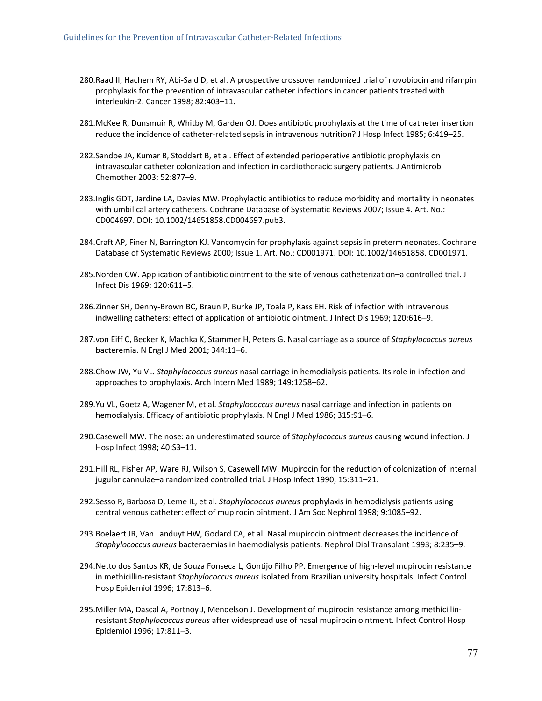- 280.Raad II, Hachem RY, Abi-Said D, et al. A prospective crossover randomized trial of novobiocin and rifampin prophylaxis for the prevention of intravascular catheter infections in cancer patients treated with interleukin-2. Cancer 1998; 82:403–11.
- 281.McKee R, Dunsmuir R, Whitby M, Garden OJ. Does antibiotic prophylaxis at the time of catheter insertion reduce the incidence of catheter-related sepsis in intravenous nutrition? J Hosp Infect 1985; 6:419–25.
- 282.Sandoe JA, Kumar B, Stoddart B, et al. Effect of extended perioperative antibiotic prophylaxis on intravascular catheter colonization and infection in cardiothoracic surgery patients. J Antimicrob Chemother 2003; 52:877–9.
- 283.Inglis GDT, Jardine LA, Davies MW. Prophylactic antibiotics to reduce morbidity and mortality in neonates with umbilical artery catheters. Cochrane Database of Systematic Reviews 2007; Issue 4. Art. No.: CD004697. DOI: 10.1002/14651858.CD004697.pub3.
- 284.Craft AP, Finer N, Barrington KJ. Vancomycin for prophylaxis against sepsis in preterm neonates. Cochrane Database of Systematic Reviews 2000; Issue 1. Art. No.: CD001971. DOI: 10.1002/14651858. CD001971.
- 285.Norden CW. Application of antibiotic ointment to the site of venous catheterization–a controlled trial. J Infect Dis 1969; 120:611–5.
- 286.Zinner SH, Denny-Brown BC, Braun P, Burke JP, Toala P, Kass EH. Risk of infection with intravenous indwelling catheters: effect of application of antibiotic ointment. J Infect Dis 1969; 120:616–9.
- 287.von Eiff C, Becker K, Machka K, Stammer H, Peters G. Nasal carriage as a source of *Staphylococcus aureus*  bacteremia. N Engl J Med 2001; 344:11–6.
- 288.Chow JW, Yu VL. *Staphylococcus aureus* nasal carriage in hemodialysis patients. Its role in infection and approaches to prophylaxis. Arch Intern Med 1989; 149:1258–62.
- 289.Yu VL, Goetz A, Wagener M, et al. *Staphylococcus aureus* nasal carriage and infection in patients on hemodialysis. Efficacy of antibiotic prophylaxis. N Engl J Med 1986; 315:91–6.
- 290.Casewell MW. The nose: an underestimated source of *Staphylococcus aureus* causing wound infection. J Hosp Infect 1998; 40:S3–11.
- 291.Hill RL, Fisher AP, Ware RJ, Wilson S, Casewell MW. Mupirocin for the reduction of colonization of internal jugular cannulae–a randomized controlled trial. J Hosp Infect 1990; 15:311–21.
- 292.Sesso R, Barbosa D, Leme IL, et al. *Staphylococcus aureus* prophylaxis in hemodialysis patients using central venous catheter: effect of mupirocin ointment. J Am Soc Nephrol 1998; 9:1085–92.
- 293.Boelaert JR, Van Landuyt HW, Godard CA, et al. Nasal mupirocin ointment decreases the incidence of *Staphylococcus aureus* bacteraemias in haemodialysis patients. Nephrol Dial Transplant 1993; 8:235–9.
- 294.Netto dos Santos KR, de Souza Fonseca L, Gontijo Filho PP. Emergence of high-level mupirocin resistance in methicillin-resistant *Staphylococcus aureus* isolated from Brazilian university hospitals. Infect Control Hosp Epidemiol 1996; 17:813–6.
- 295.Miller MA, Dascal A, Portnoy J, Mendelson J. Development of mupirocin resistance among methicillinresistant *Staphylococcus aureus* after widespread use of nasal mupirocin ointment. Infect Control Hosp Epidemiol 1996; 17:811–3.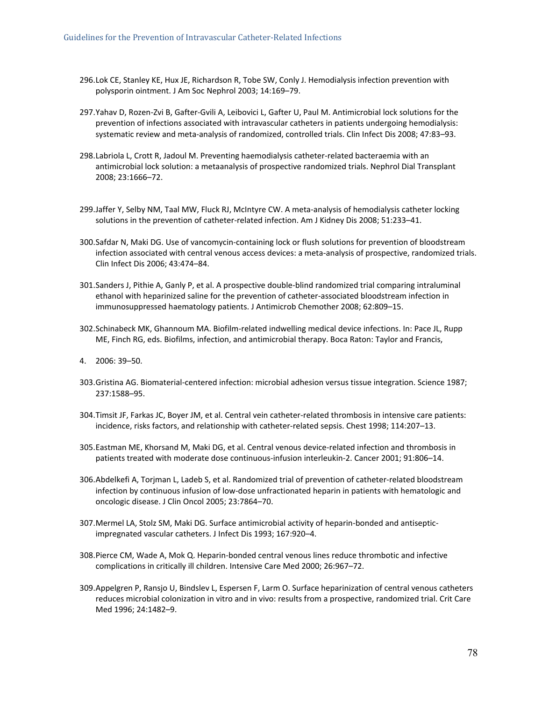- 296.Lok CE, Stanley KE, Hux JE, Richardson R, Tobe SW, Conly J. Hemodialysis infection prevention with polysporin ointment. J Am Soc Nephrol 2003; 14:169–79.
- 297.Yahav D, Rozen-Zvi B, Gafter-Gvili A, Leibovici L, Gafter U, Paul M. Antimicrobial lock solutions for the prevention of infections associated with intravascular catheters in patients undergoing hemodialysis: systematic review and meta-analysis of randomized, controlled trials. Clin Infect Dis 2008; 47:83–93.
- 298.Labriola L, Crott R, Jadoul M. Preventing haemodialysis catheter-related bacteraemia with an antimicrobial lock solution: a metaanalysis of prospective randomized trials. Nephrol Dial Transplant 2008; 23:1666–72.
- 299.Jaffer Y, Selby NM, Taal MW, Fluck RJ, McIntyre CW. A meta-analysis of hemodialysis catheter locking solutions in the prevention of catheter-related infection. Am J Kidney Dis 2008; 51:233–41.
- 300.Safdar N, Maki DG. Use of vancomycin-containing lock or flush solutions for prevention of bloodstream infection associated with central venous access devices: a meta-analysis of prospective, randomized trials. Clin Infect Dis 2006; 43:474–84.
- 301.Sanders J, Pithie A, Ganly P, et al. A prospective double-blind randomized trial comparing intraluminal ethanol with heparinized saline for the prevention of catheter-associated bloodstream infection in immunosuppressed haematology patients. J Antimicrob Chemother 2008; 62:809–15.
- 302.Schinabeck MK, Ghannoum MA. Biofilm-related indwelling medical device infections. In: Pace JL, Rupp ME, Finch RG, eds. Biofilms, infection, and antimicrobial therapy. Boca Raton: Taylor and Francis,
- 4. 2006: 39–50.
- 303.Gristina AG. Biomaterial-centered infection: microbial adhesion versus tissue integration. Science 1987; 237:1588–95.
- 304.Timsit JF, Farkas JC, Boyer JM, et al. Central vein catheter-related thrombosis in intensive care patients: incidence, risks factors, and relationship with catheter-related sepsis. Chest 1998; 114:207–13.
- 305.Eastman ME, Khorsand M, Maki DG, et al. Central venous device-related infection and thrombosis in patients treated with moderate dose continuous-infusion interleukin-2. Cancer 2001; 91:806–14.
- 306.Abdelkefi A, Torjman L, Ladeb S, et al. Randomized trial of prevention of catheter-related bloodstream infection by continuous infusion of low-dose unfractionated heparin in patients with hematologic and oncologic disease. J Clin Oncol 2005; 23:7864–70.
- 307.Mermel LA, Stolz SM, Maki DG. Surface antimicrobial activity of heparin-bonded and antisepticimpregnated vascular catheters. J Infect Dis 1993; 167:920–4.
- 308.Pierce CM, Wade A, Mok Q. Heparin-bonded central venous lines reduce thrombotic and infective complications in critically ill children. Intensive Care Med 2000; 26:967–72.
- 309.Appelgren P, Ransjo U, Bindslev L, Espersen F, Larm O. Surface heparinization of central venous catheters reduces microbial colonization in vitro and in vivo: results from a prospective, randomized trial. Crit Care Med 1996; 24:1482–9.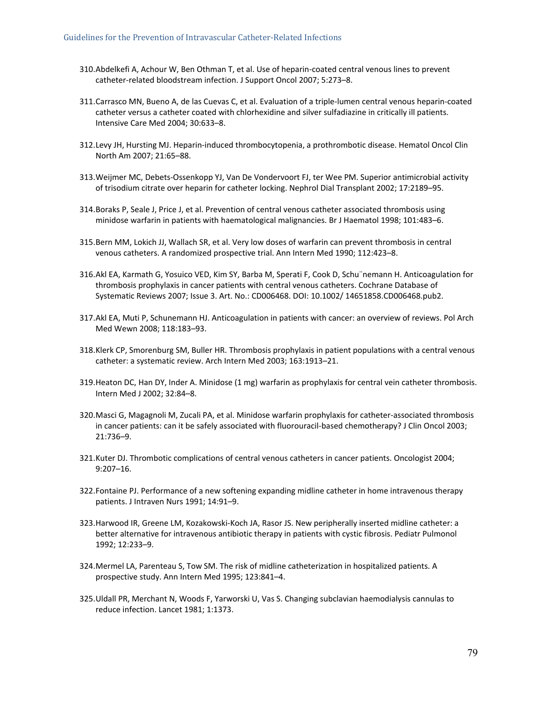- 310.Abdelkefi A, Achour W, Ben Othman T, et al. Use of heparin-coated central venous lines to prevent catheter-related bloodstream infection. J Support Oncol 2007; 5:273–8.
- 311.Carrasco MN, Bueno A, de las Cuevas C, et al. Evaluation of a triple-lumen central venous heparin-coated catheter versus a catheter coated with chlorhexidine and silver sulfadiazine in critically ill patients. Intensive Care Med 2004; 30:633–8.
- 312.Levy JH, Hursting MJ. Heparin-induced thrombocytopenia, a prothrombotic disease. Hematol Oncol Clin North Am 2007; 21:65–88.
- 313.Weijmer MC, Debets-Ossenkopp YJ, Van De Vondervoort FJ, ter Wee PM. Superior antimicrobial activity of trisodium citrate over heparin for catheter locking. Nephrol Dial Transplant 2002; 17:2189–95.
- 314.Boraks P, Seale J, Price J, et al. Prevention of central venous catheter associated thrombosis using minidose warfarin in patients with haematological malignancies. Br J Haematol 1998; 101:483–6.
- 315.Bern MM, Lokich JJ, Wallach SR, et al. Very low doses of warfarin can prevent thrombosis in central venous catheters. A randomized prospective trial. Ann Intern Med 1990; 112:423–8.
- 316.Akl EA, Karmath G, Yosuico VED, Kim SY, Barba M, Sperati F, Cook D, Schu¨nemann H. Anticoagulation for thrombosis prophylaxis in cancer patients with central venous catheters. Cochrane Database of Systematic Reviews 2007; Issue 3. Art. No.: CD006468. DOI: 10.1002/ 14651858.CD006468.pub2.
- 317.Akl EA, Muti P, Schunemann HJ. Anticoagulation in patients with cancer: an overview of reviews. Pol Arch Med Wewn 2008; 118:183–93.
- 318.Klerk CP, Smorenburg SM, Buller HR. Thrombosis prophylaxis in patient populations with a central venous catheter: a systematic review. Arch Intern Med 2003; 163:1913–21.
- 319.Heaton DC, Han DY, Inder A. Minidose (1 mg) warfarin as prophylaxis for central vein catheter thrombosis. Intern Med J 2002; 32:84–8.
- 320.Masci G, Magagnoli M, Zucali PA, et al. Minidose warfarin prophylaxis for catheter-associated thrombosis in cancer patients: can it be safely associated with fluorouracil-based chemotherapy? J Clin Oncol 2003; 21:736–9.
- 321.Kuter DJ. Thrombotic complications of central venous catheters in cancer patients. Oncologist 2004; 9:207–16.
- 322.Fontaine PJ. Performance of a new softening expanding midline catheter in home intravenous therapy patients. J Intraven Nurs 1991; 14:91–9.
- 323.Harwood IR, Greene LM, Kozakowski-Koch JA, Rasor JS. New peripherally inserted midline catheter: a better alternative for intravenous antibiotic therapy in patients with cystic fibrosis. Pediatr Pulmonol 1992; 12:233–9.
- 324.Mermel LA, Parenteau S, Tow SM. The risk of midline catheterization in hospitalized patients. A prospective study. Ann Intern Med 1995; 123:841–4.
- 325.Uldall PR, Merchant N, Woods F, Yarworski U, Vas S. Changing subclavian haemodialysis cannulas to reduce infection. Lancet 1981; 1:1373.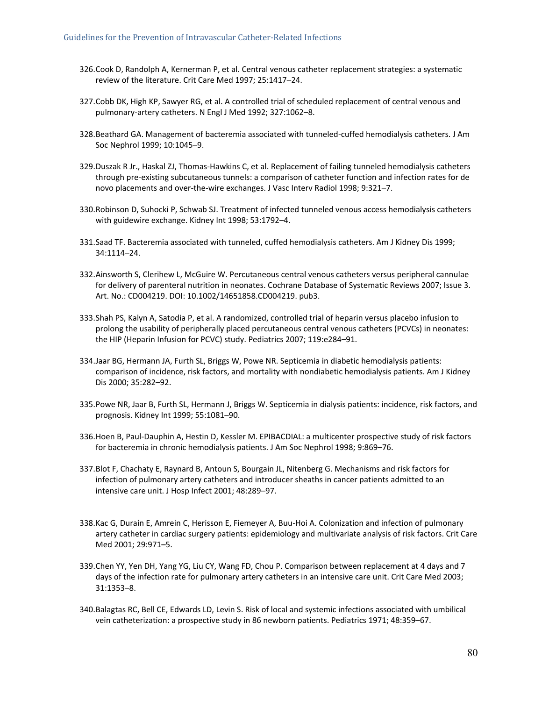- 326.Cook D, Randolph A, Kernerman P, et al. Central venous catheter replacement strategies: a systematic review of the literature. Crit Care Med 1997; 25:1417–24.
- 327.Cobb DK, High KP, Sawyer RG, et al. A controlled trial of scheduled replacement of central venous and pulmonary-artery catheters. N Engl J Med 1992; 327:1062–8.
- 328.Beathard GA. Management of bacteremia associated with tunneled-cuffed hemodialysis catheters. J Am Soc Nephrol 1999; 10:1045–9.
- 329.Duszak R Jr., Haskal ZJ, Thomas-Hawkins C, et al. Replacement of failing tunneled hemodialysis catheters through pre-existing subcutaneous tunnels: a comparison of catheter function and infection rates for de novo placements and over-the-wire exchanges. J Vasc Interv Radiol 1998; 9:321–7.
- 330.Robinson D, Suhocki P, Schwab SJ. Treatment of infected tunneled venous access hemodialysis catheters with guidewire exchange. Kidney Int 1998; 53:1792–4.
- 331.Saad TF. Bacteremia associated with tunneled, cuffed hemodialysis catheters. Am J Kidney Dis 1999; 34:1114–24.
- 332.Ainsworth S, Clerihew L, McGuire W. Percutaneous central venous catheters versus peripheral cannulae for delivery of parenteral nutrition in neonates. Cochrane Database of Systematic Reviews 2007; Issue 3. Art. No.: CD004219. DOI: 10.1002/14651858.CD004219. pub3.
- 333.Shah PS, Kalyn A, Satodia P, et al. A randomized, controlled trial of heparin versus placebo infusion to prolong the usability of peripherally placed percutaneous central venous catheters (PCVCs) in neonates: the HIP (Heparin Infusion for PCVC) study. Pediatrics 2007; 119:e284–91.
- 334.Jaar BG, Hermann JA, Furth SL, Briggs W, Powe NR. Septicemia in diabetic hemodialysis patients: comparison of incidence, risk factors, and mortality with nondiabetic hemodialysis patients. Am J Kidney Dis 2000; 35:282–92.
- 335.Powe NR, Jaar B, Furth SL, Hermann J, Briggs W. Septicemia in dialysis patients: incidence, risk factors, and prognosis. Kidney Int 1999; 55:1081–90.
- 336.Hoen B, Paul-Dauphin A, Hestin D, Kessler M. EPIBACDIAL: a multicenter prospective study of risk factors for bacteremia in chronic hemodialysis patients. J Am Soc Nephrol 1998; 9:869–76.
- 337.Blot F, Chachaty E, Raynard B, Antoun S, Bourgain JL, Nitenberg G. Mechanisms and risk factors for infection of pulmonary artery catheters and introducer sheaths in cancer patients admitted to an intensive care unit. J Hosp Infect 2001; 48:289–97.
- 338.Kac G, Durain E, Amrein C, Herisson E, Fiemeyer A, Buu-Hoi A. Colonization and infection of pulmonary artery catheter in cardiac surgery patients: epidemiology and multivariate analysis of risk factors. Crit Care Med 2001; 29:971–5.
- 339.Chen YY, Yen DH, Yang YG, Liu CY, Wang FD, Chou P. Comparison between replacement at 4 days and 7 days of the infection rate for pulmonary artery catheters in an intensive care unit. Crit Care Med 2003; 31:1353–8.
- 340.Balagtas RC, Bell CE, Edwards LD, Levin S. Risk of local and systemic infections associated with umbilical vein catheterization: a prospective study in 86 newborn patients. Pediatrics 1971; 48:359–67.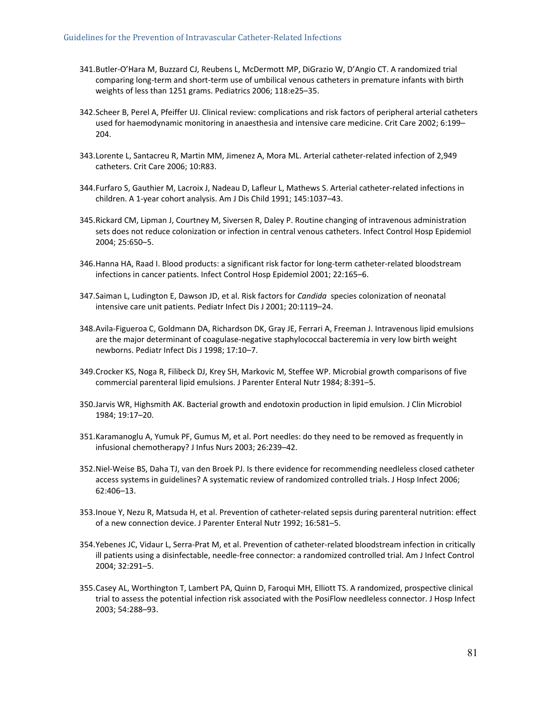- 341.Butler-O'Hara M, Buzzard CJ, Reubens L, McDermott MP, DiGrazio W, D'Angio CT. A randomized trial comparing long-term and short-term use of umbilical venous catheters in premature infants with birth weights of less than 1251 grams. Pediatrics 2006; 118:e25–35.
- 342.Scheer B, Perel A, Pfeiffer UJ. Clinical review: complications and risk factors of peripheral arterial catheters used for haemodynamic monitoring in anaesthesia and intensive care medicine. Crit Care 2002; 6:199– 204.
- 343.Lorente L, Santacreu R, Martin MM, Jimenez A, Mora ML. Arterial catheter-related infection of 2,949 catheters. Crit Care 2006; 10:R83.
- 344.Furfaro S, Gauthier M, Lacroix J, Nadeau D, Lafleur L, Mathews S. Arterial catheter-related infections in children. A 1-year cohort analysis. Am J Dis Child 1991; 145:1037–43.
- 345.Rickard CM, Lipman J, Courtney M, Siversen R, Daley P. Routine changing of intravenous administration sets does not reduce colonization or infection in central venous catheters. Infect Control Hosp Epidemiol 2004; 25:650–5.
- 346.Hanna HA, Raad I. Blood products: a significant risk factor for long-term catheter-related bloodstream infections in cancer patients. Infect Control Hosp Epidemiol 2001; 22:165–6.
- 347.Saiman L, Ludington E, Dawson JD, et al. Risk factors for *Candida* species colonization of neonatal intensive care unit patients. Pediatr Infect Dis J 2001; 20:1119–24.
- 348.Avila-Figueroa C, Goldmann DA, Richardson DK, Gray JE, Ferrari A, Freeman J. Intravenous lipid emulsions are the major determinant of coagulase-negative staphylococcal bacteremia in very low birth weight newborns. Pediatr Infect Dis J 1998; 17:10–7.
- 349.Crocker KS, Noga R, Filibeck DJ, Krey SH, Markovic M, Steffee WP. Microbial growth comparisons of five commercial parenteral lipid emulsions. J Parenter Enteral Nutr 1984; 8:391–5.
- 350.Jarvis WR, Highsmith AK. Bacterial growth and endotoxin production in lipid emulsion. J Clin Microbiol 1984; 19:17–20.
- 351.Karamanoglu A, Yumuk PF, Gumus M, et al. Port needles: do they need to be removed as frequently in infusional chemotherapy? J Infus Nurs 2003; 26:239–42.
- 352.Niel-Weise BS, Daha TJ, van den Broek PJ. Is there evidence for recommending needleless closed catheter access systems in guidelines? A systematic review of randomized controlled trials. J Hosp Infect 2006; 62:406–13.
- 353.Inoue Y, Nezu R, Matsuda H, et al. Prevention of catheter-related sepsis during parenteral nutrition: effect of a new connection device. J Parenter Enteral Nutr 1992; 16:581–5.
- 354.Yebenes JC, Vidaur L, Serra-Prat M, et al. Prevention of catheter-related bloodstream infection in critically ill patients using a disinfectable, needle-free connector: a randomized controlled trial. Am J Infect Control 2004; 32:291–5.
- 355.Casey AL, Worthington T, Lambert PA, Quinn D, Faroqui MH, Elliott TS. A randomized, prospective clinical trial to assess the potential infection risk associated with the PosiFlow needleless connector. J Hosp Infect 2003; 54:288–93.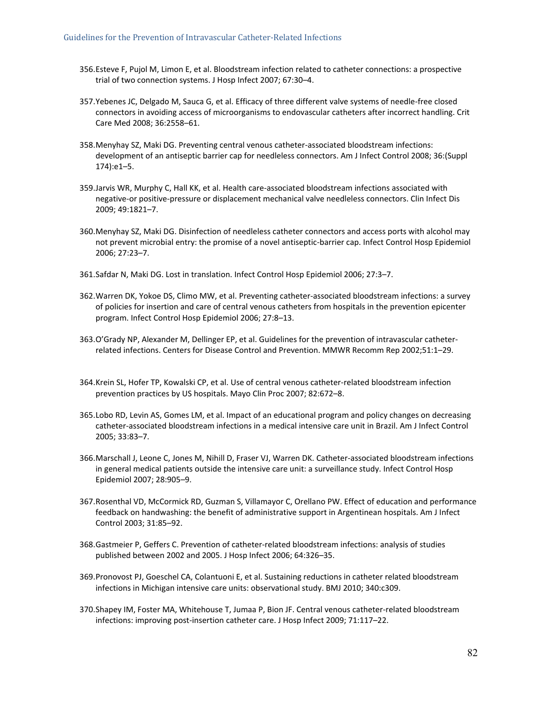- 356.Esteve F, Pujol M, Limon E, et al. Bloodstream infection related to catheter connections: a prospective trial of two connection systems. J Hosp Infect 2007; 67:30–4.
- 357.Yebenes JC, Delgado M, Sauca G, et al. Efficacy of three different valve systems of needle-free closed connectors in avoiding access of microorganisms to endovascular catheters after incorrect handling. Crit Care Med 2008; 36:2558–61.
- 358.Menyhay SZ, Maki DG. Preventing central venous catheter-associated bloodstream infections: development of an antiseptic barrier cap for needleless connectors. Am J Infect Control 2008; 36:(Suppl 174):e1–5.
- 359.Jarvis WR, Murphy C, Hall KK, et al. Health care-associated bloodstream infections associated with negative-or positive-pressure or displacement mechanical valve needleless connectors. Clin Infect Dis 2009; 49:1821–7.
- 360.Menyhay SZ, Maki DG. Disinfection of needleless catheter connectors and access ports with alcohol may not prevent microbial entry: the promise of a novel antiseptic-barrier cap. Infect Control Hosp Epidemiol 2006; 27:23–7.
- 361.Safdar N, Maki DG. Lost in translation. Infect Control Hosp Epidemiol 2006; 27:3–7.
- 362.Warren DK, Yokoe DS, Climo MW, et al. Preventing catheter-associated bloodstream infections: a survey of policies for insertion and care of central venous catheters from hospitals in the prevention epicenter program. Infect Control Hosp Epidemiol 2006; 27:8–13.
- 363.O'Grady NP, Alexander M, Dellinger EP, et al. Guidelines for the prevention of intravascular catheterrelated infections. Centers for Disease Control and Prevention. MMWR Recomm Rep 2002;51:1–29.
- 364.Krein SL, Hofer TP, Kowalski CP, et al. Use of central venous catheter-related bloodstream infection prevention practices by US hospitals. Mayo Clin Proc 2007; 82:672–8.
- 365.Lobo RD, Levin AS, Gomes LM, et al. Impact of an educational program and policy changes on decreasing catheter-associated bloodstream infections in a medical intensive care unit in Brazil. Am J Infect Control 2005; 33:83–7.
- 366.Marschall J, Leone C, Jones M, Nihill D, Fraser VJ, Warren DK. Catheter-associated bloodstream infections in general medical patients outside the intensive care unit: a surveillance study. Infect Control Hosp Epidemiol 2007; 28:905–9.
- 367.Rosenthal VD, McCormick RD, Guzman S, Villamayor C, Orellano PW. Effect of education and performance feedback on handwashing: the benefit of administrative support in Argentinean hospitals. Am J Infect Control 2003; 31:85–92.
- 368.Gastmeier P, Geffers C. Prevention of catheter-related bloodstream infections: analysis of studies published between 2002 and 2005. J Hosp Infect 2006; 64:326–35.
- 369.Pronovost PJ, Goeschel CA, Colantuoni E, et al. Sustaining reductions in catheter related bloodstream infections in Michigan intensive care units: observational study. BMJ 2010; 340:c309.
- 370.Shapey IM, Foster MA, Whitehouse T, Jumaa P, Bion JF. Central venous catheter-related bloodstream infections: improving post-insertion catheter care. J Hosp Infect 2009; 71:117–22.